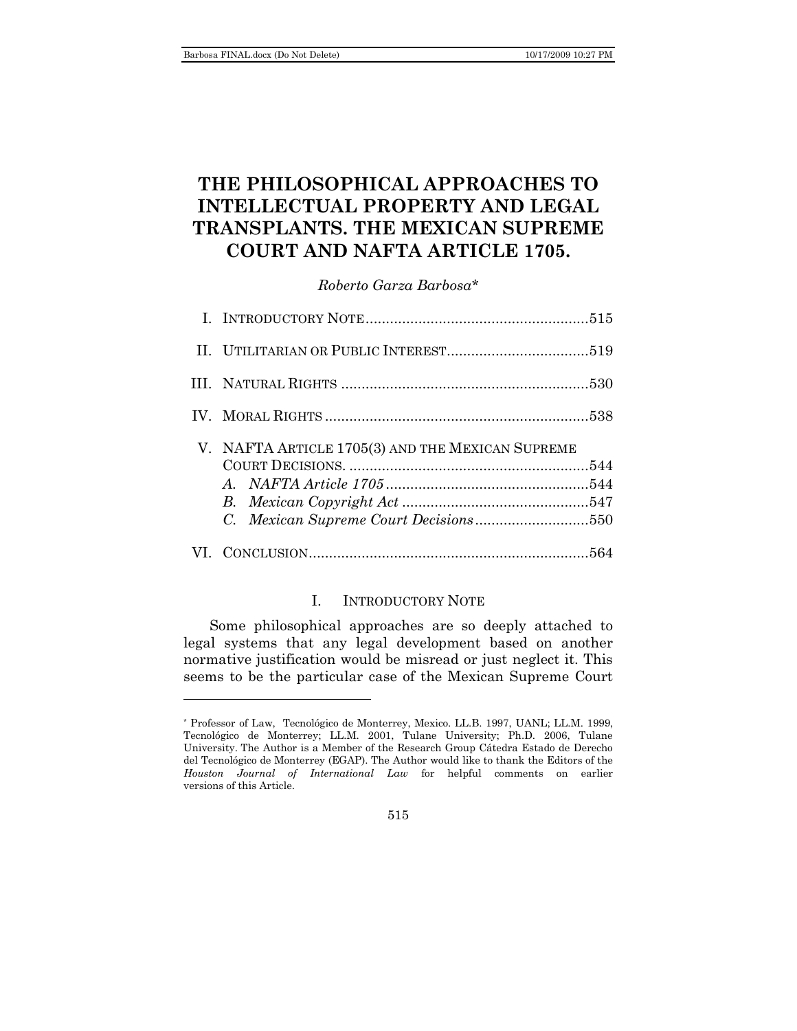l

# **THE PHILOSOPHICAL APPROACHES TO INTELLECTUAL PROPERTY AND LEGAL TRANSPLANTS. THE MEXICAN SUPREME COURT AND NAFTA ARTICLE 1705.**

*Roberto Garza Barbosa\**

| V. NAFTA ARTICLE 1705(3) AND THE MEXICAN SUPREME<br>C. Mexican Supreme Court Decisions550 |  |
|-------------------------------------------------------------------------------------------|--|
|                                                                                           |  |

# I. INTRODUCTORY NOTE

<span id="page-0-0"></span>Some philosophical approaches are so deeply attached to legal systems that any legal development based on another normative justification would be misread or just neglect it. This seems to be the particular case of the Mexican Supreme Court

<sup>\*</sup> Professor of Law, Tecnológico de Monterrey, Mexico. LL.B. 1997, UANL; LL.M. 1999, Tecnológico de Monterrey; LL.M. 2001, Tulane University; Ph.D. 2006, Tulane University. The Author is a Member of the Research Group Cátedra Estado de Derecho del Tecnológico de Monterrey (EGAP). The Author would like to thank the Editors of the *Houston Journal of International Law* for helpful comments on earlier versions of this Article.

<sup>515</sup>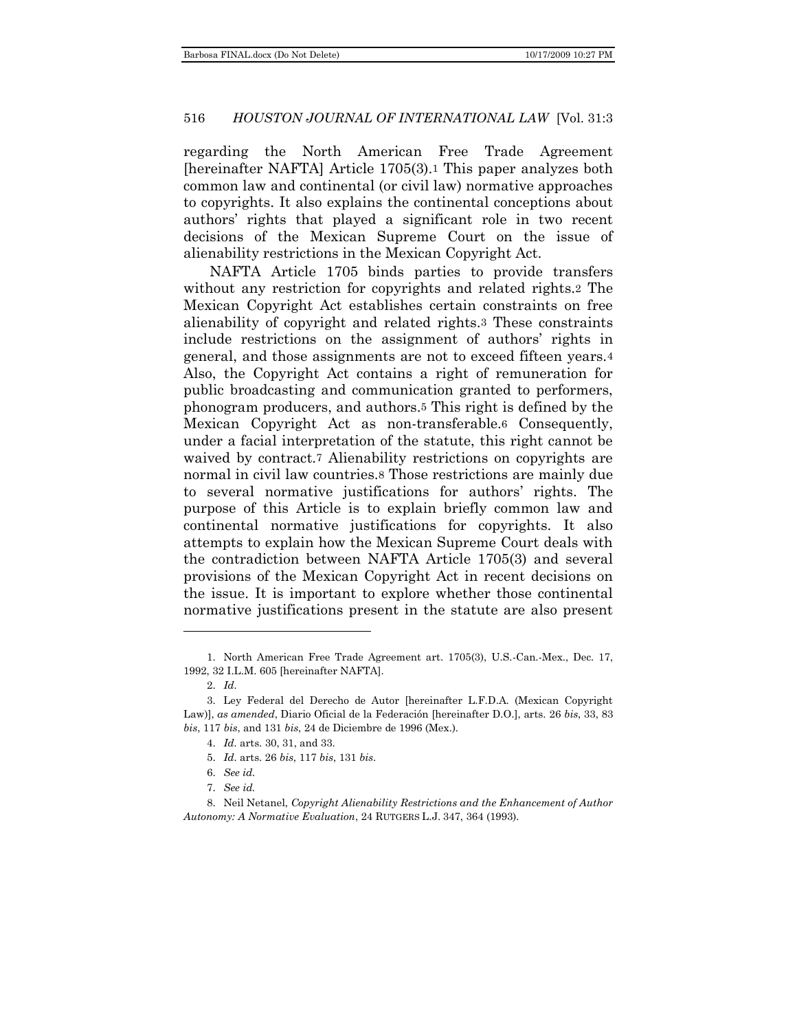regarding the North American Free Trade Agreement [hereinafter NAFTA] Article 1705(3).1 This paper analyzes both common law and continental (or civil law) normative approaches to copyrights. It also explains the continental conceptions about authors' rights that played a significant role in two recent decisions of the Mexican Supreme Court on the issue of alienability restrictions in the Mexican Copyright Act.

NAFTA Article 1705 binds parties to provide transfers without any restriction for copyrights and related rights.2 The Mexican Copyright Act establishes certain constraints on free alienability of copyright and related rights.3 These constraints include restrictions on the assignment of authors' rights in general, and those assignments are not to exceed fifteen years.4 Also, the Copyright Act contains a right of remuneration for public broadcasting and communication granted to performers, phonogram producers, and authors.5 This right is defined by the Mexican Copyright Act as non-transferable.6 Consequently, under a facial interpretation of the statute, this right cannot be waived by contract.<sup>7</sup> Alienability restrictions on copyrights are normal in civil law countries.8 Those restrictions are mainly due to several normative justifications for authors' rights. The purpose of this Article is to explain briefly common law and continental normative justifications for copyrights. It also attempts to explain how the Mexican Supreme Court deals with the contradiction between NAFTA Article 1705(3) and several provisions of the Mexican Copyright Act in recent decisions on the issue. It is important to explore whether those continental normative justifications present in the statute are also present

<sup>1.</sup> North American Free Trade Agreement art. 1705(3), U.S.-Can.-Mex., Dec. 17, 1992, 32 I.L.M. 605 [hereinafter NAFTA].

<sup>2.</sup> *Id.*

<sup>3.</sup> Ley Federal del Derecho de Autor [hereinafter L.F.D.A. (Mexican Copyright Law)], *as amended*, Diario Oficial de la Federación [hereinafter D.O.], arts. 26 *bis*, 33, 83 *bis*, 117 *bis*, and 131 *bis*, 24 de Diciembre de 1996 (Mex.).

<sup>4.</sup> *Id.* arts. 30, 31, and 33.

<sup>5.</sup> *Id.* arts. 26 *bis*, 117 *bis*, 131 *bis*.

<sup>6.</sup> *See id.*

<sup>7.</sup> *See id.*

<sup>8.</sup> Neil Netanel, *Copyright Alienability Restrictions and the Enhancement of Author Autonomy: A Normative Evaluation*, 24 RUTGERS L.J. 347, 364 (1993).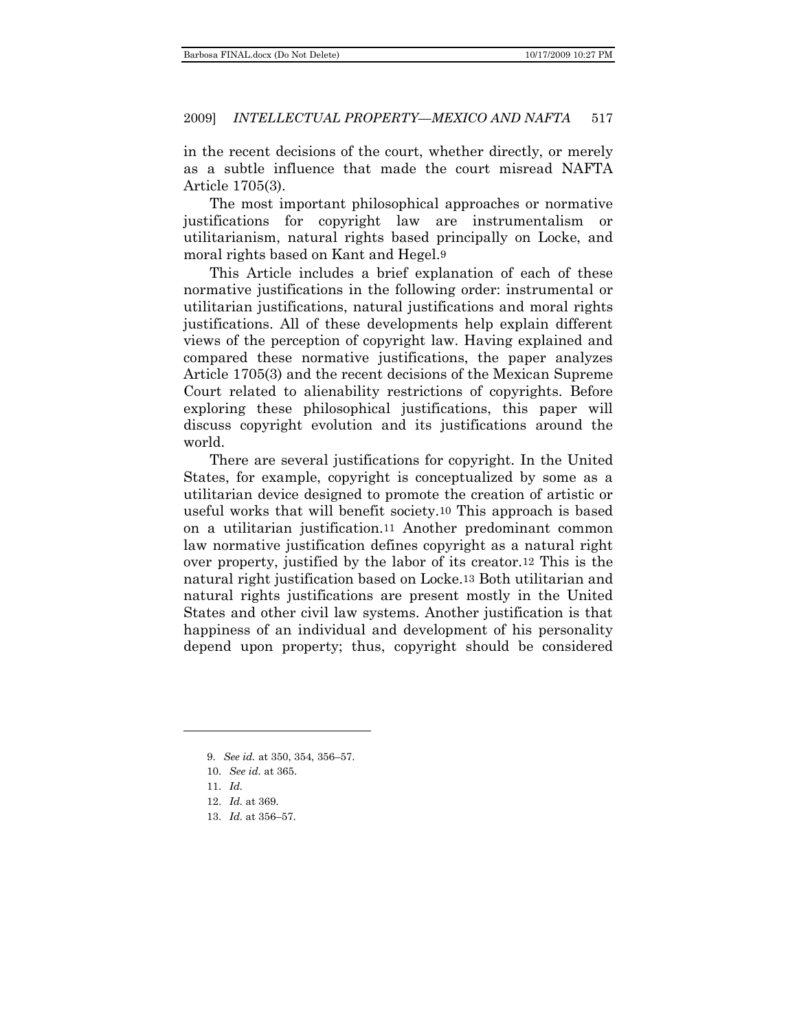in the recent decisions of the court, whether directly, or merely as a subtle influence that made the court misread NAFTA Article 1705(3).

The most important philosophical approaches or normative justifications for copyright law are instrumentalism or utilitarianism, natural rights based principally on Locke, and moral rights based on Kant and Hegel.9

This Article includes a brief explanation of each of these normative justifications in the following order: instrumental or utilitarian justifications, natural justifications and moral rights justifications. All of these developments help explain different views of the perception of copyright law. Having explained and compared these normative justifications, the paper analyzes Article 1705(3) and the recent decisions of the Mexican Supreme Court related to alienability restrictions of copyrights. Before exploring these philosophical justifications, this paper will discuss copyright evolution and its justifications around the world.

There are several justifications for copyright. In the United States, for example, copyright is conceptualized by some as a utilitarian device designed to promote the creation of artistic or useful works that will benefit society.10 This approach is based on a utilitarian justification.11 Another predominant common law normative justification defines copyright as a natural right over property, justified by the labor of its creator.12 This is the natural right justification based on Locke.13 Both utilitarian and natural rights justifications are present mostly in the United States and other civil law systems. Another justification is that happiness of an individual and development of his personality depend upon property; thus, copyright should be considered

<sup>9.</sup> *See id.* at 350, 354, 356–57.

<sup>10.</sup> *See id.* at 365.

<sup>11.</sup> *Id.*

<sup>12.</sup> *Id.* at 369.

<sup>13.</sup> *Id.* at 356–57.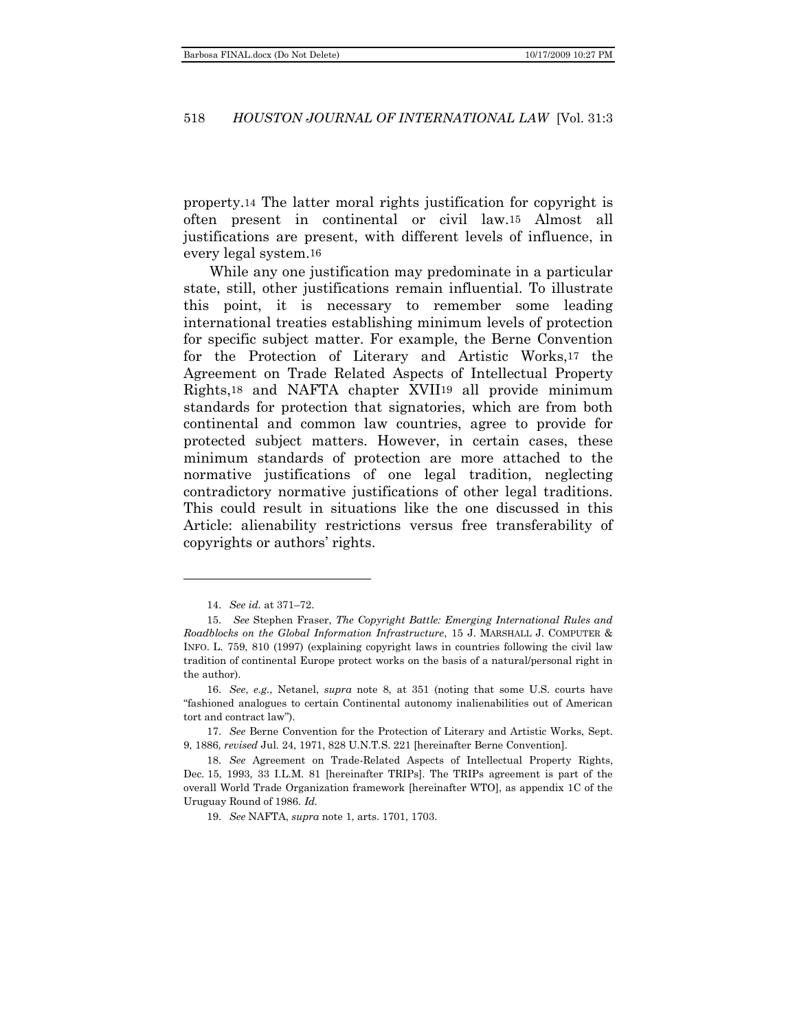property.14 The latter moral rights justification for copyright is often present in continental or civil law.15 Almost all justifications are present, with different levels of influence, in every legal system.16

While any one justification may predominate in a particular state, still, other justifications remain influential. To illustrate this point, it is necessary to remember some leading international treaties establishing minimum levels of protection for specific subject matter. For example, the Berne Convention for the Protection of Literary and Artistic Works,17 the Agreement on Trade Related Aspects of Intellectual Property Rights,18 and NAFTA chapter XVII19 all provide minimum standards for protection that signatories, which are from both continental and common law countries, agree to provide for protected subject matters. However, in certain cases, these minimum standards of protection are more attached to the normative justifications of one legal tradition, neglecting contradictory normative justifications of other legal traditions. This could result in situations like the one discussed in this Article: alienability restrictions versus free transferability of copyrights or authors' rights.

l

19. *See* NAFTA, *supra* note 1, arts. 1701, 1703.

<sup>14.</sup> *See id.* at 371–72.

<sup>15.</sup> *See* Stephen Fraser, *The Copyright Battle: Emerging International Rules and Roadblocks on the Global Information Infrastructure*, 15 J. MARSHALL J. COMPUTER & INFO. L. 759, 810 (1997) (explaining copyright laws in countries following the civil law tradition of continental Europe protect works on the basis of a natural/personal right in the author).

<sup>16.</sup> *See*, *e.g.*, Netanel, *supra* note 8, at 351 (noting that some U.S. courts have ―fashioned analogues to certain Continental autonomy inalienabilities out of American tort and contract law").

<sup>17.</sup> *See* Berne Convention for the Protection of Literary and Artistic Works, Sept. 9, 1886, *revised* Jul. 24, 1971, 828 U.N.T.S. 221 [hereinafter Berne Convention].

<sup>18.</sup> *See* Agreement on Trade-Related Aspects of Intellectual Property Rights, Dec. 15, 1993, 33 I.L.M. 81 [hereinafter TRIPs]. The TRIPs agreement is part of the overall World Trade Organization framework [hereinafter WTO], as appendix 1C of the Uruguay Round of 1986. *Id.*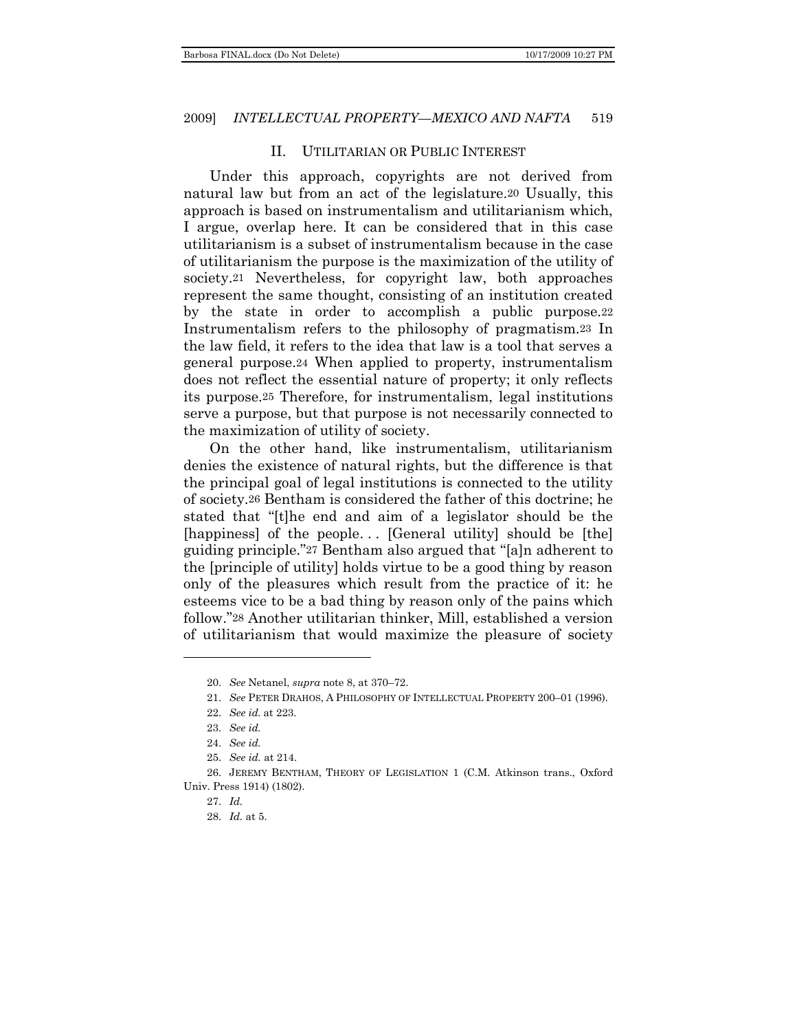#### II. UTILITARIAN OR PUBLIC INTEREST

<span id="page-4-0"></span>Under this approach, copyrights are not derived from natural law but from an act of the legislature.20 Usually, this approach is based on instrumentalism and utilitarianism which, I argue, overlap here. It can be considered that in this case utilitarianism is a subset of instrumentalism because in the case of utilitarianism the purpose is the maximization of the utility of society.21 Nevertheless, for copyright law, both approaches represent the same thought, consisting of an institution created by the state in order to accomplish a public purpose.22 Instrumentalism refers to the philosophy of pragmatism.23 In the law field, it refers to the idea that law is a tool that serves a general purpose.24 When applied to property, instrumentalism does not reflect the essential nature of property; it only reflects its purpose.25 Therefore, for instrumentalism, legal institutions serve a purpose, but that purpose is not necessarily connected to the maximization of utility of society.

On the other hand, like instrumentalism, utilitarianism denies the existence of natural rights, but the difference is that the principal goal of legal institutions is connected to the utility of society.26 Bentham is considered the father of this doctrine; he stated that "[t]he end and aim of a legislator should be the [happiness] of the people... [General utility] should be [the] guiding principle."27 Bentham also argued that "[a]n adherent to the [principle of utility] holds virtue to be a good thing by reason only of the pleasures which result from the practice of it: he esteems vice to be a bad thing by reason only of the pains which follow."28 Another utilitarian thinker, Mill, established a version of utilitarianism that would maximize the pleasure of society

l

<sup>20.</sup> *See* Netanel, *supra* note 8, at 370–72.

<sup>21.</sup> *See* PETER DRAHOS, A PHILOSOPHY OF INTELLECTUAL PROPERTY 200–01 (1996).

<sup>22.</sup> *See id.* at 223.

<sup>23.</sup> *See id.*

<sup>24.</sup> *See id.*

<sup>25.</sup> *See id.* at 214.

<sup>26.</sup> JEREMY BENTHAM, THEORY OF LEGISLATION 1 (C.M. Atkinson trans., Oxford Univ. Press 1914) (1802).

<sup>27.</sup> *Id.*

<sup>28.</sup> *Id.* at 5.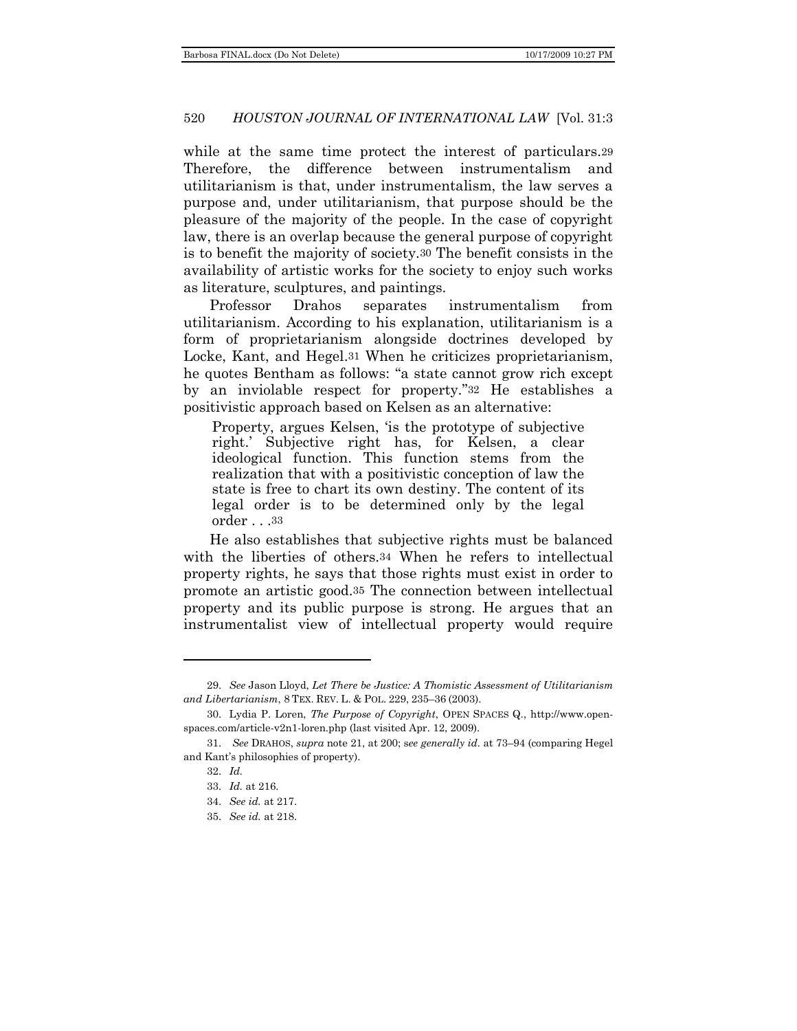while at the same time protect the interest of particulars.29 Therefore, the difference between instrumentalism and utilitarianism is that, under instrumentalism, the law serves a purpose and, under utilitarianism, that purpose should be the pleasure of the majority of the people. In the case of copyright law, there is an overlap because the general purpose of copyright is to benefit the majority of society.30 The benefit consists in the availability of artistic works for the society to enjoy such works as literature, sculptures, and paintings.

Professor Drahos separates instrumentalism from utilitarianism. According to his explanation, utilitarianism is a form of proprietarianism alongside doctrines developed by Locke, Kant, and Hegel.31 When he criticizes proprietarianism, he quotes Bentham as follows: "a state cannot grow rich except by an inviolable respect for property."32 He establishes a positivistic approach based on Kelsen as an alternative:

Property, argues Kelsen, 'is the prototype of subjective right.' Subjective right has, for Kelsen, a clear ideological function. This function stems from the realization that with a positivistic conception of law the state is free to chart its own destiny. The content of its legal order is to be determined only by the legal order . . .33

He also establishes that subjective rights must be balanced with the liberties of others.<sup>34</sup> When he refers to intellectual property rights, he says that those rights must exist in order to promote an artistic good.35 The connection between intellectual property and its public purpose is strong. He argues that an instrumentalist view of intellectual property would require

<sup>29.</sup> *See* Jason Lloyd, *Let There be Justice: A Thomistic Assessment of Utilitarianism and Libertarianism*, 8 TEX. REV. L. & POL. 229, 235–36 (2003).

<sup>30.</sup> Lydia P. Loren, *The Purpose of Copyright*, OPEN SPACES Q., http://www.openspaces.com/article-v2n1-loren.php (last visited Apr. 12, 2009).

<sup>31.</sup> *See* DRAHOS, *supra* note 21, at 200; s*ee generally id.* at 73–94 (comparing Hegel and Kant's philosophies of property).

<sup>32.</sup> *Id.*

<sup>33.</sup> *Id.* at 216.

<sup>34.</sup> *See id.* at 217.

<sup>35.</sup> *See id.* at 218.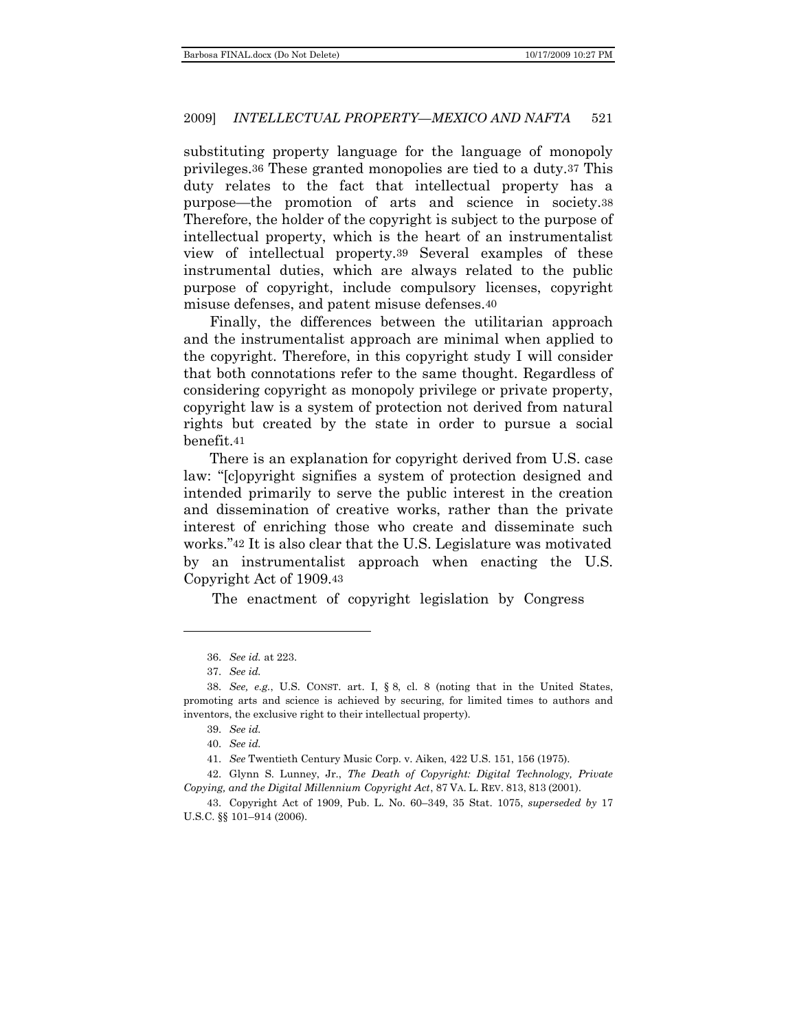substituting property language for the language of monopoly privileges.36 These granted monopolies are tied to a duty.37 This duty relates to the fact that intellectual property has a purpose—the promotion of arts and science in society.38 Therefore, the holder of the copyright is subject to the purpose of intellectual property, which is the heart of an instrumentalist view of intellectual property.39 Several examples of these instrumental duties, which are always related to the public purpose of copyright, include compulsory licenses, copyright misuse defenses, and patent misuse defenses.40

Finally, the differences between the utilitarian approach and the instrumentalist approach are minimal when applied to the copyright. Therefore, in this copyright study I will consider that both connotations refer to the same thought. Regardless of considering copyright as monopoly privilege or private property, copyright law is a system of protection not derived from natural rights but created by the state in order to pursue a social benefit.41

There is an explanation for copyright derived from U.S. case law: "[c]opyright signifies a system of protection designed and intended primarily to serve the public interest in the creation and dissemination of creative works, rather than the private interest of enriching those who create and disseminate such works."42 It is also clear that the U.S. Legislature was motivated by an instrumentalist approach when enacting the U.S. Copyright Act of 1909.43

The enactment of copyright legislation by Congress

<sup>36.</sup> *See id.* at 223.

<sup>37.</sup> *See id.*

<sup>38.</sup> *See, e.g.*, U.S. CONST. art. I, § 8, cl. 8 (noting that in the United States, promoting arts and science is achieved by securing, for limited times to authors and inventors, the exclusive right to their intellectual property).

<sup>39.</sup> *See id.*

<sup>40.</sup> *See id.*

<sup>41.</sup> *See* Twentieth Century Music Corp. v. Aiken, 422 U.S. 151, 156 (1975).

<sup>42.</sup> Glynn S. Lunney, Jr., *The Death of Copyright: Digital Technology, Private Copying, and the Digital Millennium Copyright Act*, 87 VA. L. REV. 813, 813 (2001).

<sup>43.</sup> Copyright Act of 1909, Pub. L. No. 60–349, 35 Stat. 1075, *superseded by* 17 U.S.C. §§ 101–914 (2006).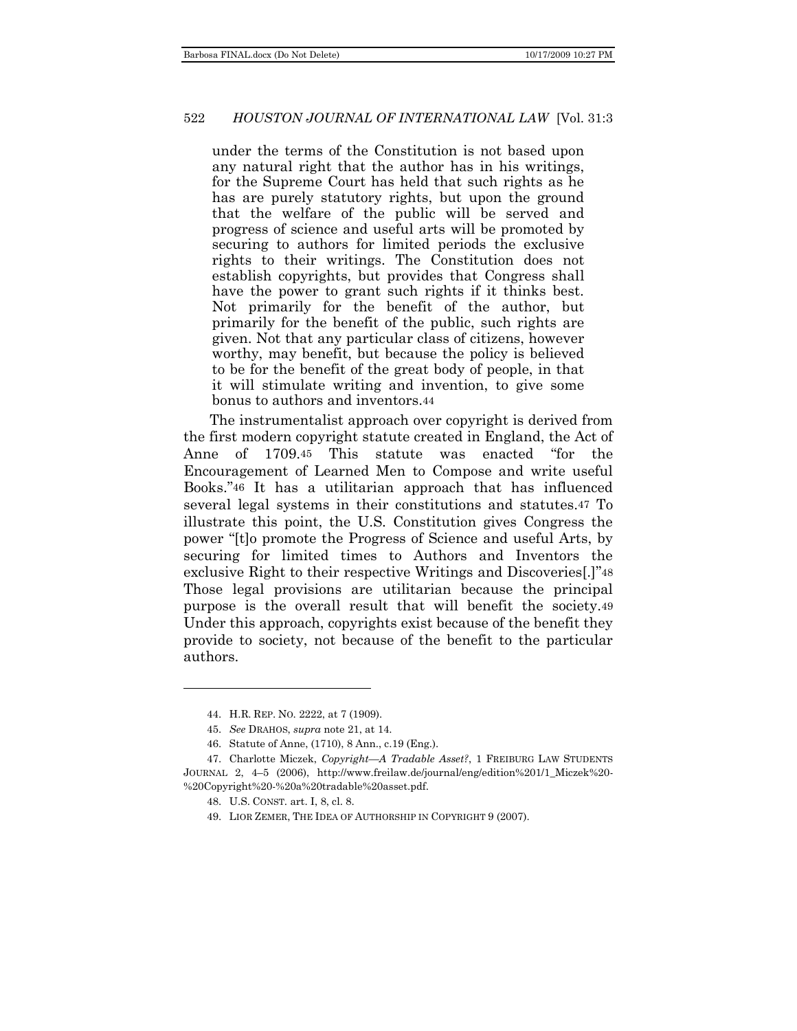under the terms of the Constitution is not based upon any natural right that the author has in his writings, for the Supreme Court has held that such rights as he has are purely statutory rights, but upon the ground that the welfare of the public will be served and progress of science and useful arts will be promoted by securing to authors for limited periods the exclusive rights to their writings. The Constitution does not establish copyrights, but provides that Congress shall have the power to grant such rights if it thinks best. Not primarily for the benefit of the author, but primarily for the benefit of the public, such rights are given. Not that any particular class of citizens, however worthy, may benefit, but because the policy is believed to be for the benefit of the great body of people, in that it will stimulate writing and invention, to give some bonus to authors and inventors.44

The instrumentalist approach over copyright is derived from the first modern copyright statute created in England, the Act of Anne of 1709.45 This statute was enacted "for the Encouragement of Learned Men to Compose and write useful Books."46 It has a utilitarian approach that has influenced several legal systems in their constitutions and statutes.47 To illustrate this point, the U.S. Constitution gives Congress the power "It to promote the Progress of Science and useful Arts, by securing for limited times to Authors and Inventors the exclusive Right to their respective Writings and Discoveries[.]"48 Those legal provisions are utilitarian because the principal purpose is the overall result that will benefit the society.49 Under this approach, copyrights exist because of the benefit they provide to society, not because of the benefit to the particular authors.

l

<sup>44.</sup> H.R. REP. NO. 2222, at 7 (1909).

<sup>45.</sup> *See* DRAHOS, *supra* note 21, at 14.

<sup>46.</sup> Statute of Anne, (1710), 8 Ann., c.19 (Eng.).

<sup>47.</sup> Charlotte Miczek, *Copyright—A Tradable Asset?*, 1 FREIBURG LAW STUDENTS JOURNAL 2, 4–5 (2006), http://www.freilaw.de/journal/eng/edition%201/1\_Miczek%20- %20Copyright%20-%20a%20tradable%20asset.pdf.

<sup>48.</sup> U.S. CONST. art. I, 8, cl. 8.

<sup>49.</sup> LIOR ZEMER, THE IDEA OF AUTHORSHIP IN COPYRIGHT 9 (2007).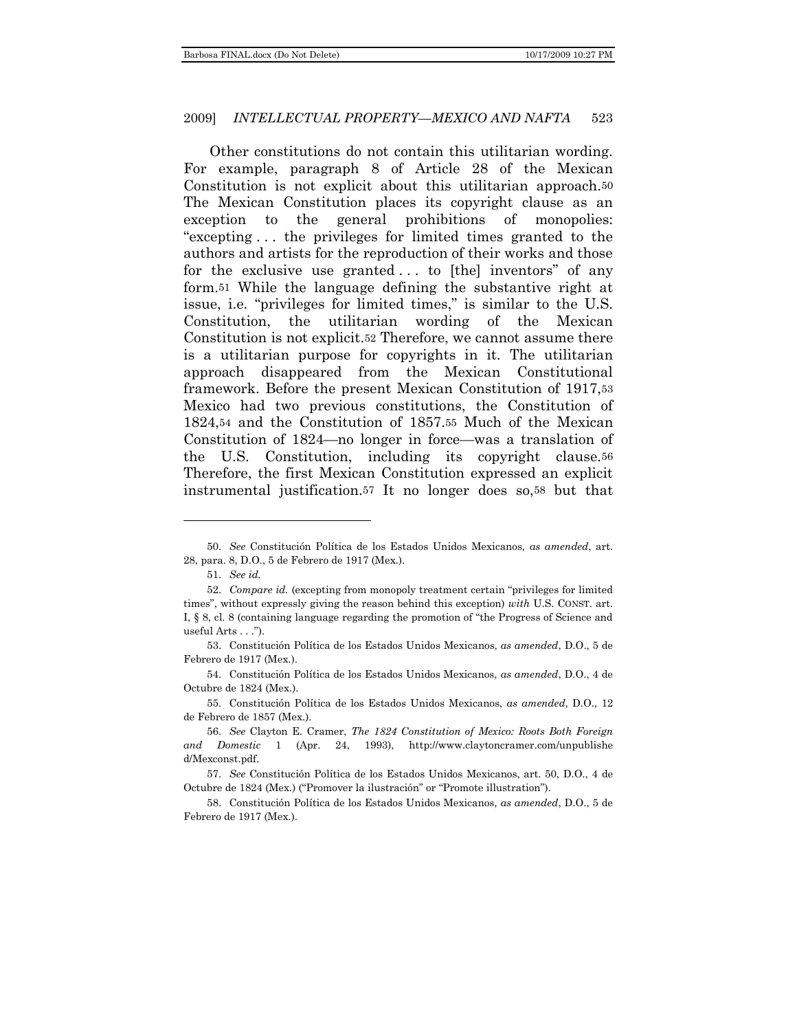Other constitutions do not contain this utilitarian wording. For example, paragraph 8 of Article 28 of the Mexican Constitution is not explicit about this utilitarian approach.50 The Mexican Constitution places its copyright clause as an exception to the general prohibitions of monopolies: "excepting ... the privileges for limited times granted to the authors and artists for the reproduction of their works and those for the exclusive use granted  $\ldots$  to [the] inventors" of any form.51 While the language defining the substantive right at issue, i.e. "privileges for limited times," is similar to the U.S. Constitution, the utilitarian wording of the Mexican Constitution is not explicit.52 Therefore, we cannot assume there is a utilitarian purpose for copyrights in it. The utilitarian approach disappeared from the Mexican Constitutional framework. Before the present Mexican Constitution of 1917,53 Mexico had two previous constitutions, the Constitution of 1824,54 and the Constitution of 1857.55 Much of the Mexican Constitution of 1824—no longer in force—was a translation of the U.S. Constitution, including its copyright clause.56 Therefore, the first Mexican Constitution expressed an explicit instrumental justification.57 It no longer does so,58 but that

l

<sup>50.</sup> *See* Constitución Política de los Estados Unidos Mexicanos, *as amended*, art. 28, para. 8, D.O., 5 de Febrero de 1917 (Mex.).

<sup>51.</sup> *See id.*

<sup>52.</sup> *Compare id.* (excepting from monopoly treatment certain "privileges for limited times‖, without expressly giving the reason behind this exception) *with* U.S. CONST. art. I,  $\S$  8, cl. 8 (containing language regarding the promotion of "the Progress of Science and useful Arts . . .").

<sup>53.</sup> Constitución Política de los Estados Unidos Mexicanos, *as amended*, D.O., 5 de Febrero de 1917 (Mex.).

<sup>54.</sup> Constitución Política de los Estados Unidos Mexicanos, *as amended*, D.O., 4 de Octubre de 1824 (Mex.).

<sup>55.</sup> Constitución Política de los Estados Unidos Mexicanos, *as amended*, D.O., 12 de Febrero de 1857 (Mex.).

<sup>56.</sup> *See* Clayton E. Cramer, *The 1824 Constitution of Mexico: Roots Both Foreign and Domestic* 1 (Apr. 24, 1993), http://www.claytoncramer.com/unpublishe d/Mexconst.pdf.

<sup>57.</sup> *See* Constitución Política de los Estados Unidos Mexicanos, art. 50, D.O., 4 de Octubre de 1824 (Mex.) ("Promover la ilustración" or "Promote illustration").

<sup>58.</sup> Constitución Política de los Estados Unidos Mexicanos, *as amended*, D.O., 5 de Febrero de 1917 (Mex.).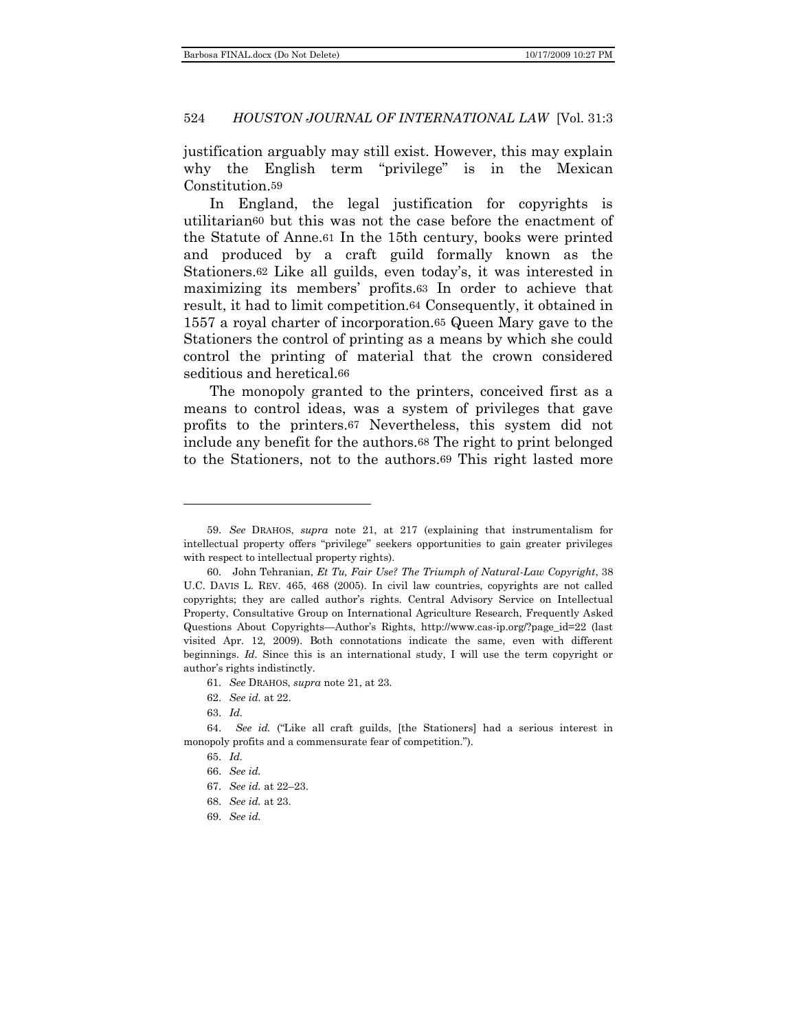justification arguably may still exist. However, this may explain why the English term "privilege" is in the Mexican Constitution.59

In England, the legal justification for copyrights is utilitarian60 but this was not the case before the enactment of the Statute of Anne.61 In the 15th century, books were printed and produced by a craft guild formally known as the Stationers.62 Like all guilds, even today's, it was interested in maximizing its members' profits.63 In order to achieve that result, it had to limit competition.64 Consequently, it obtained in 1557 a royal charter of incorporation.65 Queen Mary gave to the Stationers the control of printing as a means by which she could control the printing of material that the crown considered seditious and heretical.66

The monopoly granted to the printers, conceived first as a means to control ideas, was a system of privileges that gave profits to the printers.67 Nevertheless, this system did not include any benefit for the authors.68 The right to print belonged to the Stationers, not to the authors.69 This right lasted more

61. *See* DRAHOS, *supra* note 21, at 23.

- 68. *See id.* at 23.
- 69. *See id.*

<sup>59.</sup> *See* DRAHOS, *supra* note 21, at 217 (explaining that instrumentalism for intellectual property offers "privilege" seekers opportunities to gain greater privileges with respect to intellectual property rights).

<sup>60.</sup> John Tehranian, *Et Tu, Fair Use? The Triumph of Natural-Law Copyright*, 38 U.C. DAVIS L. REV. 465, 468 (2005). In civil law countries, copyrights are not called copyrights; they are called author's rights. Central Advisory Service on Intellectual Property, Consultative Group on International Agriculture Research, Frequently Asked Questions About Copyrights—Author's Rights, http://www.cas-ip.org/?page\_id=22 (last visited Apr. 12, 2009). Both connotations indicate the same, even with different beginnings. *Id.* Since this is an international study, I will use the term copyright or author's rights indistinctly.

<sup>62.</sup> *See id.* at 22.

<sup>63.</sup> *Id.*

<sup>64.</sup> See id. ("Like all craft guilds, [the Stationers] had a serious interest in monopoly profits and a commensurate fear of competition.").

<sup>65.</sup> *Id.*

<sup>66.</sup> *See id.*

<sup>67.</sup> *See id.* at 22–23.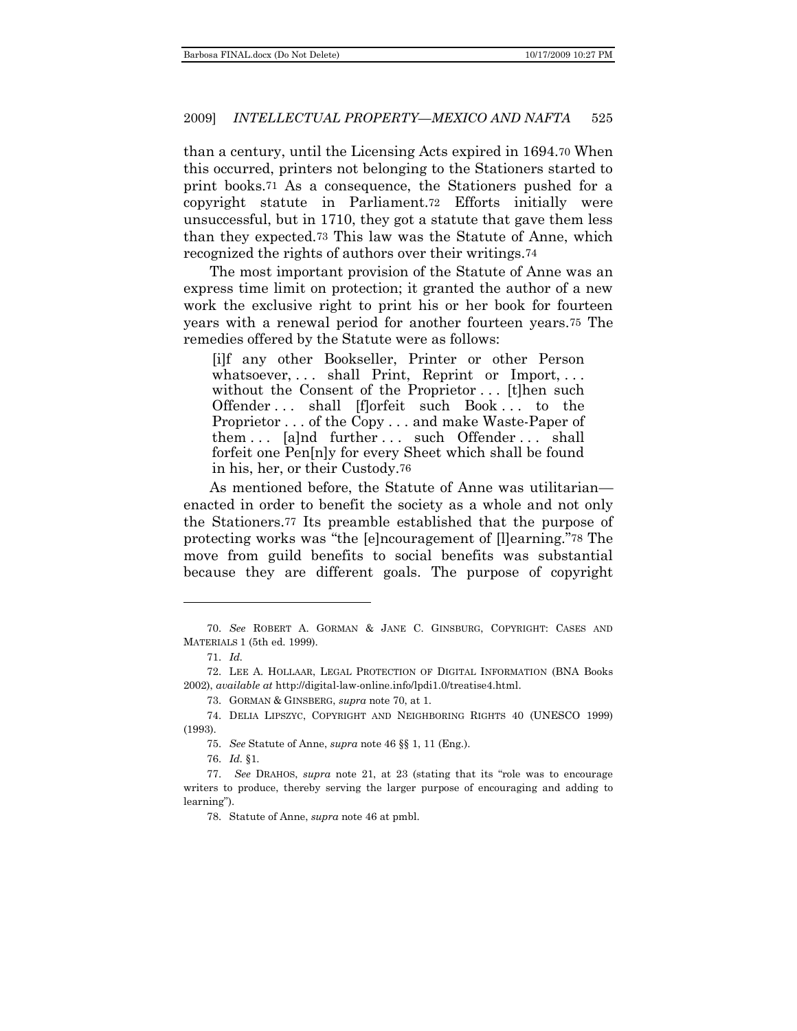than a century, until the Licensing Acts expired in 1694.70 When this occurred, printers not belonging to the Stationers started to print books.71 As a consequence, the Stationers pushed for a copyright statute in Parliament.72 Efforts initially were unsuccessful, but in 1710, they got a statute that gave them less than they expected.73 This law was the Statute of Anne, which recognized the rights of authors over their writings.74

The most important provision of the Statute of Anne was an express time limit on protection; it granted the author of a new work the exclusive right to print his or her book for fourteen years with a renewal period for another fourteen years.75 The remedies offered by the Statute were as follows:

[i]f any other Bookseller, Printer or other Person whatsoever,  $\dots$  shall Print, Reprint or Import,  $\dots$ without the Consent of the Proprietor . . . [t]hen such Offender . . . shall [f]orfeit such Book . . . to the Proprietor . . . of the Copy . . . and make Waste-Paper of them ... [a]nd further ... such Offender ... shall forfeit one Pen[n]y for every Sheet which shall be found in his, her, or their Custody.76

As mentioned before, the Statute of Anne was utilitarian enacted in order to benefit the society as a whole and not only the Stationers.77 Its preamble established that the purpose of protecting works was "the [e]ncouragement of [l]earning."78 The move from guild benefits to social benefits was substantial because they are different goals. The purpose of copyright

l

76. *Id.* §1.

<sup>70.</sup> *See* ROBERT A. GORMAN & JANE C. GINSBURG, COPYRIGHT: CASES AND MATERIALS 1 (5th ed. 1999).

<sup>71.</sup> *Id.*

<sup>72.</sup> LEE A. HOLLAAR, LEGAL PROTECTION OF DIGITAL INFORMATION (BNA Books 2002), *available at* http://digital-law-online.info/lpdi1.0/treatise4.html.

<sup>73.</sup> GORMAN & GINSBERG, *supra* note 70, at 1.

<sup>74.</sup> DELIA LIPSZYC, COPYRIGHT AND NEIGHBORING RIGHTS 40 (UNESCO 1999) (1993).

<sup>75.</sup> *See* Statute of Anne, *supra* note 46 §§ 1, 11 (Eng.).

<sup>77.</sup> See DRAHOS, *supra* note 21, at 23 (stating that its "role was to encourage writers to produce, thereby serving the larger purpose of encouraging and adding to learning").

<sup>78.</sup> Statute of Anne, *supra* note 46 at pmbl.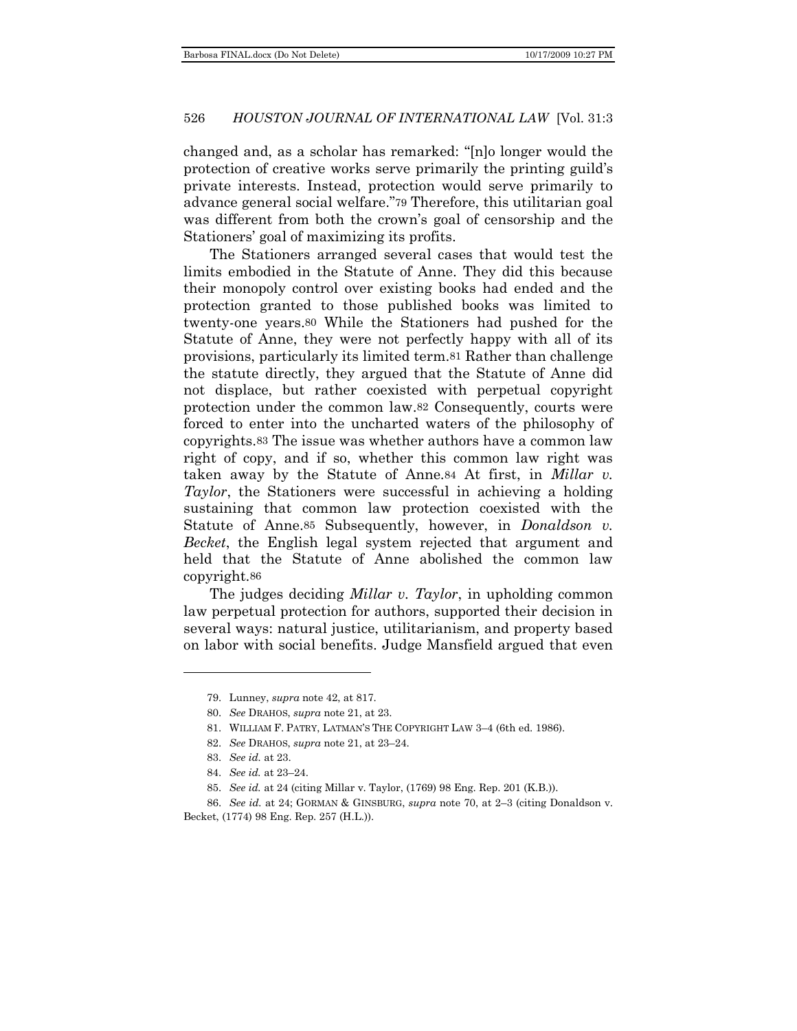changed and, as a scholar has remarked: "[n]o longer would the protection of creative works serve primarily the printing guild's private interests. Instead, protection would serve primarily to advance general social welfare."79 Therefore, this utilitarian goal was different from both the crown's goal of censorship and the Stationers' goal of maximizing its profits.

The Stationers arranged several cases that would test the limits embodied in the Statute of Anne. They did this because their monopoly control over existing books had ended and the protection granted to those published books was limited to twenty-one years.80 While the Stationers had pushed for the Statute of Anne, they were not perfectly happy with all of its provisions, particularly its limited term.81 Rather than challenge the statute directly, they argued that the Statute of Anne did not displace, but rather coexisted with perpetual copyright protection under the common law.82 Consequently, courts were forced to enter into the uncharted waters of the philosophy of copyrights.83 The issue was whether authors have a common law right of copy, and if so, whether this common law right was taken away by the Statute of Anne.84 At first, in *Millar v. Taylor*, the Stationers were successful in achieving a holding sustaining that common law protection coexisted with the Statute of Anne.85 Subsequently, however, in *Donaldson v. Becket*, the English legal system rejected that argument and held that the Statute of Anne abolished the common law copyright.86

The judges deciding *Millar v. Taylor*, in upholding common law perpetual protection for authors, supported their decision in several ways: natural justice, utilitarianism, and property based on labor with social benefits. Judge Mansfield argued that even

<sup>79.</sup> Lunney, *supra* note 42, at 817.

<sup>80.</sup> *See* DRAHOS, *supra* note 21, at 23.

<sup>81.</sup> WILLIAM F. PATRY, LATMAN'S THE COPYRIGHT LAW 3–4 (6th ed. 1986).

<sup>82.</sup> *See* DRAHOS, *supra* note 21, at 23–24.

<sup>83.</sup> *See id.* at 23.

<sup>84.</sup> *See id.* at 23–24.

<sup>85.</sup> *See id.* at 24 (citing Millar v. Taylor, (1769) 98 Eng. Rep. 201 (K.B.)).

<sup>86.</sup> *See id.* at 24; GORMAN & GINSBURG, *supra* note 70, at 2–3 (citing Donaldson v. Becket, (1774) 98 Eng. Rep. 257 (H.L.)).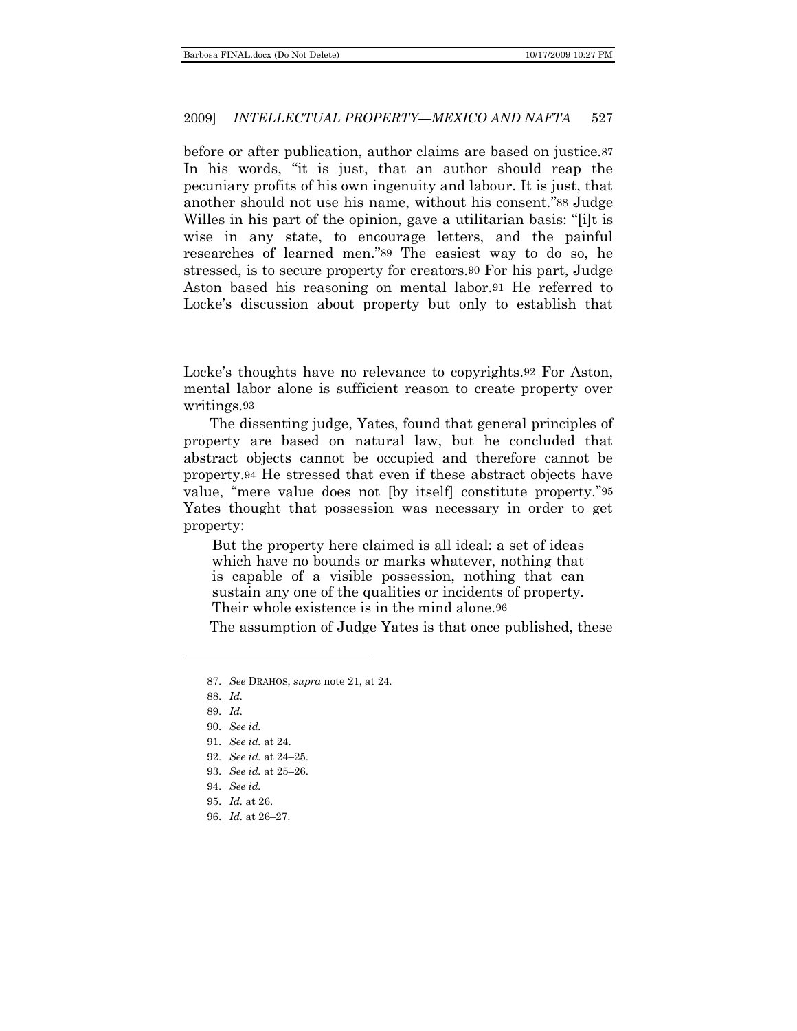before or after publication, author claims are based on justice.87 In his words, "it is just, that an author should reap the pecuniary profits of his own ingenuity and labour. It is just, that another should not use his name, without his consent."88 Judge Willes in his part of the opinion, gave a utilitarian basis: "[i]t is wise in any state, to encourage letters, and the painful researches of learned men."89 The easiest way to do so, he stressed, is to secure property for creators.90 For his part, Judge Aston based his reasoning on mental labor.91 He referred to Locke's discussion about property but only to establish that

Locke's thoughts have no relevance to copyrights.92 For Aston, mental labor alone is sufficient reason to create property over writings.93

The dissenting judge, Yates, found that general principles of property are based on natural law, but he concluded that abstract objects cannot be occupied and therefore cannot be property.94 He stressed that even if these abstract objects have value, "mere value does not [by itself] constitute property."95 Yates thought that possession was necessary in order to get property:

But the property here claimed is all ideal: a set of ideas which have no bounds or marks whatever, nothing that is capable of a visible possession, nothing that can sustain any one of the qualities or incidents of property. Their whole existence is in the mind alone.96

The assumption of Judge Yates is that once published, these

96. *Id.* at 26–27.

<sup>87.</sup> *See* DRAHOS, *supra* note 21, at 24.

<sup>88.</sup> *Id.*

<sup>89.</sup> *Id.*

<sup>90.</sup> *See id.*

<sup>91.</sup> *See id.* at 24.

<sup>92.</sup> *See id.* at 24–25.

<sup>93.</sup> *See id.* at 25–26.

<sup>94.</sup> *See id.*

<sup>95.</sup> *Id.* at 26.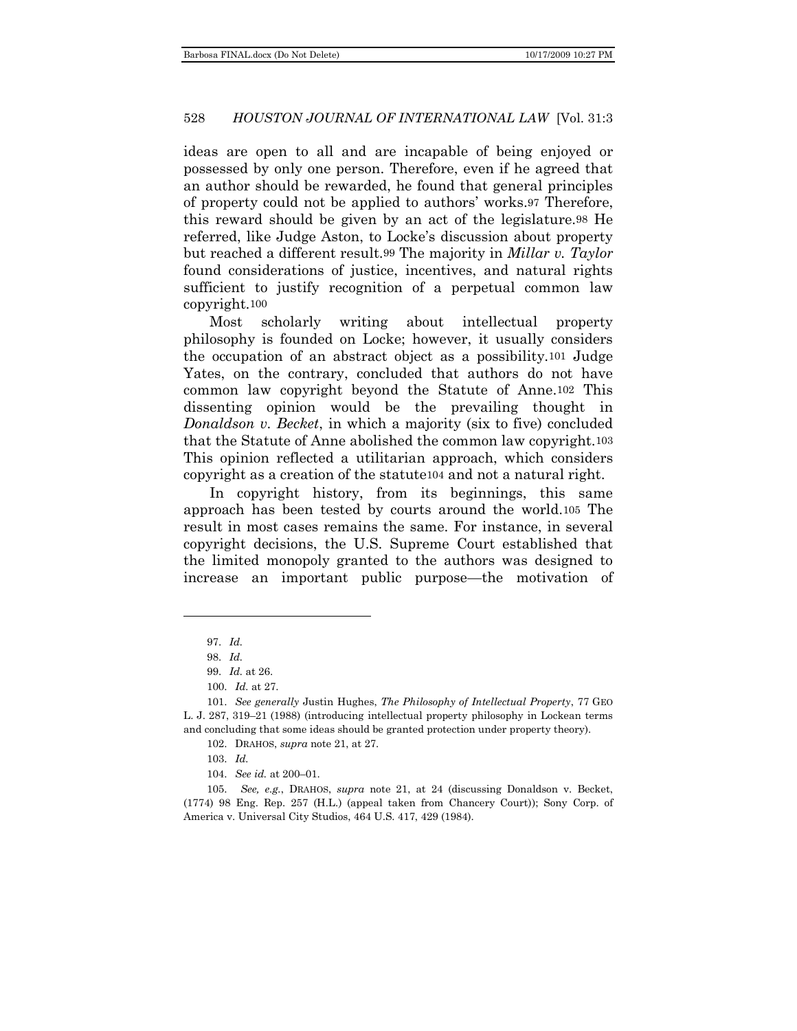ideas are open to all and are incapable of being enjoyed or possessed by only one person. Therefore, even if he agreed that an author should be rewarded, he found that general principles of property could not be applied to authors' works.97 Therefore, this reward should be given by an act of the legislature.98 He referred, like Judge Aston, to Locke's discussion about property but reached a different result.99 The majority in *Millar v. Taylor* found considerations of justice, incentives, and natural rights sufficient to justify recognition of a perpetual common law copyright.100

Most scholarly writing about intellectual property philosophy is founded on Locke; however, it usually considers the occupation of an abstract object as a possibility.101 Judge Yates, on the contrary, concluded that authors do not have common law copyright beyond the Statute of Anne.102 This dissenting opinion would be the prevailing thought in *Donaldson v. Becket*, in which a majority (six to five) concluded that the Statute of Anne abolished the common law copyright.103 This opinion reflected a utilitarian approach, which considers copyright as a creation of the statute104 and not a natural right.

In copyright history, from its beginnings, this same approach has been tested by courts around the world.105 The result in most cases remains the same. For instance, in several copyright decisions, the U.S. Supreme Court established that the limited monopoly granted to the authors was designed to increase an important public purpose—the motivation of

 $\overline{a}$ 

104. *See id.* at 200–01.

105. *See, e.g.*, DRAHOS, *supra* note 21, at 24 (discussing Donaldson v. Becket, (1774) 98 Eng. Rep. 257 (H.L.) (appeal taken from Chancery Court)); Sony Corp. of America v. Universal City Studios, 464 U.S. 417, 429 (1984).

<sup>97.</sup> *Id.*

<sup>98.</sup> *Id.*

<sup>99.</sup> *Id.* at 26.

<sup>100.</sup> *Id.* at 27.

<sup>101.</sup> *See generally* Justin Hughes, *The Philosophy of Intellectual Property*, 77 GEO L. J. 287, 319–21 (1988) (introducing intellectual property philosophy in Lockean terms and concluding that some ideas should be granted protection under property theory).

<sup>102.</sup> DRAHOS, *supra* note 21, at 27.

<sup>103.</sup> *Id.*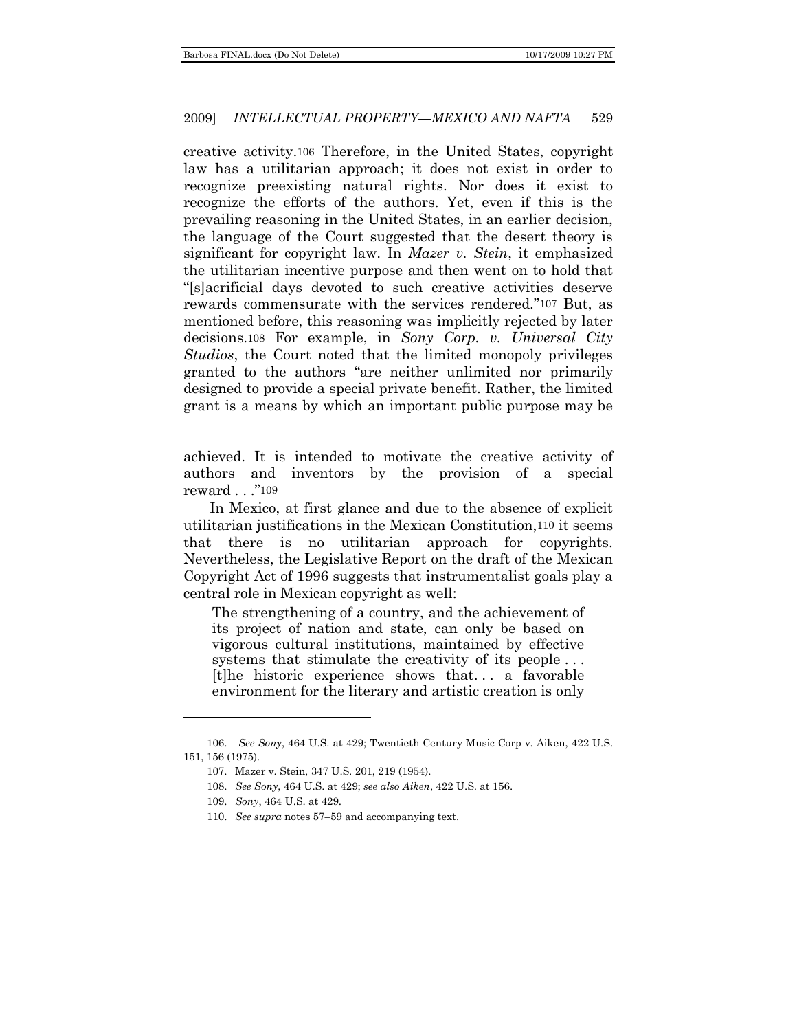creative activity.106 Therefore, in the United States, copyright law has a utilitarian approach; it does not exist in order to recognize preexisting natural rights. Nor does it exist to recognize the efforts of the authors. Yet, even if this is the prevailing reasoning in the United States, in an earlier decision, the language of the Court suggested that the desert theory is significant for copyright law. In *Mazer v. Stein*, it emphasized the utilitarian incentive purpose and then went on to hold that ―[s]acrificial days devoted to such creative activities deserve rewards commensurate with the services rendered."107 But, as mentioned before, this reasoning was implicitly rejected by later decisions.108 For example, in *Sony Corp. v. Universal City Studios*, the Court noted that the limited monopoly privileges granted to the authors "are neither unlimited nor primarily designed to provide a special private benefit. Rather, the limited grant is a means by which an important public purpose may be

achieved. It is intended to motivate the creative activity of authors and inventors by the provision of a special reward . . ."109

In Mexico, at first glance and due to the absence of explicit utilitarian justifications in the Mexican Constitution,110 it seems that there is no utilitarian approach for copyrights. Nevertheless, the Legislative Report on the draft of the Mexican Copyright Act of 1996 suggests that instrumentalist goals play a central role in Mexican copyright as well:

The strengthening of a country, and the achievement of its project of nation and state, can only be based on vigorous cultural institutions, maintained by effective systems that stimulate the creativity of its people... [t]he historic experience shows that. . . a favorable environment for the literary and artistic creation is only

<sup>106.</sup> *See Sony*, 464 U.S. at 429; Twentieth Century Music Corp v. Aiken, 422 U.S. 151, 156 (1975).

<sup>107.</sup> Mazer v. Stein, 347 U.S. 201, 219 (1954).

<sup>108.</sup> *See Sony*, 464 U.S. at 429; *see also Aiken*, 422 U.S. at 156.

<sup>109.</sup> *Sony*, 464 U.S. at 429.

<sup>110.</sup> *See supra* notes 57–59 and accompanying text.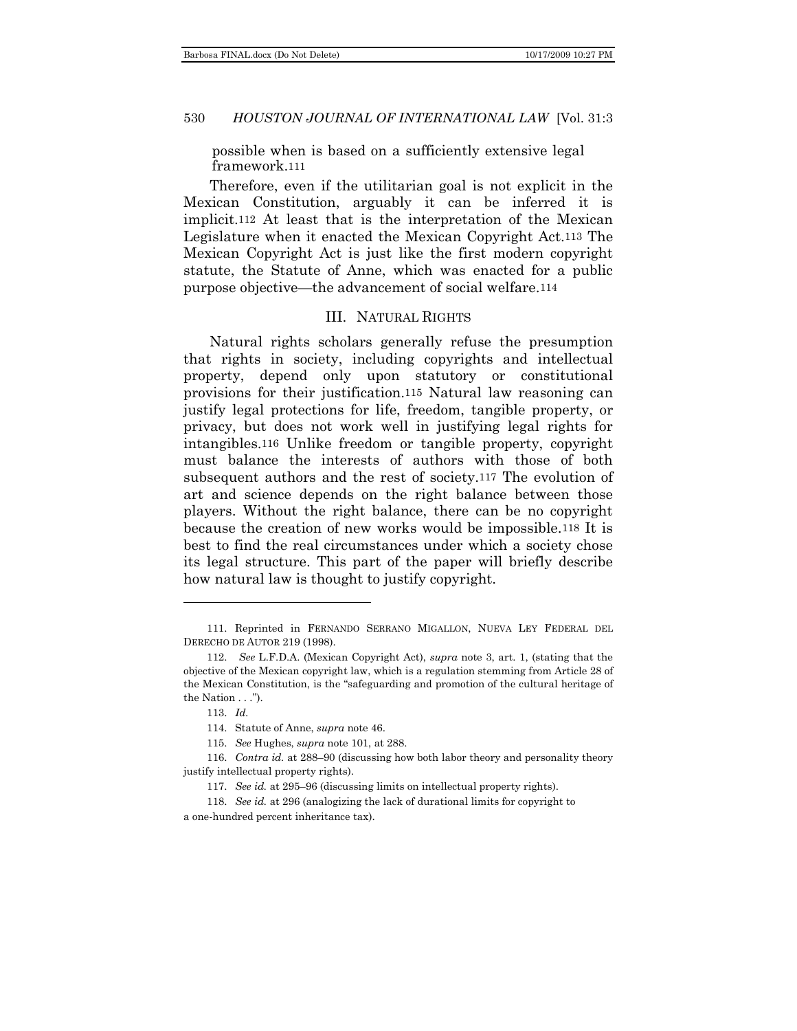possible when is based on a sufficiently extensive legal framework.111

Therefore, even if the utilitarian goal is not explicit in the Mexican Constitution, arguably it can be inferred it is implicit.112 At least that is the interpretation of the Mexican Legislature when it enacted the Mexican Copyright Act.113 The Mexican Copyright Act is just like the first modern copyright statute, the Statute of Anne, which was enacted for a public purpose objective—the advancement of social welfare.114

### III. NATURAL RIGHTS

<span id="page-15-0"></span>Natural rights scholars generally refuse the presumption that rights in society, including copyrights and intellectual property, depend only upon statutory or constitutional provisions for their justification.115 Natural law reasoning can justify legal protections for life, freedom, tangible property, or privacy, but does not work well in justifying legal rights for intangibles.116 Unlike freedom or tangible property, copyright must balance the interests of authors with those of both subsequent authors and the rest of society.117 The evolution of art and science depends on the right balance between those players. Without the right balance, there can be no copyright because the creation of new works would be impossible.118 It is best to find the real circumstances under which a society chose its legal structure. This part of the paper will briefly describe how natural law is thought to justify copyright.

l

<sup>111.</sup> Reprinted in FERNANDO SERRANO MIGALLON, NUEVA LEY FEDERAL DEL DERECHO DE AUTOR 219 (1998).

<sup>112.</sup> *See* L.F.D.A. (Mexican Copyright Act), *supra* note 3, art. 1, (stating that the objective of the Mexican copyright law, which is a regulation stemming from Article 28 of the Mexican Constitution, is the "safeguarding and promotion of the cultural heritage of the Nation  $\ldots$ ").

<sup>113.</sup> *Id.*

<sup>114.</sup> Statute of Anne, *supra* note 46.

<sup>115.</sup> *See* Hughes, *supra* note 101, at 288.

<sup>116.</sup> *Contra id.* at 288–90 (discussing how both labor theory and personality theory justify intellectual property rights).

<sup>117.</sup> *See id.* at 295–96 (discussing limits on intellectual property rights).

<sup>118.</sup> *See id.* at 296 (analogizing the lack of durational limits for copyright to a one-hundred percent inheritance tax).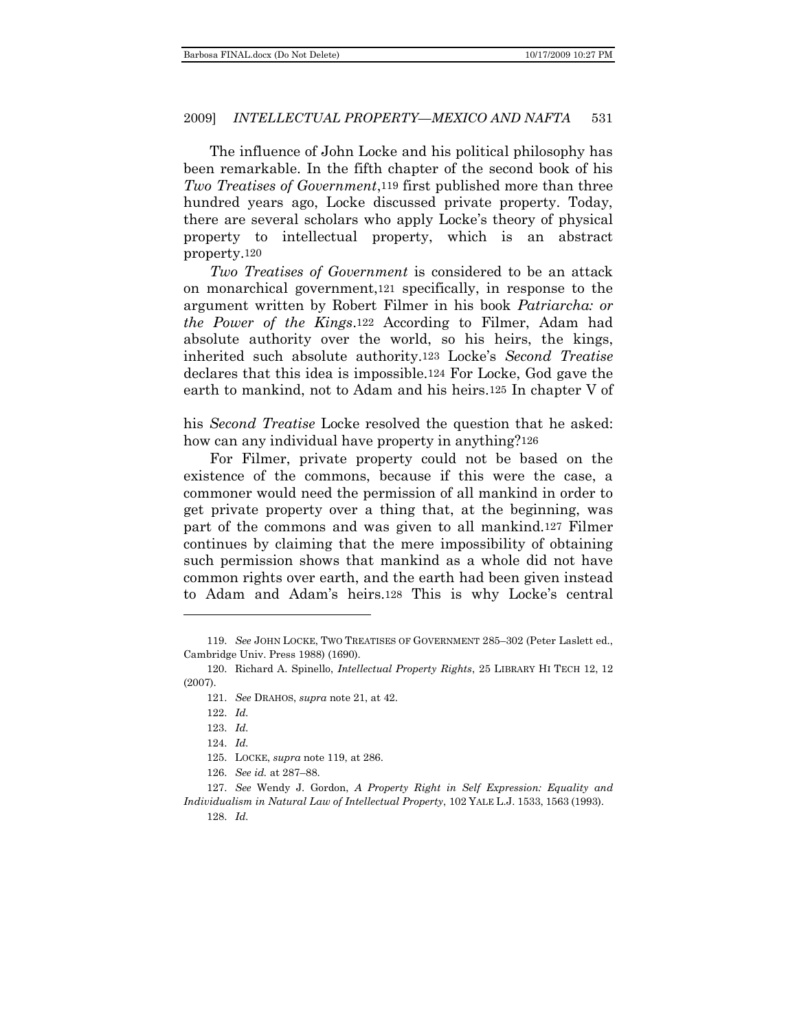The influence of John Locke and his political philosophy has been remarkable. In the fifth chapter of the second book of his *Two Treatises of Government*,119 first published more than three hundred years ago, Locke discussed private property. Today, there are several scholars who apply Locke's theory of physical property to intellectual property, which is an abstract property.120

*Two Treatises of Government* is considered to be an attack on monarchical government,121 specifically, in response to the argument written by Robert Filmer in his book *Patriarcha: or the Power of the Kings*.122 According to Filmer, Adam had absolute authority over the world, so his heirs, the kings, inherited such absolute authority.123 Locke's *Second Treatise* declares that this idea is impossible.124 For Locke, God gave the earth to mankind, not to Adam and his heirs.125 In chapter V of

his *Second Treatise* Locke resolved the question that he asked: how can any individual have property in anything?126

For Filmer, private property could not be based on the existence of the commons, because if this were the case, a commoner would need the permission of all mankind in order to get private property over a thing that, at the beginning, was part of the commons and was given to all mankind.127 Filmer continues by claiming that the mere impossibility of obtaining such permission shows that mankind as a whole did not have common rights over earth, and the earth had been given instead to Adam and Adam's heirs.128 This is why Locke's central

128. *Id.*

<sup>119.</sup> *See* JOHN LOCKE, TWO TREATISES OF GOVERNMENT 285–302 (Peter Laslett ed., Cambridge Univ. Press 1988) (1690).

<sup>120.</sup> Richard A. Spinello, *Intellectual Property Rights*, 25 LIBRARY HI TECH 12, 12 (2007).

<sup>121.</sup> *See* DRAHOS, *supra* note 21, at 42.

<sup>122.</sup> *Id.*

<sup>123.</sup> *Id.*

<sup>124.</sup> *Id.*

<sup>125.</sup> LOCKE, *supra* note 119, at 286.

<sup>126.</sup> *See id.* at 287–88.

<sup>127.</sup> *See* Wendy J. Gordon, *A Property Right in Self Expression: Equality and Individualism in Natural Law of Intellectual Property*, 102 YALE L.J. 1533, 1563 (1993).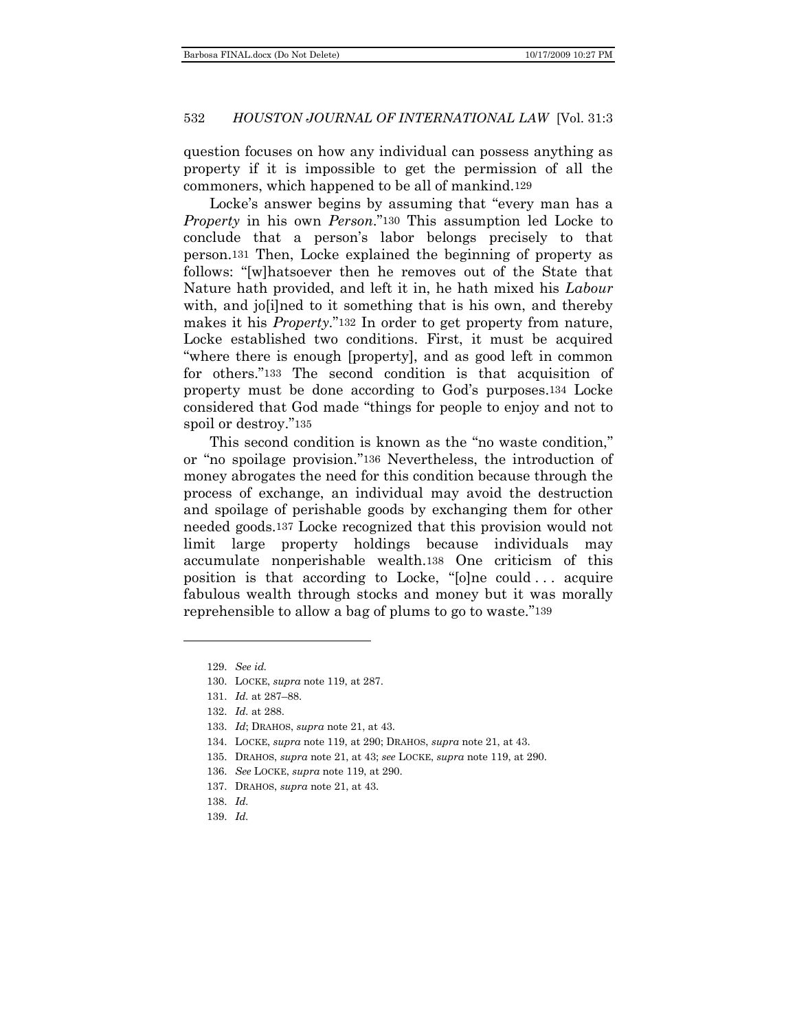question focuses on how any individual can possess anything as property if it is impossible to get the permission of all the commoners, which happened to be all of mankind.129

Locke's answer begins by assuming that "every man has a *Property* in his own *Person*."130 This assumption led Locke to conclude that a person's labor belongs precisely to that person.131 Then, Locke explained the beginning of property as follows: "[w]hatsoever then he removes out of the State that Nature hath provided, and left it in, he hath mixed his *Labour* with, and jo<sup>[i]</sup>ned to it something that is his own, and thereby makes it his *Property*."<sup>132</sup> In order to get property from nature, Locke established two conditions. First, it must be acquired ―where there is enough [property], and as good left in common for others."133 The second condition is that acquisition of property must be done according to God's purposes.134 Locke considered that God made "things for people to enjoy and not to spoil or destroy."135

This second condition is known as the "no waste condition," or "no spoilage provision."<sup>136</sup> Nevertheless, the introduction of money abrogates the need for this condition because through the process of exchange, an individual may avoid the destruction and spoilage of perishable goods by exchanging them for other needed goods.137 Locke recognized that this provision would not limit large property holdings because individuals may accumulate nonperishable wealth.138 One criticism of this position is that according to Locke, "[o]ne could ... acquire fabulous wealth through stocks and money but it was morally reprehensible to allow a bag of plums to go to waste."139

<sup>129.</sup> *See id.*

<sup>130.</sup> LOCKE, *supra* note 119, at 287.

<sup>131.</sup> *Id.* at 287–88.

<sup>132.</sup> *Id.* at 288.

<sup>133.</sup> *Id*; DRAHOS, *supra* note 21, at 43.

<sup>134.</sup> LOCKE, *supra* note 119, at 290; DRAHOS, *supra* note 21, at 43.

<sup>135.</sup> DRAHOS, *supra* note 21, at 43; *see* LOCKE, *supra* note 119, at 290.

<sup>136.</sup> *See* LOCKE, *supra* note 119, at 290.

<sup>137.</sup> DRAHOS, *supra* note 21, at 43.

<sup>138.</sup> *Id.*

<sup>139.</sup> *Id.*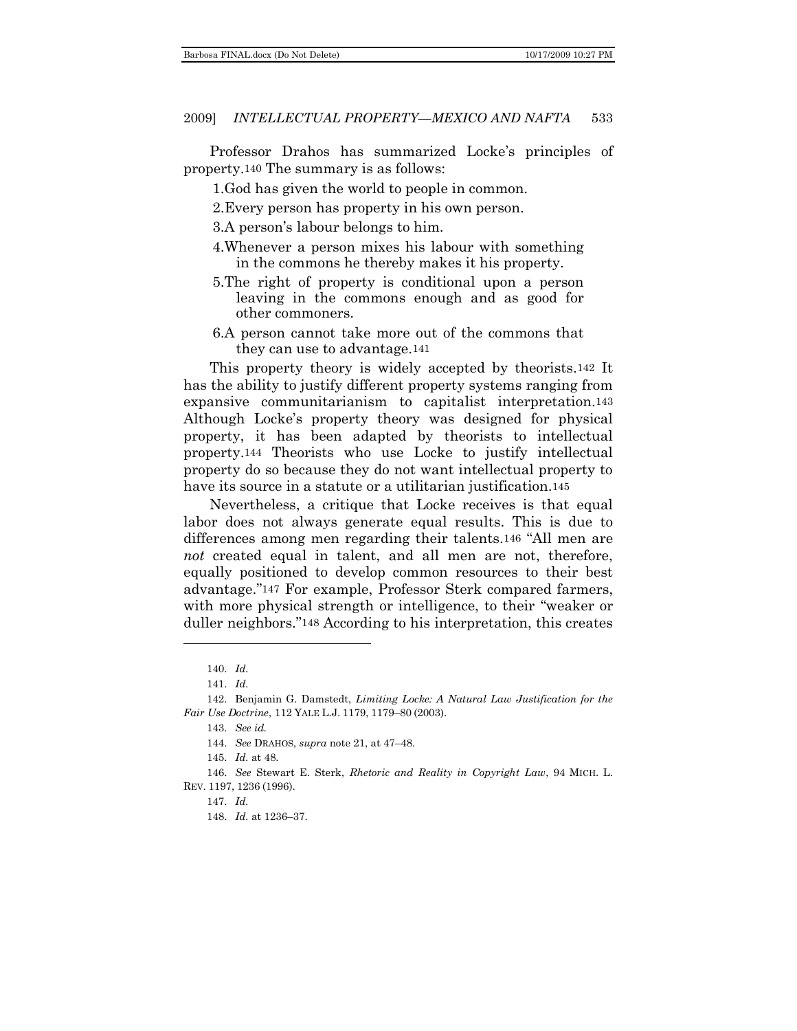Professor Drahos has summarized Locke's principles of property.140 The summary is as follows:

1.God has given the world to people in common.

2.Every person has property in his own person.

3.A person's labour belongs to him.

- 4.Whenever a person mixes his labour with something in the commons he thereby makes it his property.
- 5.The right of property is conditional upon a person leaving in the commons enough and as good for other commoners.
- 6.A person cannot take more out of the commons that they can use to advantage.141

This property theory is widely accepted by theorists.142 It has the ability to justify different property systems ranging from expansive communitarianism to capitalist interpretation.143 Although Locke's property theory was designed for physical property, it has been adapted by theorists to intellectual property.144 Theorists who use Locke to justify intellectual property do so because they do not want intellectual property to have its source in a statute or a utilitarian justification.<sup>145</sup>

Nevertheless, a critique that Locke receives is that equal labor does not always generate equal results. This is due to differences among men regarding their talents.<sup>146</sup> "All men are *not* created equal in talent, and all men are not, therefore, equally positioned to develop common resources to their best advantage."147 For example, Professor Sterk compared farmers, with more physical strength or intelligence, to their "weaker or duller neighbors."<sup>148</sup> According to his interpretation, this creates

<sup>140.</sup> *Id.*

<sup>141.</sup> *Id.*

<sup>142.</sup> Benjamin G. Damstedt, *Limiting Locke: A Natural Law Justification for the Fair Use Doctrine*, 112 YALE L.J. 1179, 1179–80 (2003).

<sup>143.</sup> *See id.*

<sup>144.</sup> *See* DRAHOS, *supra* note 21, at 47–48.

<sup>145.</sup> *Id.* at 48.

<sup>146.</sup> *See* Stewart E. Sterk, *Rhetoric and Reality in Copyright Law*, 94 MICH. L. REV. 1197, 1236 (1996).

<sup>147.</sup> *Id.*

<sup>148.</sup> *Id.* at 1236–37.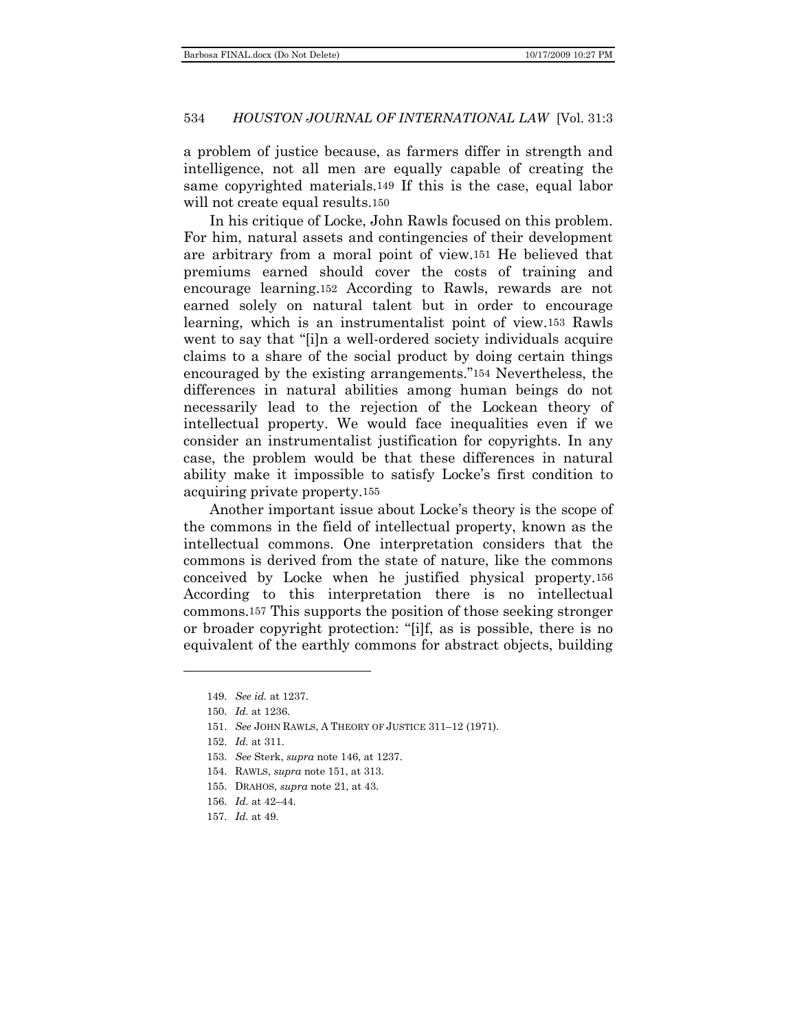a problem of justice because, as farmers differ in strength and intelligence, not all men are equally capable of creating the same copyrighted materials.149 If this is the case, equal labor will not create equal results.<sup>150</sup>

In his critique of Locke, John Rawls focused on this problem. For him, natural assets and contingencies of their development are arbitrary from a moral point of view.151 He believed that premiums earned should cover the costs of training and encourage learning.152 According to Rawls, rewards are not earned solely on natural talent but in order to encourage learning, which is an instrumentalist point of view.153 Rawls went to say that "[i]n a well-ordered society individuals acquire claims to a share of the social product by doing certain things encouraged by the existing arrangements."154 Nevertheless, the differences in natural abilities among human beings do not necessarily lead to the rejection of the Lockean theory of intellectual property. We would face inequalities even if we consider an instrumentalist justification for copyrights. In any case, the problem would be that these differences in natural ability make it impossible to satisfy Locke's first condition to acquiring private property.155

Another important issue about Locke's theory is the scope of the commons in the field of intellectual property, known as the intellectual commons. One interpretation considers that the commons is derived from the state of nature, like the commons conceived by Locke when he justified physical property.156 According to this interpretation there is no intellectual commons.157 This supports the position of those seeking stronger or broader copyright protection: "[i]f, as is possible, there is no equivalent of the earthly commons for abstract objects, building

- 153. *See* Sterk, *supra* note 146, at 1237.
- 154. RAWLS, *supra* note 151, at 313.
- 155. DRAHOS, *supra* note 21, at 43.
- 156. *Id.* at 42–44.
- 157. *Id.* at 49.

<sup>149.</sup> *See id.* at 1237.

<sup>150.</sup> *Id.* at 1236.

<sup>151.</sup> *See* JOHN RAWLS, A THEORY OF JUSTICE 311–12 (1971).

<sup>152.</sup> *Id.* at 311.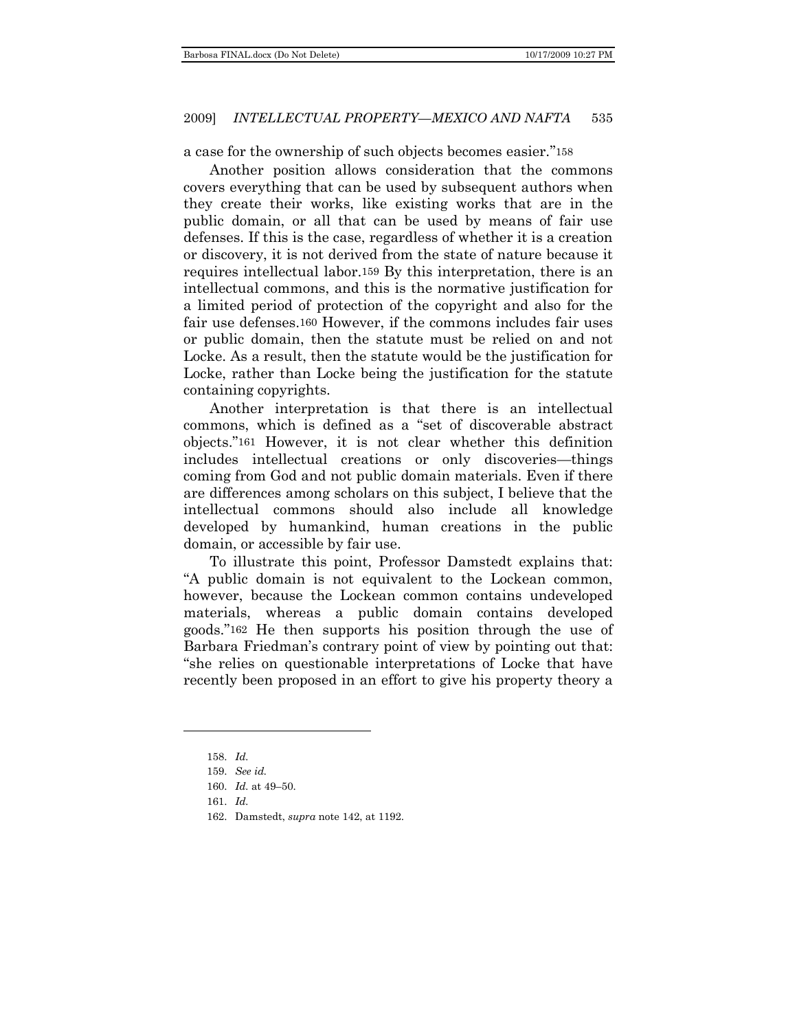a case for the ownership of such objects becomes easier."158

Another position allows consideration that the commons covers everything that can be used by subsequent authors when they create their works, like existing works that are in the public domain, or all that can be used by means of fair use defenses. If this is the case, regardless of whether it is a creation or discovery, it is not derived from the state of nature because it requires intellectual labor.159 By this interpretation, there is an intellectual commons, and this is the normative justification for a limited period of protection of the copyright and also for the fair use defenses.160 However, if the commons includes fair uses or public domain, then the statute must be relied on and not Locke. As a result, then the statute would be the justification for Locke, rather than Locke being the justification for the statute containing copyrights.

Another interpretation is that there is an intellectual commons, which is defined as a "set of discoverable abstract objects.‖161 However, it is not clear whether this definition includes intellectual creations or only discoveries—things coming from God and not public domain materials. Even if there are differences among scholars on this subject, I believe that the intellectual commons should also include all knowledge developed by humankind, human creations in the public domain, or accessible by fair use.

To illustrate this point, Professor Damstedt explains that: ―A public domain is not equivalent to the Lockean common, however, because the Lockean common contains undeveloped materials, whereas a public domain contains developed goods.‖162 He then supports his position through the use of Barbara Friedman's contrary point of view by pointing out that: ―she relies on questionable interpretations of Locke that have recently been proposed in an effort to give his property theory a

<sup>158.</sup> *Id.*

<sup>159.</sup> *See id.*

<sup>160.</sup> *Id.* at 49–50.

<sup>161.</sup> *Id.*

<sup>162.</sup> Damstedt, *supra* note 142, at 1192.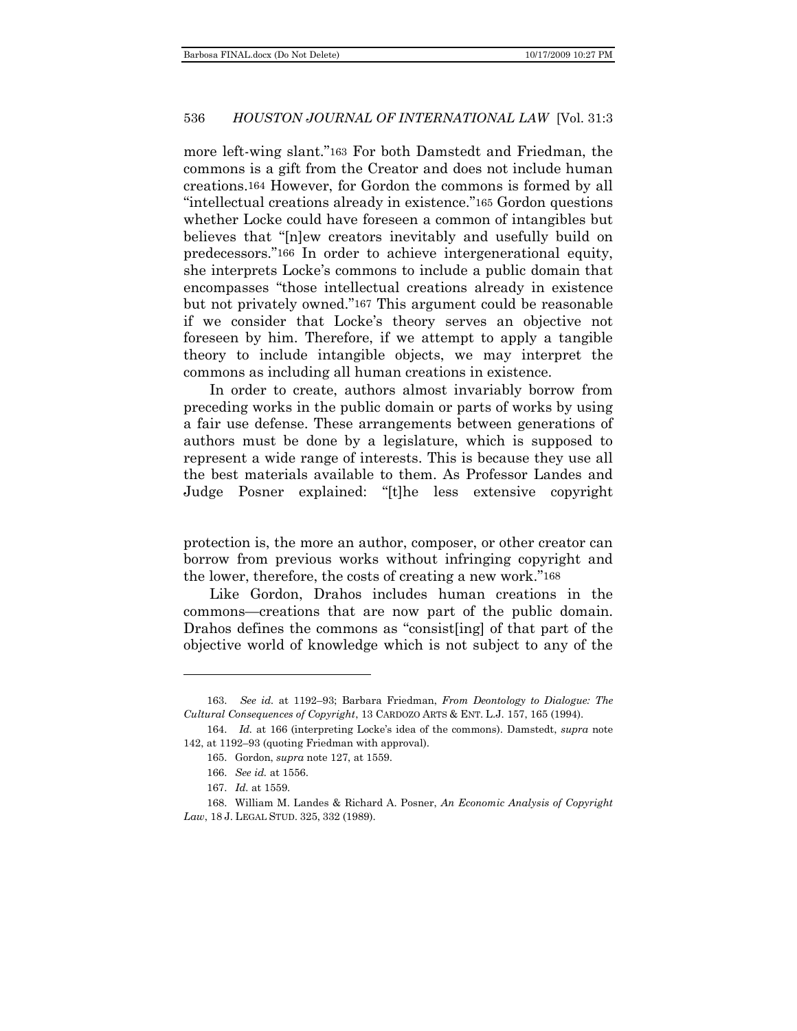more left-wing slant."<sup>163</sup> For both Damstedt and Friedman, the commons is a gift from the Creator and does not include human creations.164 However, for Gordon the commons is formed by all ―intellectual creations already in existence.‖165 Gordon questions whether Locke could have foreseen a common of intangibles but believes that "[n]ew creators inevitably and usefully build on predecessors.‖166 In order to achieve intergenerational equity, she interprets Locke's commons to include a public domain that encompasses "those intellectual creations already in existence but not privately owned."<sup>167</sup> This argument could be reasonable if we consider that Locke's theory serves an objective not foreseen by him. Therefore, if we attempt to apply a tangible theory to include intangible objects, we may interpret the commons as including all human creations in existence.

In order to create, authors almost invariably borrow from preceding works in the public domain or parts of works by using a fair use defense. These arrangements between generations of authors must be done by a legislature, which is supposed to represent a wide range of interests. This is because they use all the best materials available to them. As Professor Landes and Judge Posner explained: "[t]he less extensive copyright

protection is, the more an author, composer, or other creator can borrow from previous works without infringing copyright and the lower, therefore, the costs of creating a new work."<sup>168</sup>

Like Gordon, Drahos includes human creations in the commons—creations that are now part of the public domain. Drahos defines the commons as "consist [ing] of that part of the objective world of knowledge which is not subject to any of the

<sup>163.</sup> *See id.* at 1192–93; Barbara Friedman, *From Deontology to Dialogue: The Cultural Consequences of Copyright*, 13 CARDOZO ARTS & ENT. L.J. 157, 165 (1994).

<sup>164.</sup> *Id.* at 166 (interpreting Locke's idea of the commons). Damstedt, *supra* note 142, at 1192–93 (quoting Friedman with approval).

<sup>165.</sup> Gordon, *supra* note 127, at 1559.

<sup>166.</sup> *See id.* at 1556.

<sup>167.</sup> *Id.* at 1559.

<sup>168.</sup> William M. Landes & Richard A. Posner, *An Economic Analysis of Copyright Law*, 18 J. LEGAL STUD. 325, 332 (1989).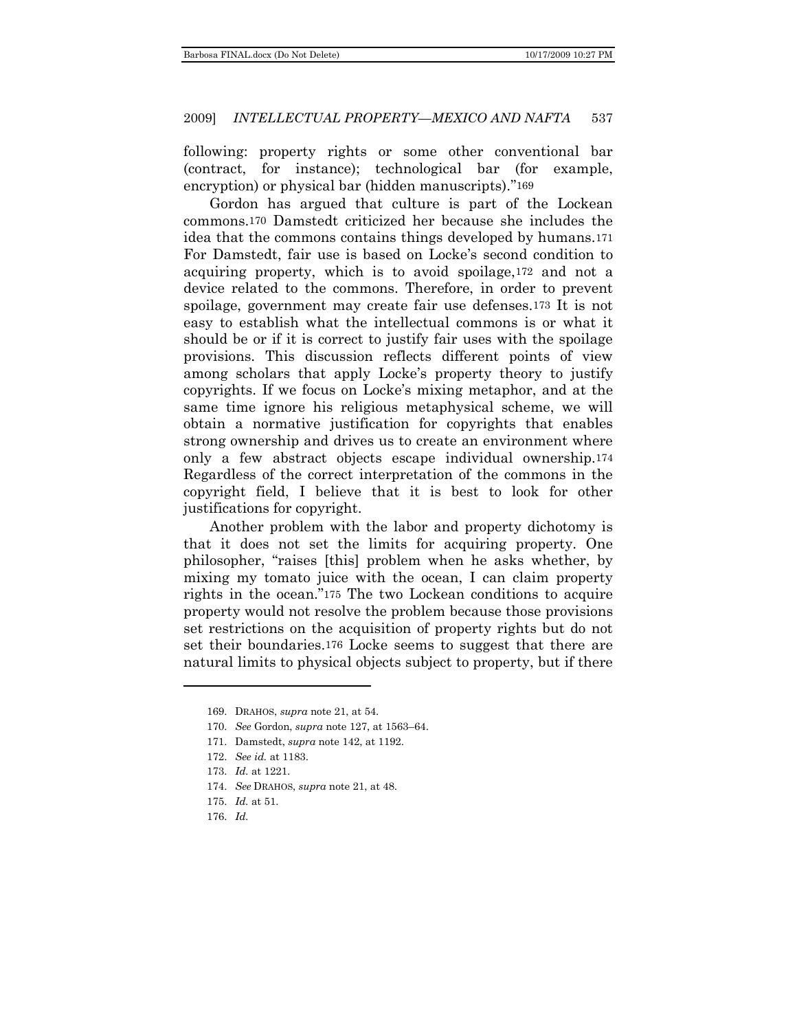following: property rights or some other conventional bar (contract, for instance); technological bar (for example, encryption) or physical bar (hidden manuscripts)."169

Gordon has argued that culture is part of the Lockean commons.170 Damstedt criticized her because she includes the idea that the commons contains things developed by humans.171 For Damstedt, fair use is based on Locke's second condition to acquiring property, which is to avoid spoilage,172 and not a device related to the commons. Therefore, in order to prevent spoilage, government may create fair use defenses.173 It is not easy to establish what the intellectual commons is or what it should be or if it is correct to justify fair uses with the spoilage provisions. This discussion reflects different points of view among scholars that apply Locke's property theory to justify copyrights. If we focus on Locke's mixing metaphor, and at the same time ignore his religious metaphysical scheme, we will obtain a normative justification for copyrights that enables strong ownership and drives us to create an environment where only a few abstract objects escape individual ownership.174 Regardless of the correct interpretation of the commons in the copyright field, I believe that it is best to look for other justifications for copyright.

Another problem with the labor and property dichotomy is that it does not set the limits for acquiring property. One philosopher, ―raises [this] problem when he asks whether, by mixing my tomato juice with the ocean, I can claim property rights in the ocean."<sup>175</sup> The two Lockean conditions to acquire property would not resolve the problem because those provisions set restrictions on the acquisition of property rights but do not set their boundaries.176 Locke seems to suggest that there are natural limits to physical objects subject to property, but if there

176. *Id.*

<sup>169.</sup> DRAHOS, *supra* note 21, at 54.

<sup>170.</sup> *See* Gordon, *supra* note 127, at 1563–64.

<sup>171.</sup> Damstedt, *supra* note 142, at 1192.

<sup>172.</sup> *See id.* at 1183.

<sup>173.</sup> *Id.* at 1221.

<sup>174.</sup> *See* DRAHOS, *supra* note 21, at 48.

<sup>175.</sup> *Id.* at 51.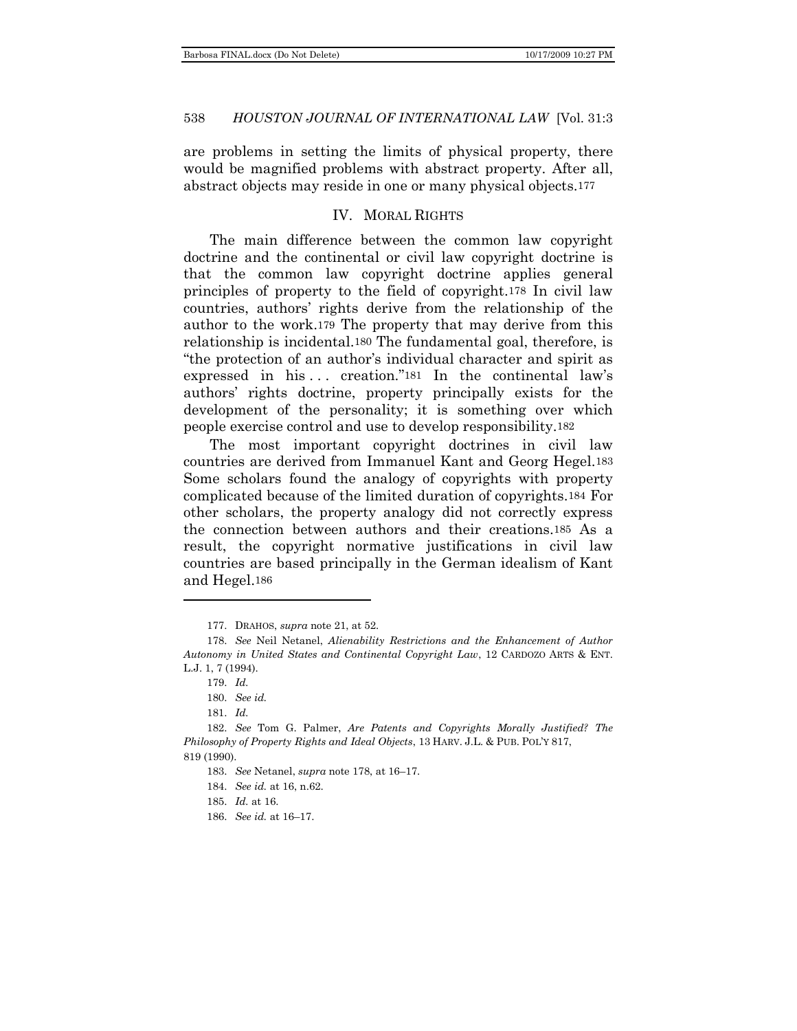are problems in setting the limits of physical property, there would be magnified problems with abstract property. After all, abstract objects may reside in one or many physical objects.177

#### IV. MORAL RIGHTS

<span id="page-23-0"></span>The main difference between the common law copyright doctrine and the continental or civil law copyright doctrine is that the common law copyright doctrine applies general principles of property to the field of copyright.178 In civil law countries, authors' rights derive from the relationship of the author to the work.179 The property that may derive from this relationship is incidental.180 The fundamental goal, therefore, is ―the protection of an author's individual character and spirit as expressed in his  $\ldots$  creation."<sup>181</sup> In the continental law's authors' rights doctrine, property principally exists for the development of the personality; it is something over which people exercise control and use to develop responsibility.182

The most important copyright doctrines in civil law countries are derived from Immanuel Kant and Georg Hegel.183 Some scholars found the analogy of copyrights with property complicated because of the limited duration of copyrights.184 For other scholars, the property analogy did not correctly express the connection between authors and their creations.185 As a result, the copyright normative justifications in civil law countries are based principally in the German idealism of Kant and Hegel.186

<sup>177.</sup> DRAHOS, *supra* note 21, at 52.

<sup>178.</sup> *See* Neil Netanel, *Alienability Restrictions and the Enhancement of Author Autonomy in United States and Continental Copyright Law*, 12 CARDOZO ARTS & ENT. L.J. 1, 7 (1994).

<sup>179.</sup> *Id.*

<sup>180.</sup> *See id.*

<sup>181.</sup> *Id.*

<sup>182.</sup> *See* Tom G. Palmer, *Are Patents and Copyrights Morally Justified? The Philosophy of Property Rights and Ideal Objects*, 13 HARV. J.L. & PUB. POL'Y 817, 819 (1990).

<sup>183.</sup> *See* Netanel, *supra* note 178, at 16–17.

<sup>184.</sup> *See id.* at 16, n.62.

<sup>185.</sup> *Id.* at 16.

<sup>186.</sup> *See id.* at 16–17.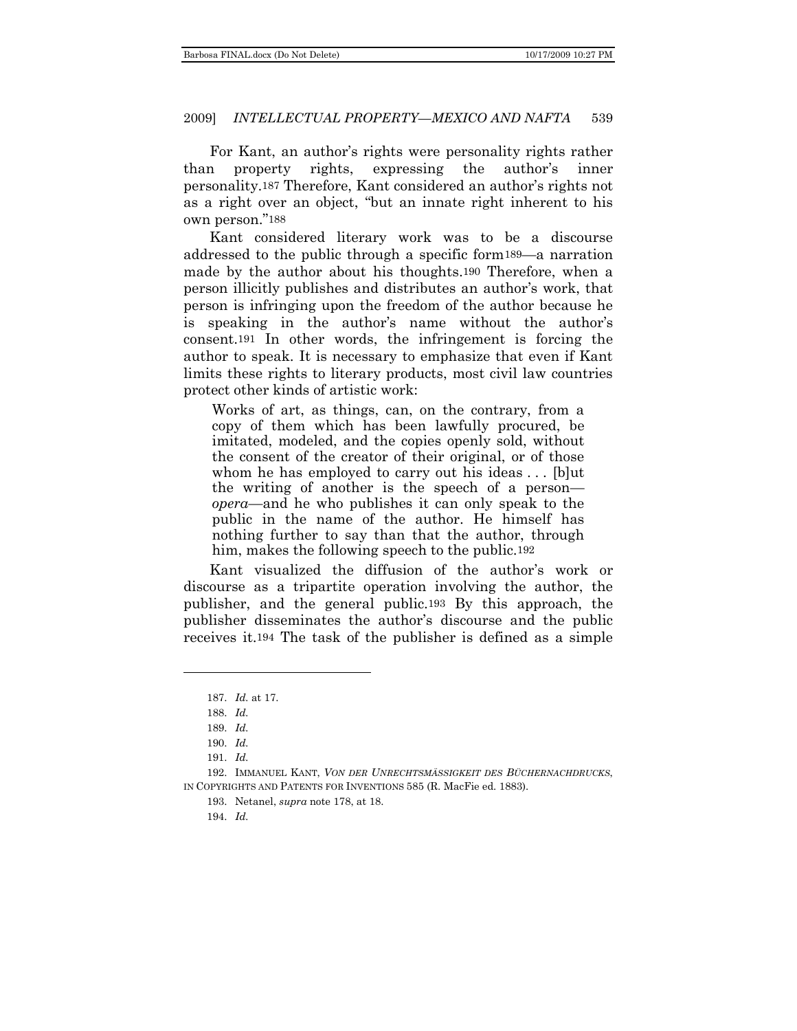For Kant, an author's rights were personality rights rather than property rights, expressing the author's inner personality.187 Therefore, Kant considered an author's rights not as a right over an object, "but an innate right inherent to his own person."188

Kant considered literary work was to be a discourse addressed to the public through a specific form189—a narration made by the author about his thoughts.190 Therefore, when a person illicitly publishes and distributes an author's work, that person is infringing upon the freedom of the author because he is speaking in the author's name without the author's consent.191 In other words, the infringement is forcing the author to speak. It is necessary to emphasize that even if Kant limits these rights to literary products, most civil law countries protect other kinds of artistic work:

Works of art, as things, can, on the contrary, from a copy of them which has been lawfully procured, be imitated, modeled, and the copies openly sold, without the consent of the creator of their original, or of those whom he has employed to carry out his ideas . . . [b]ut the writing of another is the speech of a person *opera*—and he who publishes it can only speak to the public in the name of the author. He himself has nothing further to say than that the author, through him, makes the following speech to the public.192

Kant visualized the diffusion of the author's work or discourse as a tripartite operation involving the author, the publisher, and the general public.193 By this approach, the publisher disseminates the author's discourse and the public receives it.194 The task of the publisher is defined as a simple

<sup>187.</sup> *Id.* at 17.

<sup>188.</sup> *Id.*

<sup>189.</sup> *Id.*

<sup>190.</sup> *Id.*

<sup>191.</sup> *Id.*

<sup>192.</sup> IMMANUEL KANT, *VON DER UNRECHTSMÄSSIGKEIT DES BÜCHERNACHDRUCKS*, IN COPYRIGHTS AND PATENTS FOR INVENTIONS 585 (R. MacFie ed. 1883).

<sup>193.</sup> Netanel, *supra* note 178, at 18.

<sup>194.</sup> *Id.*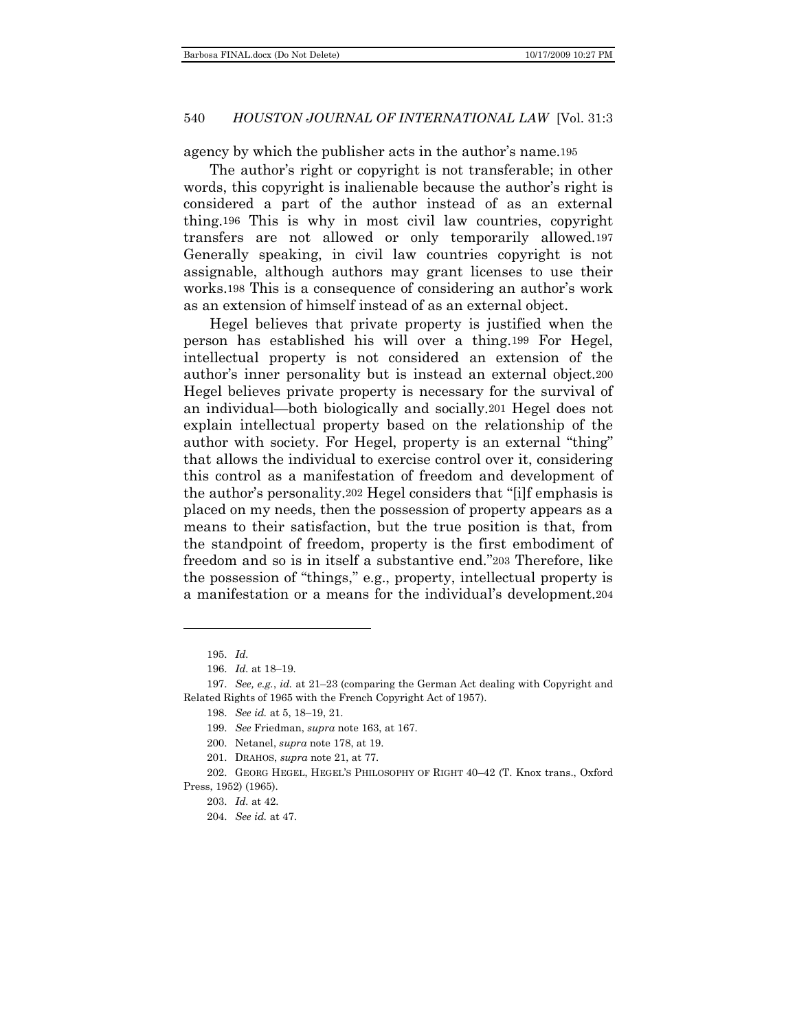agency by which the publisher acts in the author's name.195

The author's right or copyright is not transferable; in other words, this copyright is inalienable because the author's right is considered a part of the author instead of as an external thing.196 This is why in most civil law countries, copyright transfers are not allowed or only temporarily allowed.197 Generally speaking, in civil law countries copyright is not assignable, although authors may grant licenses to use their works.198 This is a consequence of considering an author's work as an extension of himself instead of as an external object.

Hegel believes that private property is justified when the person has established his will over a thing.199 For Hegel, intellectual property is not considered an extension of the author's inner personality but is instead an external object.200 Hegel believes private property is necessary for the survival of an individual—both biologically and socially.201 Hegel does not explain intellectual property based on the relationship of the author with society. For Hegel, property is an external "thing" that allows the individual to exercise control over it, considering this control as a manifestation of freedom and development of the author's personality.<sup>202</sup> Hegel considers that "[i]f emphasis is placed on my needs, then the possession of property appears as a means to their satisfaction, but the true position is that, from the standpoint of freedom, property is the first embodiment of freedom and so is in itself a substantive end."203 Therefore, like the possession of "things," e.g., property, intellectual property is a manifestation or a means for the individual's development.204

202. GEORG HEGEL, HEGEL'S PHILOSOPHY OF RIGHT 40–42 (T. Knox trans., Oxford Press, 1952) (1965).

<sup>195.</sup> *Id.*

<sup>196.</sup> *Id.* at 18–19.

<sup>197.</sup> *See, e.g.*, *id.* at 21–23 (comparing the German Act dealing with Copyright and Related Rights of 1965 with the French Copyright Act of 1957).

<sup>198.</sup> *See id.* at 5, 18–19, 21.

<sup>199.</sup> *See* Friedman, *supra* note 163, at 167.

<sup>200.</sup> Netanel, *supra* note 178, at 19.

<sup>201.</sup> DRAHOS, *supra* note 21, at 77.

<sup>203.</sup> *Id.* at 42.

<sup>204.</sup> *See id.* at 47.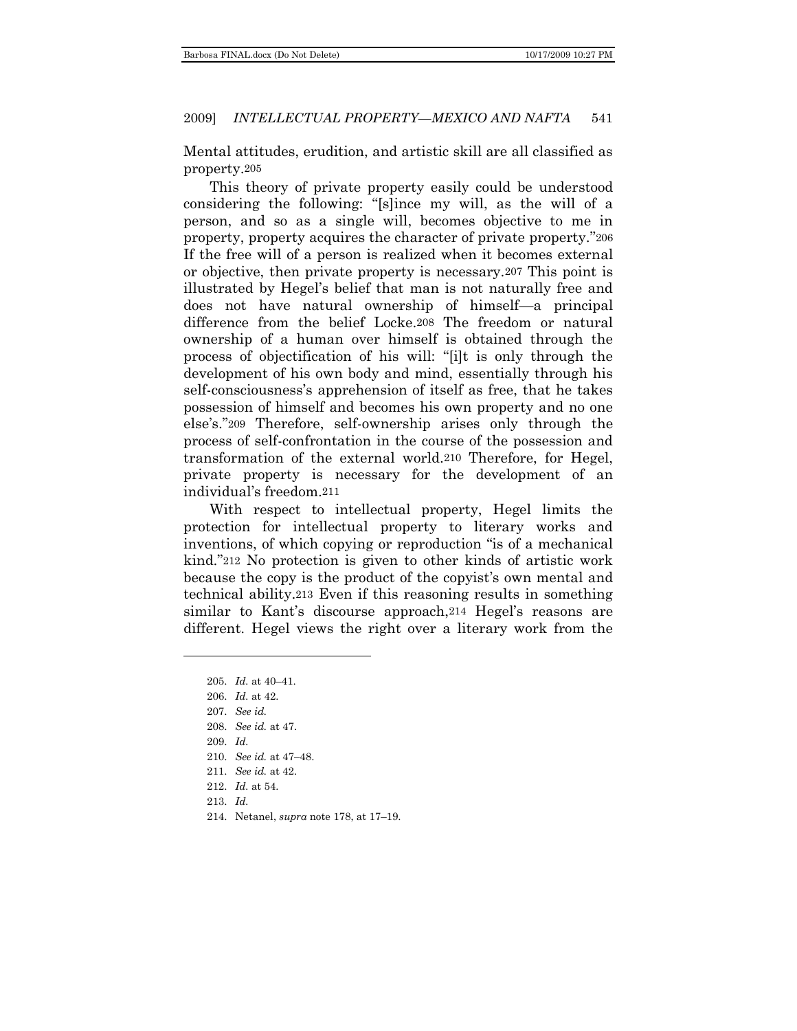Mental attitudes, erudition, and artistic skill are all classified as property.205

This theory of private property easily could be understood considering the following: "[s]ince my will, as the will of a person, and so as a single will, becomes objective to me in property, property acquires the character of private property."206 If the free will of a person is realized when it becomes external or objective, then private property is necessary.207 This point is illustrated by Hegel's belief that man is not naturally free and does not have natural ownership of himself—a principal difference from the belief Locke.208 The freedom or natural ownership of a human over himself is obtained through the process of objectification of his will: "[i]t is only through the development of his own body and mind, essentially through his self-consciousness's apprehension of itself as free, that he takes possession of himself and becomes his own property and no one else's."209 Therefore, self-ownership arises only through the process of self-confrontation in the course of the possession and transformation of the external world.210 Therefore, for Hegel, private property is necessary for the development of an individual's freedom.211

With respect to intellectual property, Hegel limits the protection for intellectual property to literary works and inventions, of which copying or reproduction "is of a mechanical kind."212 No protection is given to other kinds of artistic work because the copy is the product of the copyist's own mental and technical ability.213 Even if this reasoning results in something similar to Kant's discourse approach,214 Hegel's reasons are different. Hegel views the right over a literary work from the

- 211. *See id.* at 42.
- 212. *Id.* at 54.
- 213. *Id.*
- 214. Netanel, *supra* note 178, at 17–19.

<sup>205.</sup> *Id.* at 40–41.

<sup>206.</sup> *Id.* at 42.

<sup>207.</sup> *See id.*

<sup>208.</sup> *See id.* at 47.

<sup>209.</sup> *Id.*

<sup>210.</sup> *See id.* at 47–48.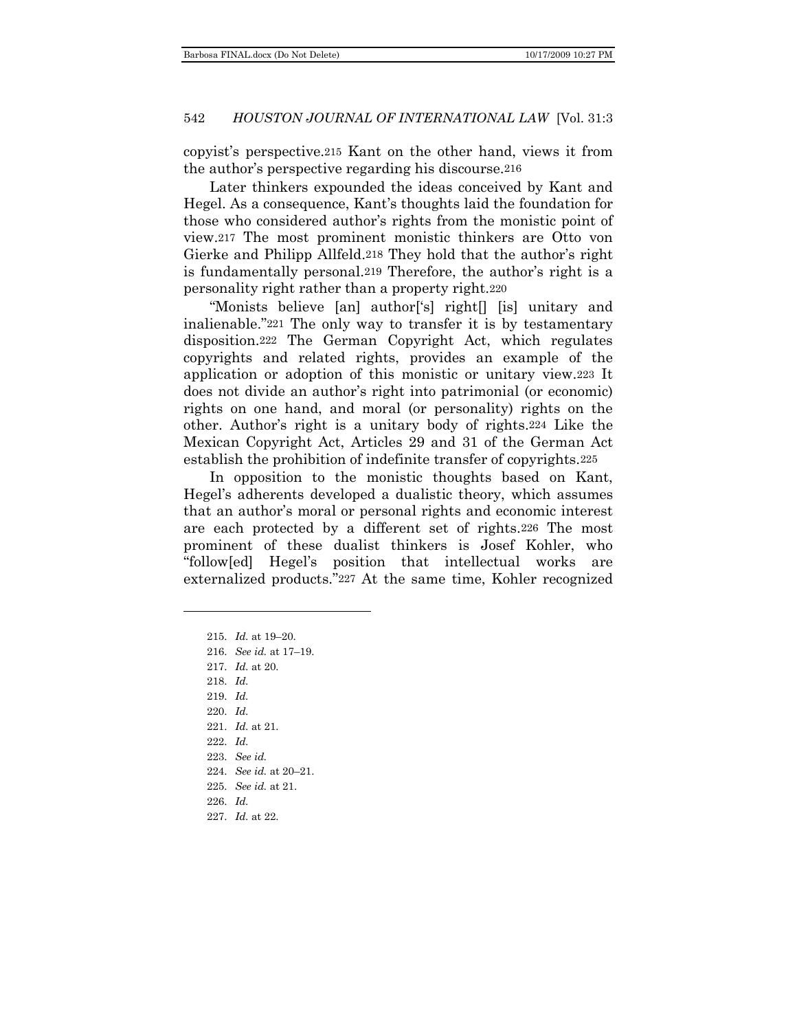copyist's perspective.215 Kant on the other hand, views it from the author's perspective regarding his discourse.216

Later thinkers expounded the ideas conceived by Kant and Hegel. As a consequence, Kant's thoughts laid the foundation for those who considered author's rights from the monistic point of view.217 The most prominent monistic thinkers are Otto von Gierke and Philipp Allfeld.218 They hold that the author's right is fundamentally personal.219 Therefore, the author's right is a personality right rather than a property right.220

―Monists believe [an] author[‗s] right[] [is] unitary and inalienable."221 The only way to transfer it is by testamentary disposition.222 The German Copyright Act, which regulates copyrights and related rights, provides an example of the application or adoption of this monistic or unitary view.223 It does not divide an author's right into patrimonial (or economic) rights on one hand, and moral (or personality) rights on the other. Author's right is a unitary body of rights.224 Like the Mexican Copyright Act, Articles 29 and 31 of the German Act establish the prohibition of indefinite transfer of copyrights.225

In opposition to the monistic thoughts based on Kant, Hegel's adherents developed a dualistic theory, which assumes that an author's moral or personal rights and economic interest are each protected by a different set of rights.226 The most prominent of these dualist thinkers is Josef Kohler, who ―follow[ed] Hegel's position that intellectual works are externalized products."227 At the same time, Kohler recognized

219. *Id.*

- 220. *Id.*
- 221. *Id.* at 21.
- 222. *Id.*
- 223. *See id.*
- 224. *See id.* at 20–21.
- 225. *See id.* at 21.
- 226. *Id.*
- 227. *Id.* at 22.

<sup>215.</sup> *Id.* at 19–20.

<sup>216.</sup> *See id.* at 17–19.

<sup>217.</sup> *Id.* at 20.

<sup>218.</sup> *Id.*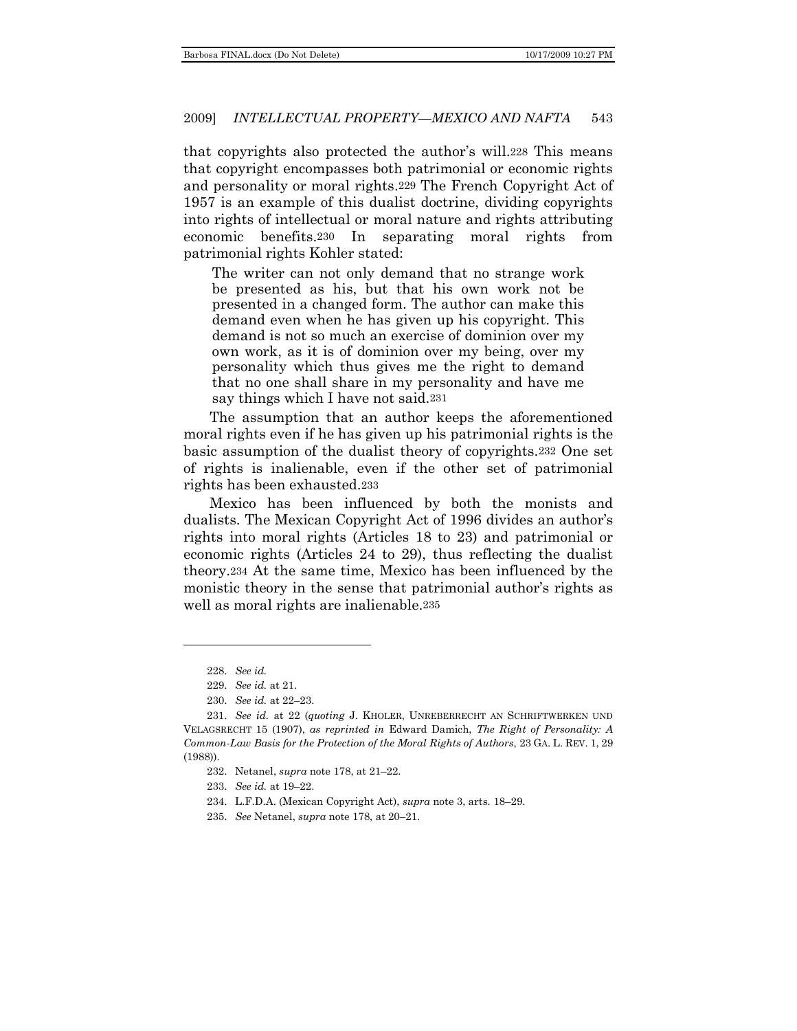that copyrights also protected the author's will.228 This means that copyright encompasses both patrimonial or economic rights and personality or moral rights.229 The French Copyright Act of 1957 is an example of this dualist doctrine, dividing copyrights into rights of intellectual or moral nature and rights attributing economic benefits.230 In separating moral rights from patrimonial rights Kohler stated:

The writer can not only demand that no strange work be presented as his, but that his own work not be presented in a changed form. The author can make this demand even when he has given up his copyright. This demand is not so much an exercise of dominion over my own work, as it is of dominion over my being, over my personality which thus gives me the right to demand that no one shall share in my personality and have me say things which I have not said.231

The assumption that an author keeps the aforementioned moral rights even if he has given up his patrimonial rights is the basic assumption of the dualist theory of copyrights.232 One set of rights is inalienable, even if the other set of patrimonial rights has been exhausted.233

Mexico has been influenced by both the monists and dualists. The Mexican Copyright Act of 1996 divides an author's rights into moral rights (Articles 18 to 23) and patrimonial or economic rights (Articles 24 to 29), thus reflecting the dualist theory.234 At the same time, Mexico has been influenced by the monistic theory in the sense that patrimonial author's rights as well as moral rights are inalienable.235

<sup>228.</sup> *See id.*

<sup>229.</sup> *See id.* at 21.

<sup>230.</sup> *See id.* at 22–23.

<sup>231.</sup> *See id.* at 22 (*quoting* J. KHOLER, UNREBERRECHT AN SCHRIFTWERKEN UND VELAGSRECHT 15 (1907), *as reprinted in* Edward Damich, *The Right of Personality: A Common-Law Basis for the Protection of the Moral Rights of Authors*, 23 GA. L. REV. 1, 29 (1988)).

<sup>232.</sup> Netanel, *supra* note 178, at 21–22.

<sup>233.</sup> *See id.* at 19–22.

<sup>234.</sup> L.F.D.A. (Mexican Copyright Act), *supra* note 3, arts. 18–29.

<sup>235.</sup> *See* Netanel, *supra* note 178, at 20–21.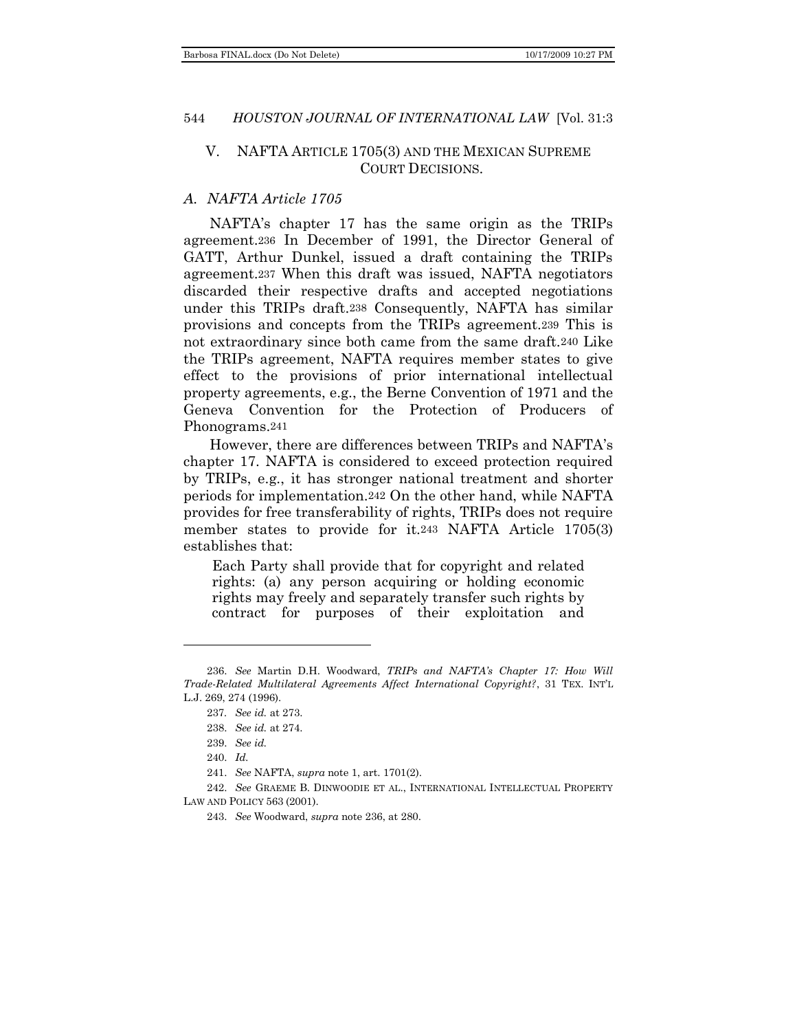### <span id="page-29-0"></span>V. NAFTA ARTICLE 1705(3) AND THE MEXICAN SUPREME COURT DECISIONS.

### <span id="page-29-1"></span>*A. NAFTA Article 1705*

NAFTA's chapter 17 has the same origin as the TRIPs agreement.236 In December of 1991, the Director General of GATT, Arthur Dunkel, issued a draft containing the TRIPs agreement.237 When this draft was issued, NAFTA negotiators discarded their respective drafts and accepted negotiations under this TRIPs draft.238 Consequently, NAFTA has similar provisions and concepts from the TRIPs agreement.239 This is not extraordinary since both came from the same draft.240 Like the TRIPs agreement, NAFTA requires member states to give effect to the provisions of prior international intellectual property agreements, e.g., the Berne Convention of 1971 and the Geneva Convention for the Protection of Producers of Phonograms.241

However, there are differences between TRIPs and NAFTA's chapter 17. NAFTA is considered to exceed protection required by TRIPs, e.g., it has stronger national treatment and shorter periods for implementation.242 On the other hand, while NAFTA provides for free transferability of rights, TRIPs does not require member states to provide for it.243 NAFTA Article 1705(3) establishes that:

Each Party shall provide that for copyright and related rights: (a) any person acquiring or holding economic rights may freely and separately transfer such rights by contract for purposes of their exploitation and

<sup>236.</sup> *See* Martin D.H. Woodward, *TRIPs and NAFTA's Chapter 17: How Will Trade-Related Multilateral Agreements Affect International Copyright?*, 31 TEX. INT'L L.J. 269, 274 (1996).

<sup>237</sup>*. See id.* at 273.

<sup>238.</sup> *See id.* at 274.

<sup>239.</sup> *See id.*

<sup>240.</sup> *Id.*

<sup>241.</sup> *See* NAFTA, *supra* note 1, art. 1701(2).

<sup>242.</sup> *See* GRAEME B. DINWOODIE ET AL., INTERNATIONAL INTELLECTUAL PROPERTY LAW AND POLICY 563 (2001).

<sup>243.</sup> *See* Woodward, *supra* note 236, at 280.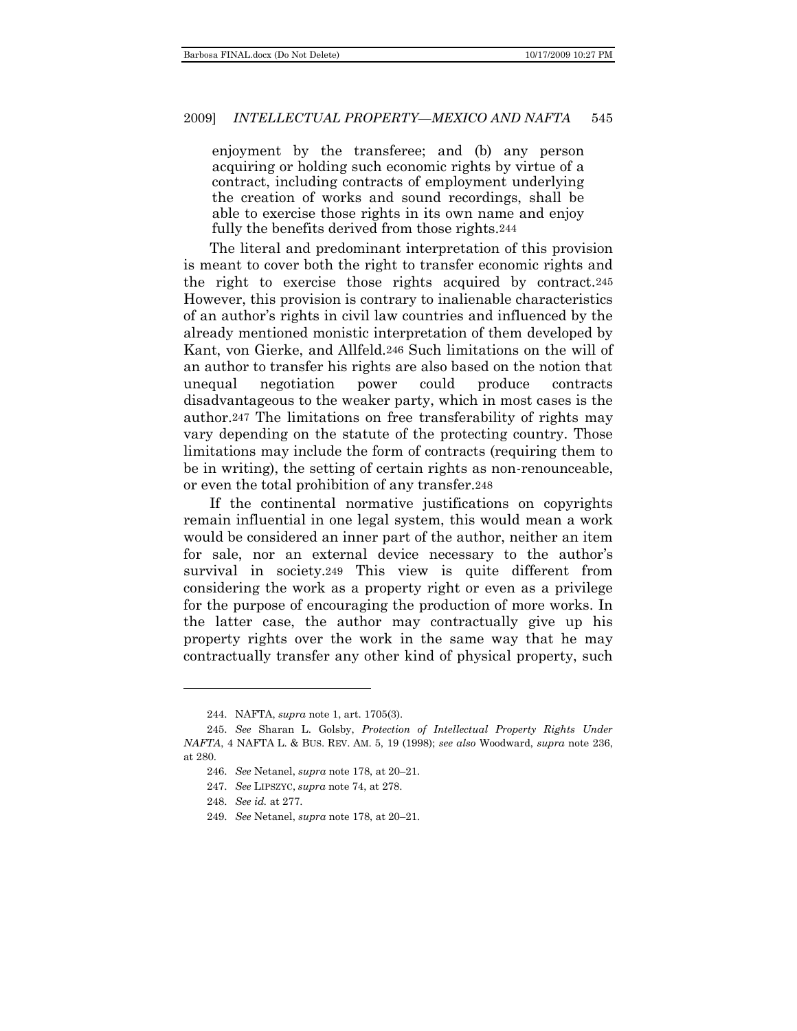enjoyment by the transferee; and (b) any person acquiring or holding such economic rights by virtue of a contract, including contracts of employment underlying the creation of works and sound recordings, shall be able to exercise those rights in its own name and enjoy fully the benefits derived from those rights.244

The literal and predominant interpretation of this provision is meant to cover both the right to transfer economic rights and the right to exercise those rights acquired by contract.245 However, this provision is contrary to inalienable characteristics of an author's rights in civil law countries and influenced by the already mentioned monistic interpretation of them developed by Kant, von Gierke, and Allfeld.246 Such limitations on the will of an author to transfer his rights are also based on the notion that unequal negotiation power could produce contracts disadvantageous to the weaker party, which in most cases is the author.247 The limitations on free transferability of rights may vary depending on the statute of the protecting country. Those limitations may include the form of contracts (requiring them to be in writing), the setting of certain rights as non-renounceable, or even the total prohibition of any transfer.248

If the continental normative justifications on copyrights remain influential in one legal system, this would mean a work would be considered an inner part of the author, neither an item for sale, nor an external device necessary to the author's survival in society.249 This view is quite different from considering the work as a property right or even as a privilege for the purpose of encouraging the production of more works. In the latter case, the author may contractually give up his property rights over the work in the same way that he may contractually transfer any other kind of physical property, such

l

<sup>244.</sup> NAFTA, *supra* note 1, art. 1705(3).

<sup>245.</sup> *See* Sharan L. Golsby, *Protection of Intellectual Property Rights Under NAFTA*, 4 NAFTA L. & BUS. REV. AM. 5, 19 (1998); *see also* Woodward, *supra* note 236, at 280.

<sup>246.</sup> *See* Netanel, *supra* note 178, at 20–21.

<sup>247.</sup> *See* LIPSZYC, *supra* note 74, at 278.

<sup>248.</sup> *See id.* at 277.

<sup>249.</sup> *See* Netanel, *supra* note 178, at 20–21.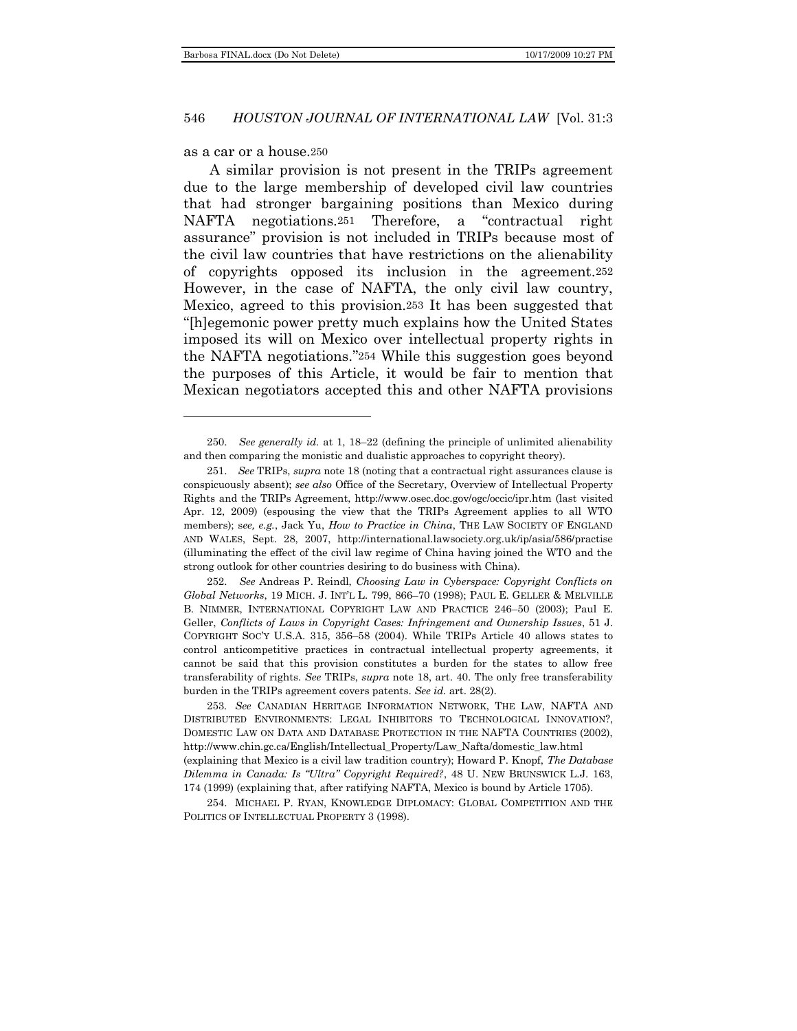#### as a car or a house.250

A similar provision is not present in the TRIPs agreement due to the large membership of developed civil law countries that had stronger bargaining positions than Mexico during NAFTA negotiations.251 Therefore, a "contractual right assurance‖ provision is not included in TRIPs because most of the civil law countries that have restrictions on the alienability of copyrights opposed its inclusion in the agreement.252 However, in the case of NAFTA, the only civil law country, Mexico, agreed to this provision.253 It has been suggested that ―[h]egemonic power pretty much explains how the United States imposed its will on Mexico over intellectual property rights in the NAFTA negotiations."254 While this suggestion goes beyond the purposes of this Article, it would be fair to mention that Mexican negotiators accepted this and other NAFTA provisions

<sup>250.</sup> *See generally id.* at 1, 18–22 (defining the principle of unlimited alienability and then comparing the monistic and dualistic approaches to copyright theory).

<sup>251.</sup> *See* TRIPs, *supra* note 18 (noting that a contractual right assurances clause is conspicuously absent); *see also* Office of the Secretary, Overview of Intellectual Property Rights and the TRIPs Agreement, http://www.osec.doc.gov/ogc/occic/ipr.htm (last visited Apr. 12, 2009) (espousing the view that the TRIPs Agreement applies to all WTO members); s*ee, e.g.*, Jack Yu, *How to Practice in China*, THE LAW SOCIETY OF ENGLAND AND WALES, Sept. 28, 2007, http://international.lawsociety.org.uk/ip/asia/586/practise (illuminating the effect of the civil law regime of China having joined the WTO and the strong outlook for other countries desiring to do business with China).

<sup>252.</sup> *See* Andreas P. Reindl, *Choosing Law in Cyberspace: Copyright Conflicts on Global Networks*, 19 MICH. J. INT'L L. 799, 866–70 (1998); PAUL E. GELLER & MELVILLE B. NIMMER, INTERNATIONAL COPYRIGHT LAW AND PRACTICE 246–50 (2003); Paul E. Geller, *Conflicts of Laws in Copyright Cases: Infringement and Ownership Issues*, 51 J. COPYRIGHT SOC'Y U.S.A. 315, 356–58 (2004). While TRIPs Article 40 allows states to control anticompetitive practices in contractual intellectual property agreements, it cannot be said that this provision constitutes a burden for the states to allow free transferability of rights. *See* TRIPs, *supra* note 18, art. 40. The only free transferability burden in the TRIPs agreement covers patents. *See id.* art. 28(2).

<sup>253</sup>*. See* CANADIAN HERITAGE INFORMATION NETWORK, THE LAW, NAFTA AND DISTRIBUTED ENVIRONMENTS: LEGAL INHIBITORS TO TECHNOLOGICAL INNOVATION?, DOMESTIC LAW ON DATA AND DATABASE PROTECTION IN THE NAFTA COUNTRIES (2002), http://www.chin.gc.ca/English/Intellectual\_Property/Law\_Nafta/domestic\_law.html (explaining that Mexico is a civil law tradition country); Howard P. Knopf, *The Database Dilemma in Canada: Is "Ultra" Copyright Required?*, 48 U. NEW BRUNSWICK L.J. 163, 174 (1999) (explaining that, after ratifying NAFTA, Mexico is bound by Article 1705).

<sup>254.</sup> MICHAEL P. RYAN, KNOWLEDGE DIPLOMACY: GLOBAL COMPETITION AND THE POLITICS OF INTELLECTUAL PROPERTY 3 (1998).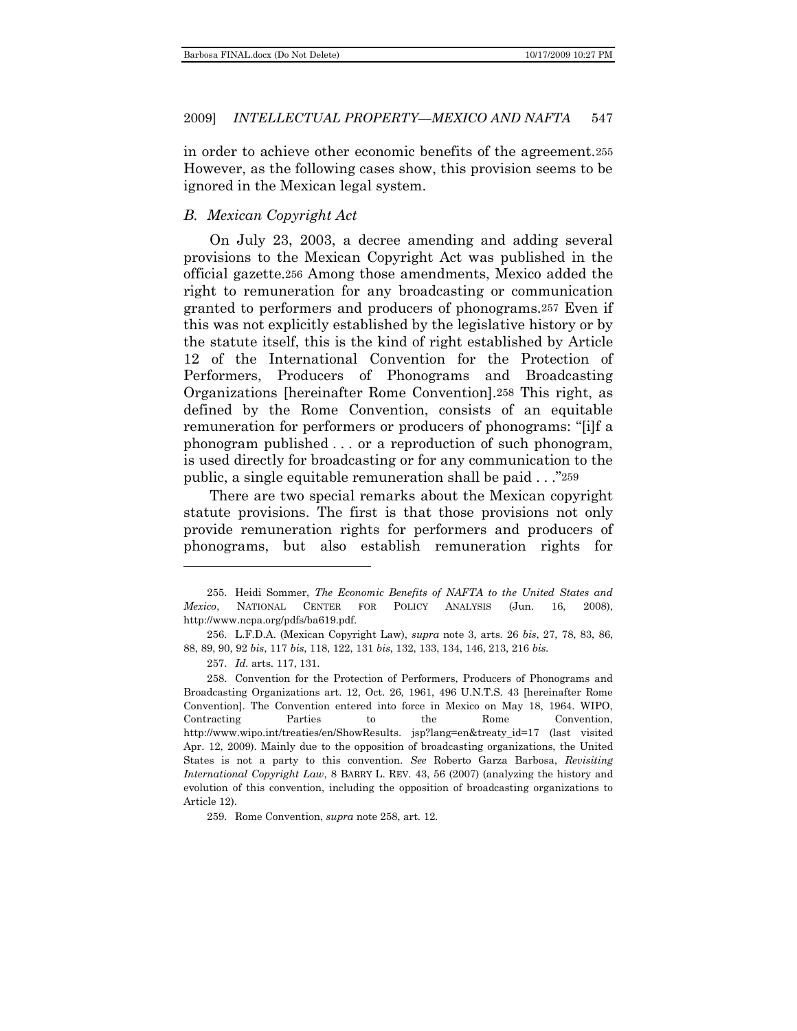in order to achieve other economic benefits of the agreement.255 However, as the following cases show, this provision seems to be ignored in the Mexican legal system.

# <span id="page-32-0"></span>*B. Mexican Copyright Act*

On July 23, 2003, a decree amending and adding several provisions to the Mexican Copyright Act was published in the official gazette.256 Among those amendments, Mexico added the right to remuneration for any broadcasting or communication granted to performers and producers of phonograms.257 Even if this was not explicitly established by the legislative history or by the statute itself, this is the kind of right established by Article 12 of the International Convention for the Protection of Performers, Producers of Phonograms and Broadcasting Organizations [hereinafter Rome Convention].258 This right, as defined by the Rome Convention, consists of an equitable remuneration for performers or producers of phonograms: "[i]f a phonogram published . . . or a reproduction of such phonogram, is used directly for broadcasting or for any communication to the public, a single equitable remuneration shall be paid  $\ldots$   $\overset{?}{259}$ 

There are two special remarks about the Mexican copyright statute provisions. The first is that those provisions not only provide remuneration rights for performers and producers of phonograms, but also establish remuneration rights for

<sup>255.</sup> Heidi Sommer, *The Economic Benefits of NAFTA to the United States and Mexico*, NATIONAL CENTER FOR POLICY ANALYSIS (Jun. 16, 2008), http://www.ncpa.org/pdfs/ba619.pdf.

<sup>256.</sup> L.F.D.A. (Mexican Copyright Law), *supra* note 3, arts. 26 *bis*, 27, 78, 83, 86, 88, 89, 90, 92 *bis*, 117 *bis*, 118, 122, 131 *bis*, 132, 133, 134, 146, 213, 216 *bis.*

<sup>257.</sup> *Id.* arts. 117, 131.

<sup>258.</sup> Convention for the Protection of Performers, Producers of Phonograms and Broadcasting Organizations art. 12, Oct. 26, 1961, 496 U.N.T.S. 43 [hereinafter Rome Convention]. The Convention entered into force in Mexico on May 18, 1964. WIPO, Contracting Parties to the Rome Convention, http://www.wipo.int/treaties/en/ShowResults. jsp?lang=en&treaty\_id=17 (last visited Apr. 12, 2009). Mainly due to the opposition of broadcasting organizations, the United States is not a party to this convention. *See* Roberto Garza Barbosa, *Revisiting International Copyright Law*, 8 BARRY L. REV. 43, 56 (2007) (analyzing the history and evolution of this convention, including the opposition of broadcasting organizations to Article 12).

<sup>259.</sup> Rome Convention, *supra* note 258, art. 12.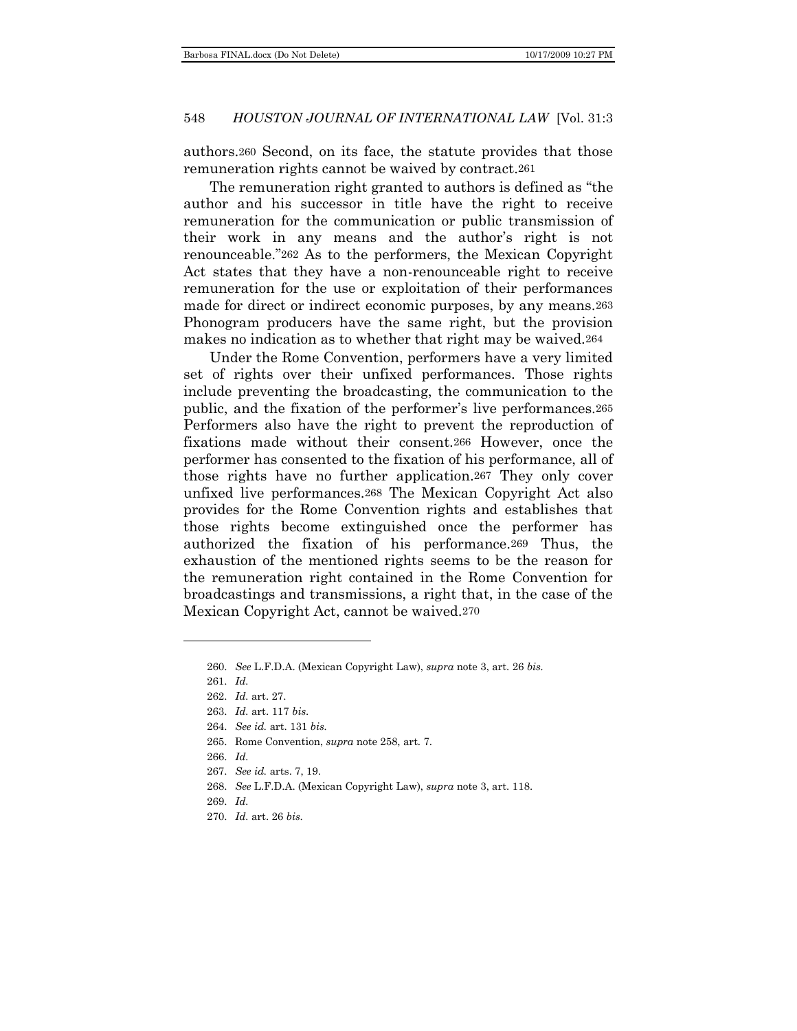authors.260 Second, on its face, the statute provides that those remuneration rights cannot be waived by contract.261

The remuneration right granted to authors is defined as "the author and his successor in title have the right to receive remuneration for the communication or public transmission of their work in any means and the author's right is not renounceable."262 As to the performers, the Mexican Copyright Act states that they have a non-renounceable right to receive remuneration for the use or exploitation of their performances made for direct or indirect economic purposes, by any means.263 Phonogram producers have the same right, but the provision makes no indication as to whether that right may be waived.264

Under the Rome Convention, performers have a very limited set of rights over their unfixed performances. Those rights include preventing the broadcasting, the communication to the public, and the fixation of the performer's live performances.265 Performers also have the right to prevent the reproduction of fixations made without their consent.266 However, once the performer has consented to the fixation of his performance, all of those rights have no further application.267 They only cover unfixed live performances.268 The Mexican Copyright Act also provides for the Rome Convention rights and establishes that those rights become extinguished once the performer has authorized the fixation of his performance.269 Thus, the exhaustion of the mentioned rights seems to be the reason for the remuneration right contained in the Rome Convention for broadcastings and transmissions, a right that, in the case of the Mexican Copyright Act, cannot be waived.270

- 267. *See id.* arts. 7, 19.
- 268. *See* L.F.D.A. (Mexican Copyright Law), *supra* note 3, art. 118.
- 269. *Id.*
- 270. *Id.* art. 26 *bis*.

<sup>260.</sup> *See* L.F.D.A. (Mexican Copyright Law), *supra* note 3, art. 26 *bis.*

<sup>261.</sup> *Id.*

<sup>262.</sup> *Id.* art. 27.

<sup>263.</sup> *Id.* art. 117 *bis*.

<sup>264.</sup> *See id.* art. 131 *bis.*

<sup>265.</sup> Rome Convention, *supra* note 258, art. 7.

<sup>266.</sup> *Id.*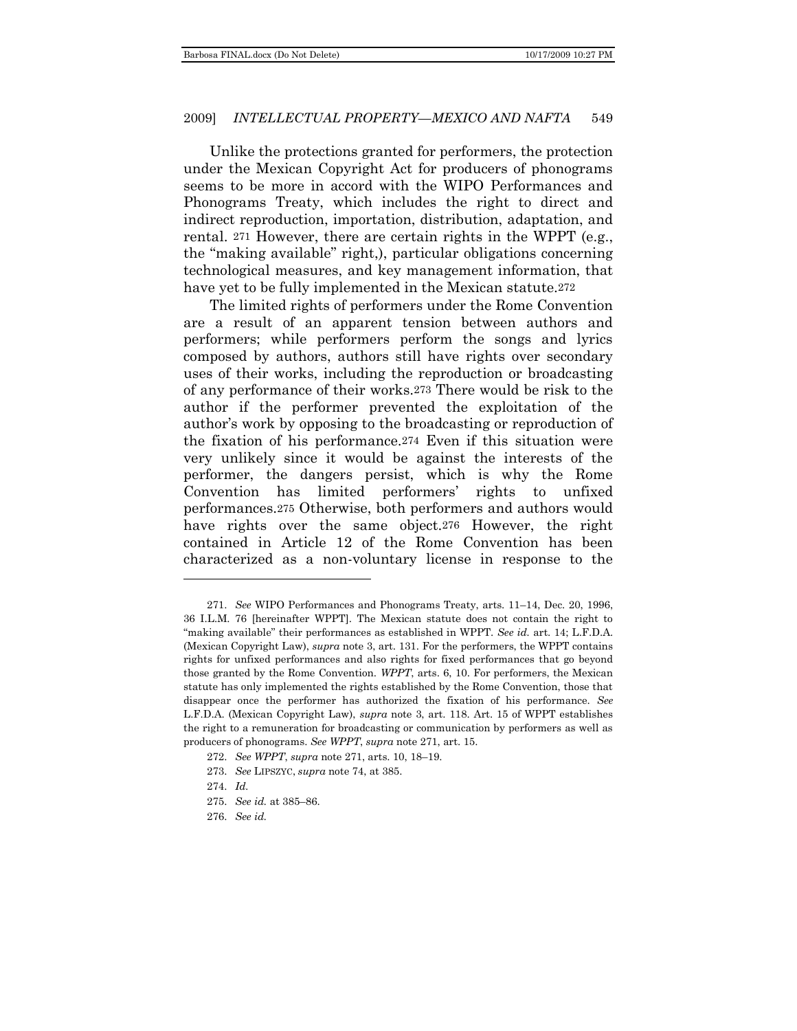Unlike the protections granted for performers, the protection under the Mexican Copyright Act for producers of phonograms seems to be more in accord with the WIPO Performances and Phonograms Treaty, which includes the right to direct and indirect reproduction, importation, distribution, adaptation, and rental. 271 However, there are certain rights in the WPPT (e.g., the "making available" right,), particular obligations concerning technological measures, and key management information, that have yet to be fully implemented in the Mexican statute.<sup>272</sup>

The limited rights of performers under the Rome Convention are a result of an apparent tension between authors and performers; while performers perform the songs and lyrics composed by authors, authors still have rights over secondary uses of their works, including the reproduction or broadcasting of any performance of their works.273 There would be risk to the author if the performer prevented the exploitation of the author's work by opposing to the broadcasting or reproduction of the fixation of his performance.274 Even if this situation were very unlikely since it would be against the interests of the performer, the dangers persist, which is why the Rome Convention has limited performers' rights to unfixed performances.275 Otherwise, both performers and authors would have rights over the same object.276 However, the right contained in Article 12 of the Rome Convention has been characterized as a non-voluntary license in response to the

- 273. *See* LIPSZYC, *supra* note 74, at 385.
- 274. *Id.*

l

- 275. *See id.* at 385–86.
- 276. *See id.*

<sup>271.</sup> *See* WIPO Performances and Phonograms Treaty, arts. 11–14, Dec. 20, 1996, 36 I.L.M. 76 [hereinafter WPPT]. The Mexican statute does not contain the right to ―making available‖ their performances as established in WPPT. *See id.* art. 14; L.F.D.A. (Mexican Copyright Law), *supra* note 3, art. 131. For the performers, the WPPT contains rights for unfixed performances and also rights for fixed performances that go beyond those granted by the Rome Convention. *WPPT*, arts. 6, 10. For performers, the Mexican statute has only implemented the rights established by the Rome Convention, those that disappear once the performer has authorized the fixation of his performance. *See* L.F.D.A. (Mexican Copyright Law), *supra* note 3, art. 118. Art. 15 of WPPT establishes the right to a remuneration for broadcasting or communication by performers as well as producers of phonograms. *See WPPT*, *supra* note 271, art. 15.

<sup>272.</sup> *See WPPT*, *supra* note 271, arts. 10, 18–19.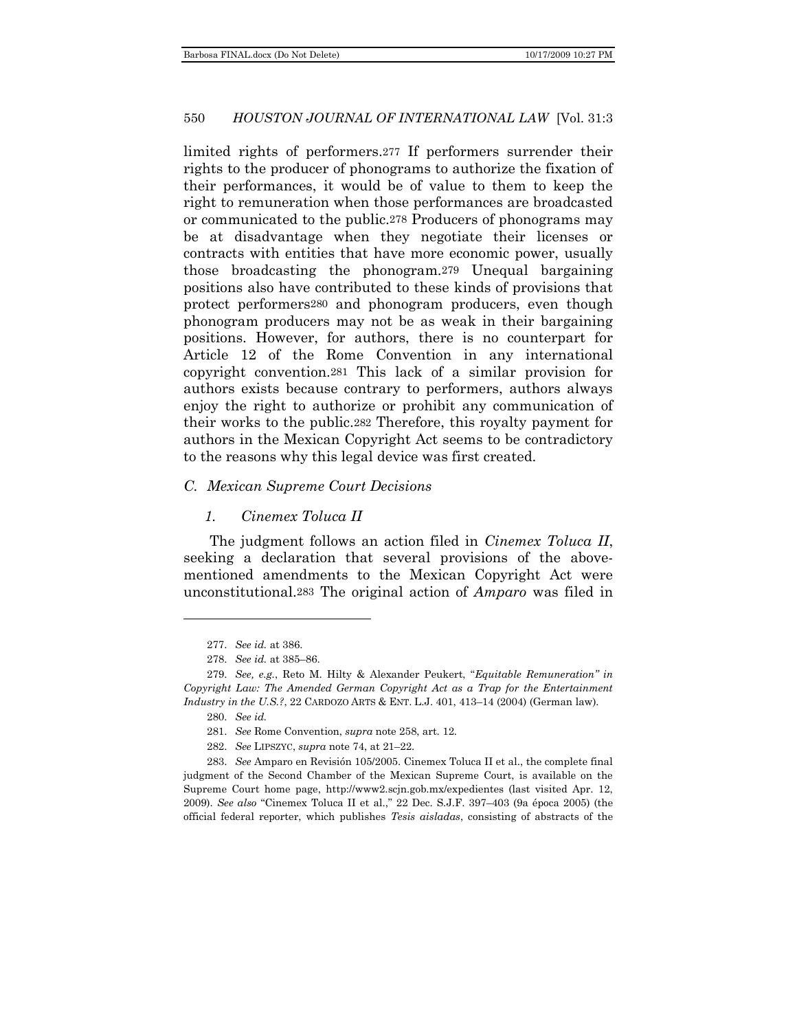limited rights of performers.277 If performers surrender their rights to the producer of phonograms to authorize the fixation of their performances, it would be of value to them to keep the right to remuneration when those performances are broadcasted or communicated to the public.278 Producers of phonograms may be at disadvantage when they negotiate their licenses or contracts with entities that have more economic power, usually those broadcasting the phonogram.279 Unequal bargaining positions also have contributed to these kinds of provisions that protect performers280 and phonogram producers, even though phonogram producers may not be as weak in their bargaining positions. However, for authors, there is no counterpart for Article 12 of the Rome Convention in any international copyright convention.281 This lack of a similar provision for authors exists because contrary to performers, authors always enjoy the right to authorize or prohibit any communication of their works to the public.282 Therefore, this royalty payment for authors in the Mexican Copyright Act seems to be contradictory to the reasons why this legal device was first created.

# <span id="page-35-0"></span>*C. Mexican Supreme Court Decisions*

### *1. Cinemex Toluca II*

The judgment follows an action filed in *Cinemex Toluca II*, seeking a declaration that several provisions of the abovementioned amendments to the Mexican Copyright Act were unconstitutional.283 The original action of *Amparo* was filed in

282. *See* LIPSZYC, *supra* note 74, at 21–22.

283. *See* Amparo en Revisión 105/2005. Cinemex Toluca II et al., the complete final judgment of the Second Chamber of the Mexican Supreme Court, is available on the Supreme Court home page, http://www2.scjn.gob.mx/expedientes (last visited Apr. 12, 2009). *See also* "Cinemex Toluca II et al.," 22 Dec. S.J.F. 397-403 (9a época 2005) (the official federal reporter, which publishes *Tesis aisladas*, consisting of abstracts of the

<sup>277.</sup> *See id.* at 386.

<sup>278.</sup> *See id.* at 385–86.

<sup>279.</sup> See, e.g., Reto M. Hilty & Alexander Peukert, "Equitable Remuneration" in *Copyright Law: The Amended German Copyright Act as a Trap for the Entertainment Industry in the U.S.?*, 22 CARDOZO ARTS & ENT. L.J. 401, 413–14 (2004) (German law).

<sup>280.</sup> *See id.*

<sup>281.</sup> *See* Rome Convention, *supra* note 258, art. 12.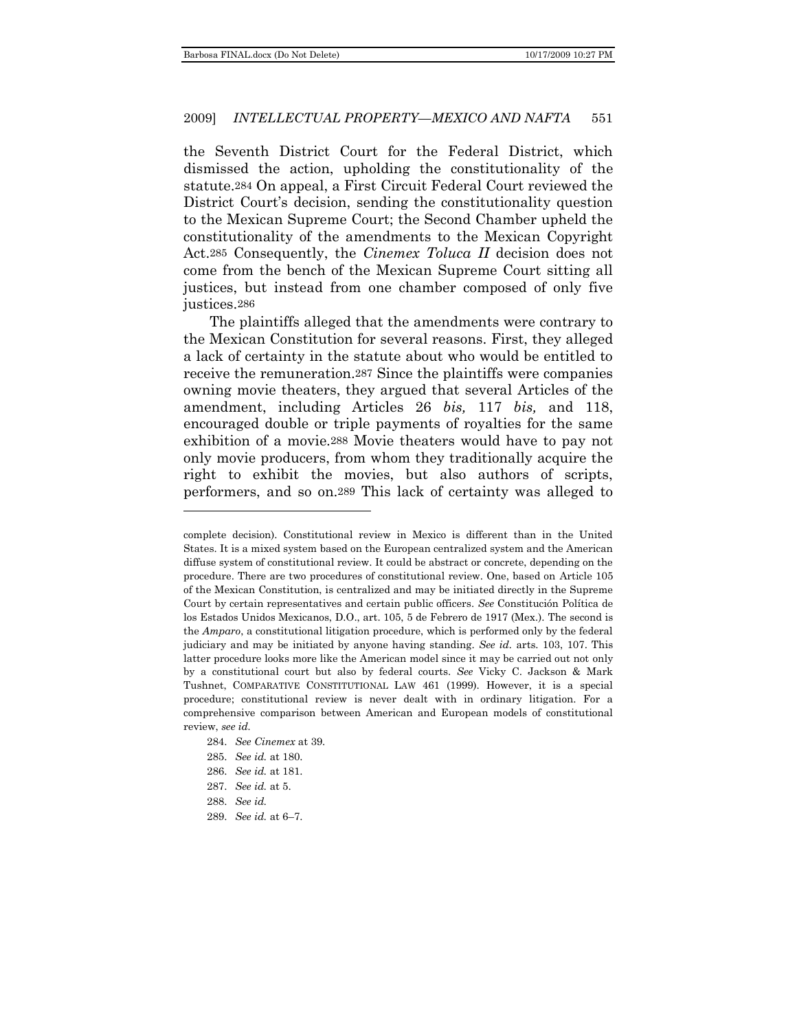the Seventh District Court for the Federal District, which dismissed the action, upholding the constitutionality of the statute.284 On appeal, a First Circuit Federal Court reviewed the District Court's decision, sending the constitutionality question to the Mexican Supreme Court; the Second Chamber upheld the constitutionality of the amendments to the Mexican Copyright Act.285 Consequently, the *Cinemex Toluca II* decision does not come from the bench of the Mexican Supreme Court sitting all justices, but instead from one chamber composed of only five justices.286

The plaintiffs alleged that the amendments were contrary to the Mexican Constitution for several reasons. First, they alleged a lack of certainty in the statute about who would be entitled to receive the remuneration.287 Since the plaintiffs were companies owning movie theaters, they argued that several Articles of the amendment, including Articles 26 *bis,* 117 *bis,* and 118, encouraged double or triple payments of royalties for the same exhibition of a movie.288 Movie theaters would have to pay not only movie producers, from whom they traditionally acquire the right to exhibit the movies, but also authors of scripts, performers, and so on.289 This lack of certainty was alleged to

complete decision). Constitutional review in Mexico is different than in the United States. It is a mixed system based on the European centralized system and the American diffuse system of constitutional review. It could be abstract or concrete, depending on the procedure. There are two procedures of constitutional review. One, based on Article 105 of the Mexican Constitution, is centralized and may be initiated directly in the Supreme Court by certain representatives and certain public officers. *See* Constitución Política de los Estados Unidos Mexicanos, D.O., art. 105, 5 de Febrero de 1917 (Mex.). The second is the *Amparo*, a constitutional litigation procedure, which is performed only by the federal judiciary and may be initiated by anyone having standing. *See id.* arts. 103, 107. This latter procedure looks more like the American model since it may be carried out not only by a constitutional court but also by federal courts. *See* Vicky C. Jackson & Mark Tushnet, COMPARATIVE CONSTITUTIONAL LAW 461 (1999). However, it is a special procedure; constitutional review is never dealt with in ordinary litigation. For a comprehensive comparison between American and European models of constitutional review, *see id.*

<sup>284.</sup> *See Cinemex* at 39.

<sup>285.</sup> *See id.* at 180.

<sup>286.</sup> *See id.* at 181.

<sup>287.</sup> *See id.* at 5.

<sup>288.</sup> *See id.*

<sup>289.</sup> *See id.* at 6–7.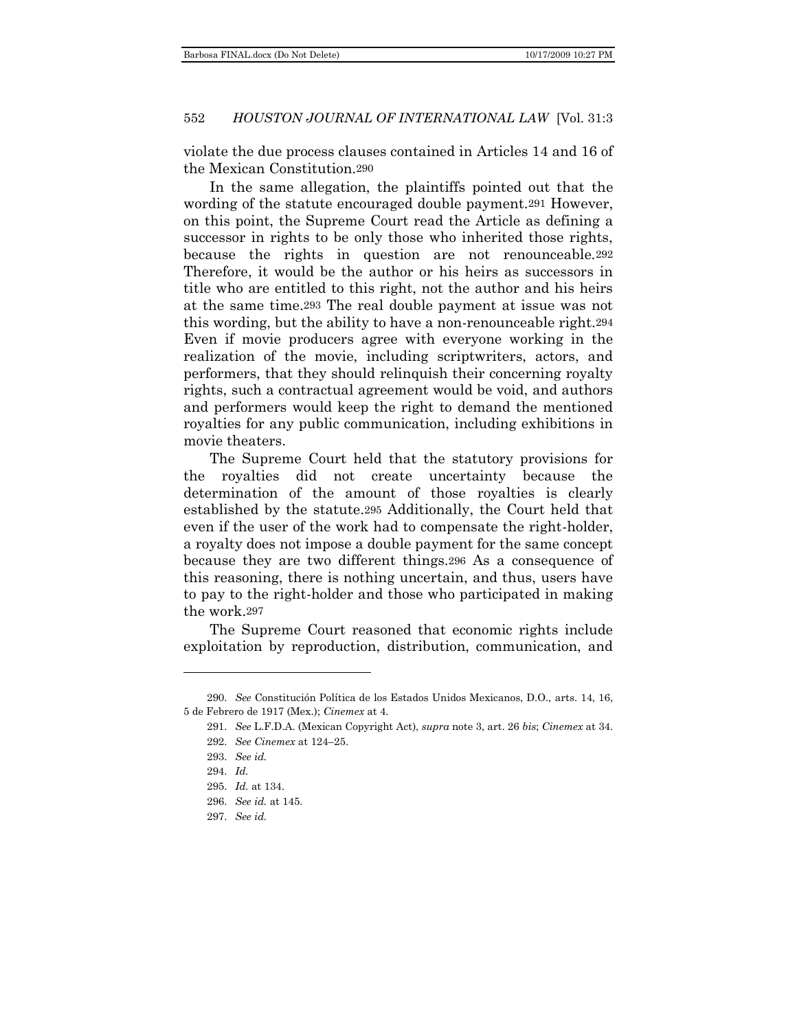violate the due process clauses contained in Articles 14 and 16 of the Mexican Constitution.290

In the same allegation, the plaintiffs pointed out that the wording of the statute encouraged double payment.291 However, on this point, the Supreme Court read the Article as defining a successor in rights to be only those who inherited those rights, because the rights in question are not renounceable.292 Therefore, it would be the author or his heirs as successors in title who are entitled to this right, not the author and his heirs at the same time.293 The real double payment at issue was not this wording, but the ability to have a non-renounceable right.294 Even if movie producers agree with everyone working in the realization of the movie, including scriptwriters, actors, and performers, that they should relinquish their concerning royalty rights, such a contractual agreement would be void, and authors and performers would keep the right to demand the mentioned royalties for any public communication, including exhibitions in movie theaters.

The Supreme Court held that the statutory provisions for the royalties did not create uncertainty because the determination of the amount of those royalties is clearly established by the statute.295 Additionally, the Court held that even if the user of the work had to compensate the right-holder, a royalty does not impose a double payment for the same concept because they are two different things.296 As a consequence of this reasoning, there is nothing uncertain, and thus, users have to pay to the right-holder and those who participated in making the work.297

The Supreme Court reasoned that economic rights include exploitation by reproduction, distribution, communication, and

<sup>290.</sup> *See* Constitución Política de los Estados Unidos Mexicanos, D.O., arts. 14, 16, 5 de Febrero de 1917 (Mex.); *Cinemex* at 4.

<sup>291.</sup> *See* L.F.D.A. (Mexican Copyright Act), *supra* note 3, art. 26 *bis*; *Cinemex* at 34.

<sup>292.</sup> *See Cinemex* at 124–25.

<sup>293.</sup> *See id.*

<sup>294.</sup> *Id.*

<sup>295.</sup> *Id.* at 134.

<sup>296.</sup> *See id.* at 145.

<sup>297.</sup> *See id.*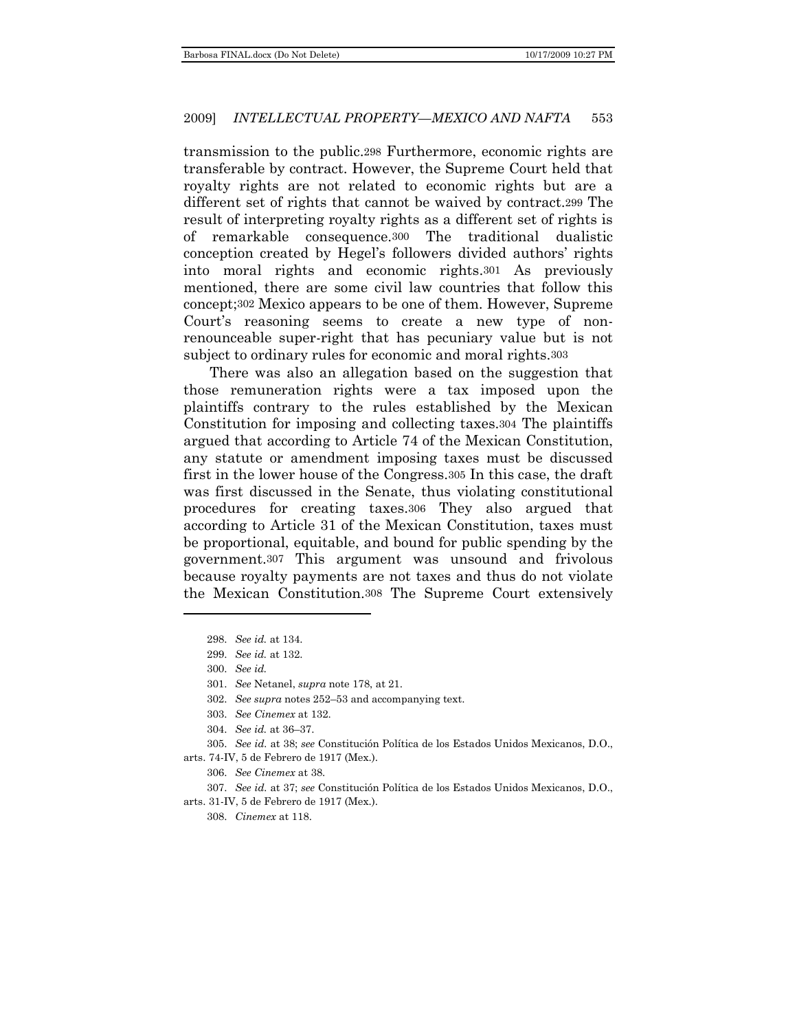transmission to the public.298 Furthermore, economic rights are transferable by contract. However, the Supreme Court held that royalty rights are not related to economic rights but are a different set of rights that cannot be waived by contract.299 The result of interpreting royalty rights as a different set of rights is of remarkable consequence.300 The traditional dualistic conception created by Hegel's followers divided authors' rights into moral rights and economic rights.301 As previously mentioned, there are some civil law countries that follow this concept;302 Mexico appears to be one of them. However, Supreme Court's reasoning seems to create a new type of nonrenounceable super-right that has pecuniary value but is not subject to ordinary rules for economic and moral rights.303

There was also an allegation based on the suggestion that those remuneration rights were a tax imposed upon the plaintiffs contrary to the rules established by the Mexican Constitution for imposing and collecting taxes.304 The plaintiffs argued that according to Article 74 of the Mexican Constitution, any statute or amendment imposing taxes must be discussed first in the lower house of the Congress.305 In this case, the draft was first discussed in the Senate, thus violating constitutional procedures for creating taxes.306 They also argued that according to Article 31 of the Mexican Constitution, taxes must be proportional, equitable, and bound for public spending by the government.307 This argument was unsound and frivolous because royalty payments are not taxes and thus do not violate the Mexican Constitution.308 The Supreme Court extensively

<sup>298.</sup> *See id.* at 134.

<sup>299.</sup> *See id.* at 132.

<sup>300.</sup> *See id.*

<sup>301.</sup> *See* Netanel, *supra* note 178, at 21.

<sup>302.</sup> *See supra* notes 252–53 and accompanying text.

<sup>303.</sup> *See Cinemex* at 132.

<sup>304.</sup> *See id.* at 36–37.

<sup>305.</sup> *See id.* at 38; *see* Constitución Política de los Estados Unidos Mexicanos, D.O.,

arts. 74-IV, 5 de Febrero de 1917 (Mex.).

<sup>306.</sup> *See Cinemex* at 38.

<sup>307.</sup> *See id.* at 37; *see* Constitución Política de los Estados Unidos Mexicanos, D.O.,

arts. 31-IV, 5 de Febrero de 1917 (Mex.).

<sup>308.</sup> *Cinemex* at 118.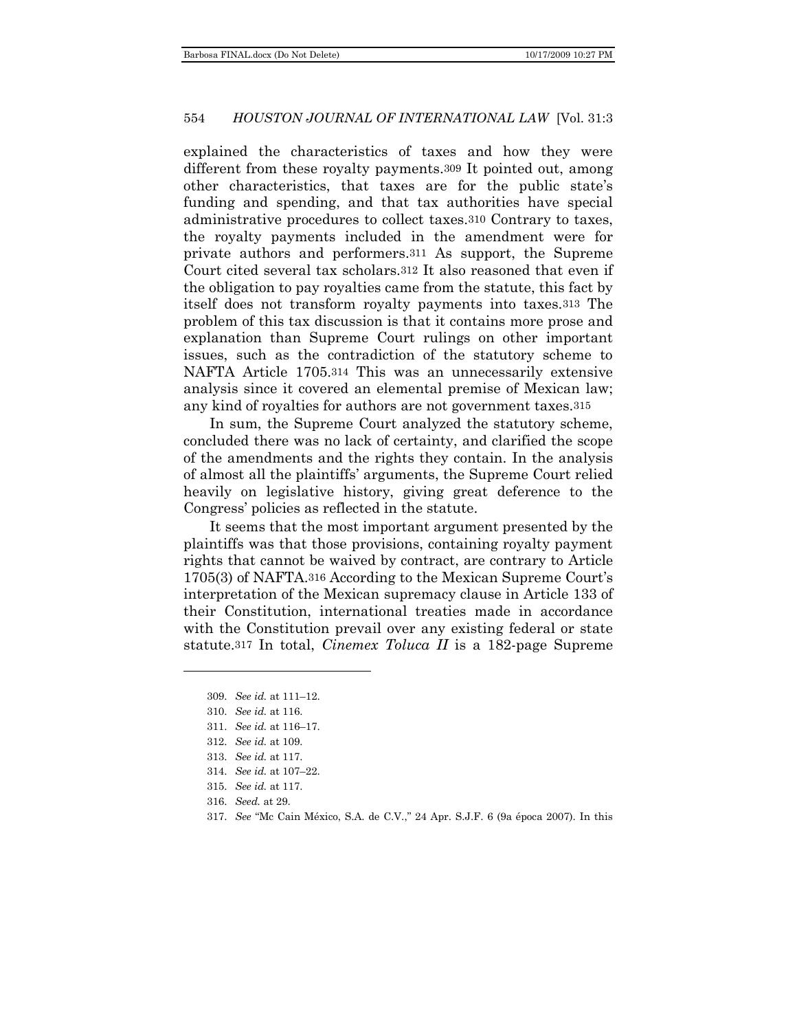explained the characteristics of taxes and how they were different from these royalty payments.309 It pointed out, among other characteristics, that taxes are for the public state's funding and spending, and that tax authorities have special administrative procedures to collect taxes.310 Contrary to taxes, the royalty payments included in the amendment were for private authors and performers.311 As support, the Supreme Court cited several tax scholars.312 It also reasoned that even if the obligation to pay royalties came from the statute, this fact by itself does not transform royalty payments into taxes.313 The problem of this tax discussion is that it contains more prose and explanation than Supreme Court rulings on other important issues, such as the contradiction of the statutory scheme to NAFTA Article 1705.314 This was an unnecessarily extensive analysis since it covered an elemental premise of Mexican law; any kind of royalties for authors are not government taxes.315

In sum, the Supreme Court analyzed the statutory scheme, concluded there was no lack of certainty, and clarified the scope of the amendments and the rights they contain. In the analysis of almost all the plaintiffs' arguments, the Supreme Court relied heavily on legislative history, giving great deference to the Congress' policies as reflected in the statute.

It seems that the most important argument presented by the plaintiffs was that those provisions, containing royalty payment rights that cannot be waived by contract, are contrary to Article 1705(3) of NAFTA.316 According to the Mexican Supreme Court's interpretation of the Mexican supremacy clause in Article 133 of their Constitution, international treaties made in accordance with the Constitution prevail over any existing federal or state statute.317 In total, *Cinemex Toluca II* is a 182-page Supreme

- 316. *Seed.* at 29.
- 317. *See* "Mc Cain México, S.A. de C.V.," 24 Apr. S.J.F. 6 (9a época 2007). In this

<sup>309.</sup> *See id.* at 111–12.

<sup>310.</sup> *See id.* at 116.

<sup>311.</sup> *See id.* at 116–17.

<sup>312.</sup> *See id.* at 109.

<sup>313.</sup> *See id.* at 117.

<sup>314.</sup> *See id.* at 107–22.

<sup>315.</sup> *See id.* at 117.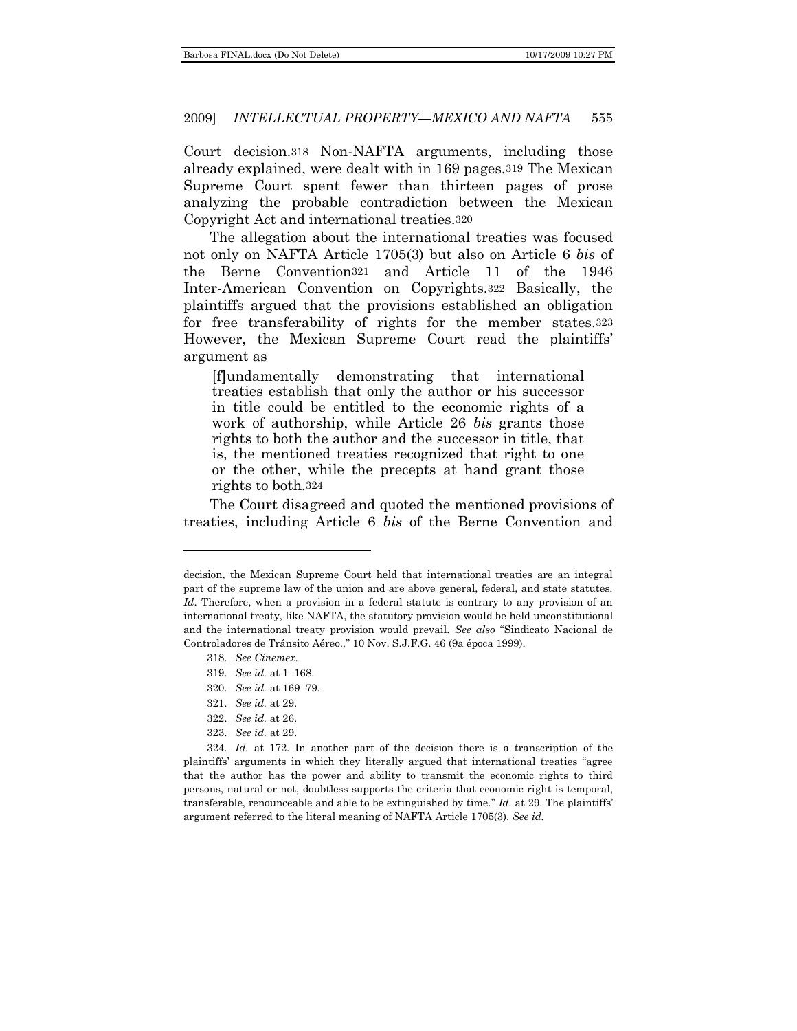Court decision.318 Non-NAFTA arguments, including those already explained, were dealt with in 169 pages.319 The Mexican Supreme Court spent fewer than thirteen pages of prose analyzing the probable contradiction between the Mexican Copyright Act and international treaties.320

The allegation about the international treaties was focused not only on NAFTA Article 1705(3) but also on Article 6 *bis* of the Berne Convention321 and Article 11 of the 1946 Inter-American Convention on Copyrights.322 Basically, the plaintiffs argued that the provisions established an obligation for free transferability of rights for the member states.323 However, the Mexican Supreme Court read the plaintiffs' argument as

[f]undamentally demonstrating that international treaties establish that only the author or his successor in title could be entitled to the economic rights of a work of authorship, while Article 26 *bis* grants those rights to both the author and the successor in title, that is, the mentioned treaties recognized that right to one or the other, while the precepts at hand grant those rights to both.324

The Court disagreed and quoted the mentioned provisions of treaties, including Article 6 *bis* of the Berne Convention and

318. *See Cinemex*.

- 320. *See id.* at 169–79.
- 321. *See id.* at 29.
- 322. *See id.* at 26.
- 323. *See id.* at 29.

decision, the Mexican Supreme Court held that international treaties are an integral part of the supreme law of the union and are above general, federal, and state statutes. *Id*. Therefore, when a provision in a federal statute is contrary to any provision of an international treaty, like NAFTA, the statutory provision would be held unconstitutional and the international treaty provision would prevail. See also "Sindicato Nacional de Controladores de Tránsito Aéreo.," 10 Nov. S.J.F.G. 46 (9a época 1999).

<sup>319.</sup> *See id.* at 1–168.

<sup>324.</sup> *Id.* at 172. In another part of the decision there is a transcription of the plaintiffs' arguments in which they literally argued that international treaties "agree that the author has the power and ability to transmit the economic rights to third persons, natural or not, doubtless supports the criteria that economic right is temporal, transferable, renounceable and able to be extinguished by time." *Id.* at 29. The plaintiffs' argument referred to the literal meaning of NAFTA Article 1705(3). *See id.*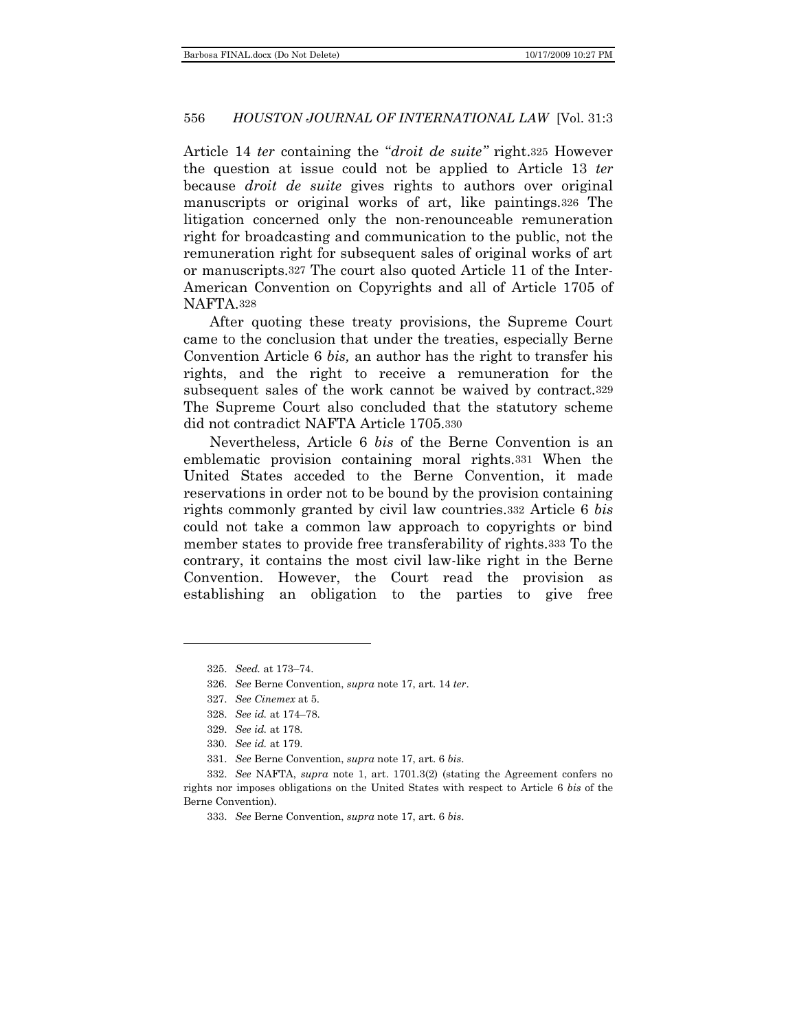Article 14 *ter* containing the "*droit de suite*" right.<sup>325</sup> However the question at issue could not be applied to Article 13 *ter* because *droit de suite* gives rights to authors over original manuscripts or original works of art, like paintings.326 The litigation concerned only the non-renounceable remuneration right for broadcasting and communication to the public, not the remuneration right for subsequent sales of original works of art or manuscripts.327 The court also quoted Article 11 of the Inter-American Convention on Copyrights and all of Article 1705 of NAFTA.328

After quoting these treaty provisions, the Supreme Court came to the conclusion that under the treaties, especially Berne Convention Article 6 *bis,* an author has the right to transfer his rights, and the right to receive a remuneration for the subsequent sales of the work cannot be waived by contract.329 The Supreme Court also concluded that the statutory scheme did not contradict NAFTA Article 1705.330

Nevertheless, Article 6 *bis* of the Berne Convention is an emblematic provision containing moral rights.331 When the United States acceded to the Berne Convention, it made reservations in order not to be bound by the provision containing rights commonly granted by civil law countries.332 Article 6 *bis* could not take a common law approach to copyrights or bind member states to provide free transferability of rights.333 To the contrary, it contains the most civil law-like right in the Berne Convention. However, the Court read the provision as establishing an obligation to the parties to give free

 $\overline{a}$ 

331. *See* Berne Convention, *supra* note 17, art. 6 *bis*.

<sup>325.</sup> *Seed.* at 173–74.

<sup>326.</sup> *See* Berne Convention, *supra* note 17, art. 14 *ter*.

<sup>327.</sup> *See Cinemex* at 5.

<sup>328.</sup> *See id.* at 174–78.

<sup>329.</sup> *See id.* at 178.

<sup>330.</sup> *See id.* at 179.

<sup>332.</sup> *See* NAFTA, *supra* note 1, art. 1701.3(2) (stating the Agreement confers no rights nor imposes obligations on the United States with respect to Article 6 *bis* of the Berne Convention).

<sup>333.</sup> *See* Berne Convention, *supra* note 17, art. 6 *bis*.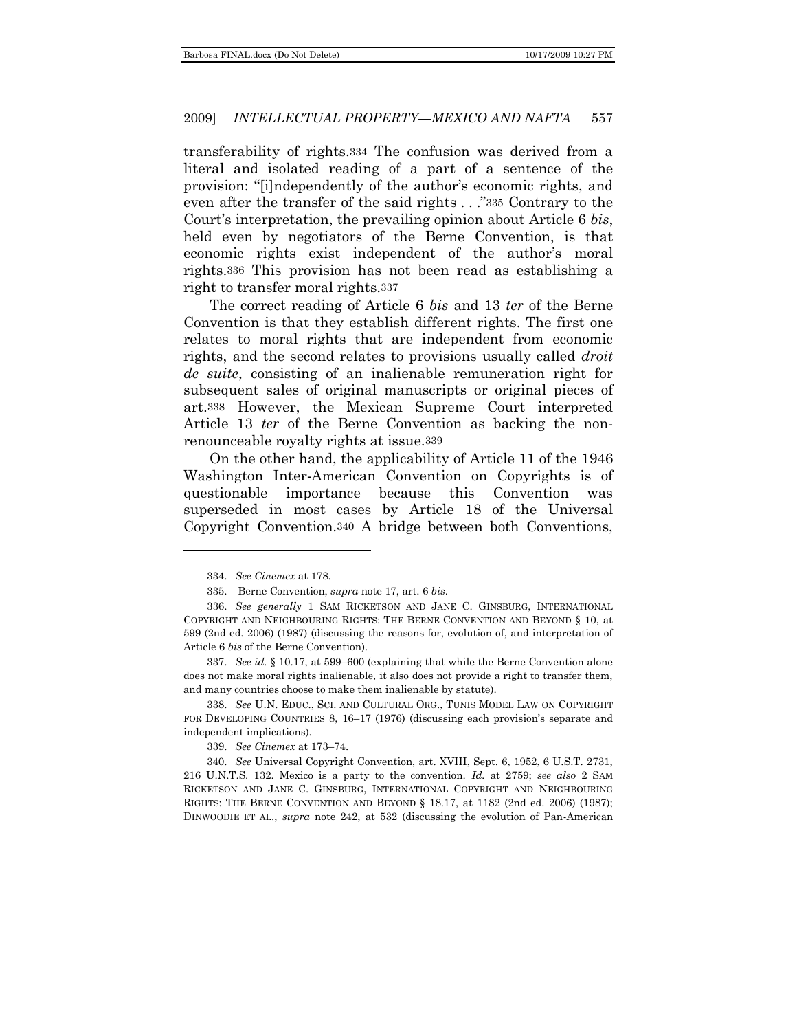transferability of rights.334 The confusion was derived from a literal and isolated reading of a part of a sentence of the provision: "[i]ndependently of the author's economic rights, and even after the transfer of the said rights . . . "335 Contrary to the Court's interpretation, the prevailing opinion about Article 6 *bis*, held even by negotiators of the Berne Convention, is that economic rights exist independent of the author's moral rights.336 This provision has not been read as establishing a right to transfer moral rights.337

The correct reading of Article 6 *bis* and 13 *ter* of the Berne Convention is that they establish different rights. The first one relates to moral rights that are independent from economic rights, and the second relates to provisions usually called *droit de suite*, consisting of an inalienable remuneration right for subsequent sales of original manuscripts or original pieces of art.338 However, the Mexican Supreme Court interpreted Article 13 *ter* of the Berne Convention as backing the nonrenounceable royalty rights at issue.339

On the other hand, the applicability of Article 11 of the 1946 Washington Inter-American Convention on Copyrights is of questionable importance because this Convention was superseded in most cases by Article 18 of the Universal Copyright Convention.340 A bridge between both Conventions,

<sup>334.</sup> *See Cinemex* at 178.

<sup>335.</sup> Berne Convention, *supra* note 17, art. 6 *bis*.

<sup>336.</sup> *See generally* 1 SAM RICKETSON AND JANE C. GINSBURG, INTERNATIONAL COPYRIGHT AND NEIGHBOURING RIGHTS: THE BERNE CONVENTION AND BEYOND § 10, at 599 (2nd ed. 2006) (1987) (discussing the reasons for, evolution of, and interpretation of Article 6 *bis* of the Berne Convention).

<sup>337.</sup> *See id.* § 10.17, at 599–600 (explaining that while the Berne Convention alone does not make moral rights inalienable, it also does not provide a right to transfer them, and many countries choose to make them inalienable by statute).

<sup>338.</sup> *See* U.N. EDUC., SCI. AND CULTURAL ORG., TUNIS MODEL LAW ON COPYRIGHT FOR DEVELOPING COUNTRIES 8, 16–17 (1976) (discussing each provision's separate and independent implications).

<sup>339.</sup> *See Cinemex* at 173–74.

<sup>340.</sup> *See* Universal Copyright Convention, art. XVIII, Sept. 6, 1952, 6 U.S.T. 2731, 216 U.N.T.S. 132. Mexico is a party to the convention. *Id.* at 2759; *see also* 2 SAM RICKETSON AND JANE C. GINSBURG, INTERNATIONAL COPYRIGHT AND NEIGHBOURING RIGHTS: THE BERNE CONVENTION AND BEYOND § 18.17, at 1182 (2nd ed. 2006) (1987); DINWOODIE ET AL., *supra* note 242, at 532 (discussing the evolution of Pan-American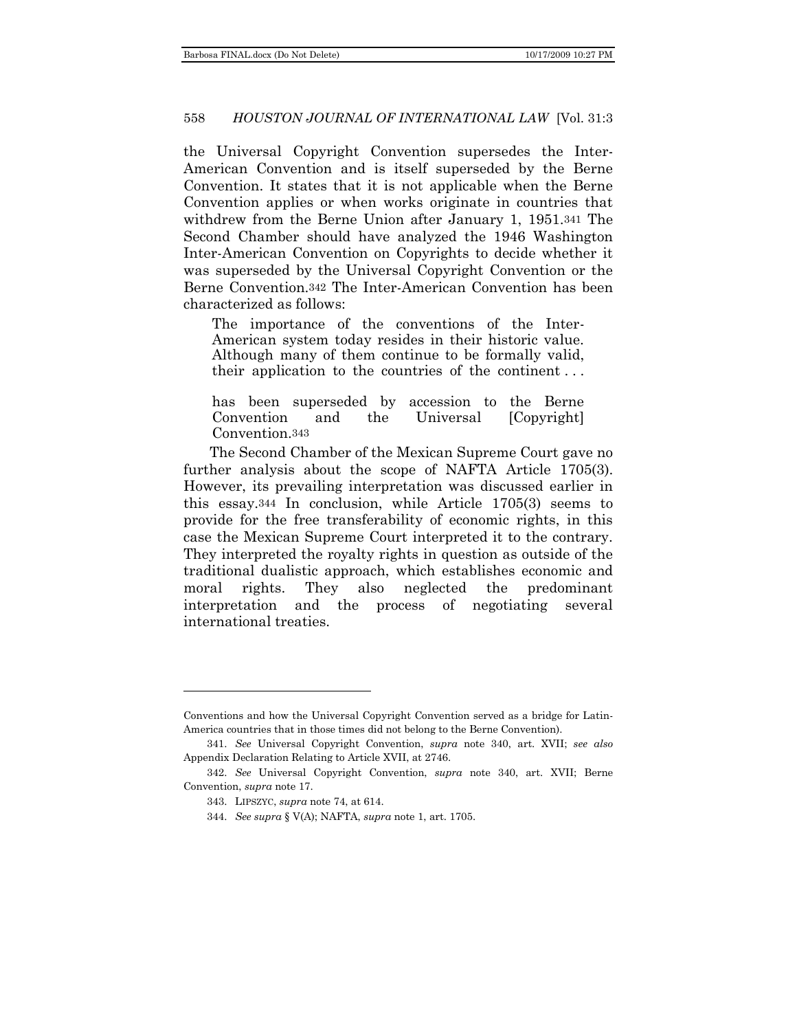the Universal Copyright Convention supersedes the Inter-American Convention and is itself superseded by the Berne Convention. It states that it is not applicable when the Berne Convention applies or when works originate in countries that withdrew from the Berne Union after January 1, 1951.341 The Second Chamber should have analyzed the 1946 Washington Inter-American Convention on Copyrights to decide whether it was superseded by the Universal Copyright Convention or the Berne Convention.342 The Inter-American Convention has been characterized as follows:

The importance of the conventions of the Inter-American system today resides in their historic value. Although many of them continue to be formally valid, their application to the countries of the continent . . .

has been superseded by accession to the Berne Convention and the Universal [Copyright] Convention.343

The Second Chamber of the Mexican Supreme Court gave no further analysis about the scope of NAFTA Article 1705(3). However, its prevailing interpretation was discussed earlier in this essay.344 In conclusion, while Article 1705(3) seems to provide for the free transferability of economic rights, in this case the Mexican Supreme Court interpreted it to the contrary. They interpreted the royalty rights in question as outside of the traditional dualistic approach, which establishes economic and moral rights. They also neglected the predominant interpretation and the process of negotiating several international treaties.

Conventions and how the Universal Copyright Convention served as a bridge for Latin-America countries that in those times did not belong to the Berne Convention).

<sup>341.</sup> *See* Universal Copyright Convention, *supra* note 340, art. XVII; *see also* Appendix Declaration Relating to Article XVII, at 2746.

<sup>342.</sup> *See* Universal Copyright Convention, *supra* note 340, art. XVII; Berne Convention, *supra* note 17.

<sup>343.</sup> LIPSZYC, *supra* note 74, at 614.

<sup>344.</sup> *See supra* § V(A); NAFTA, *supra* note 1, art. 1705.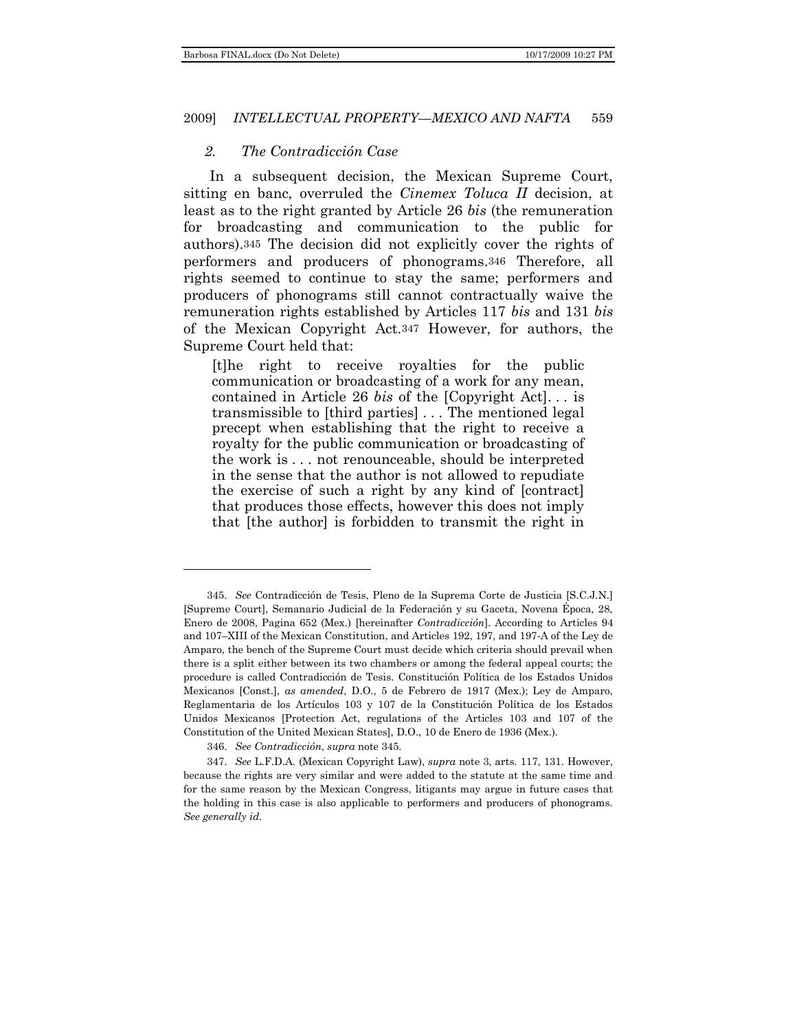## *2. The Contradicción Case*

In a subsequent decision, the Mexican Supreme Court, sitting en banc, overruled the *Cinemex Toluca II* decision, at least as to the right granted by Article 26 *bis* (the remuneration for broadcasting and communication to the public for authors).345 The decision did not explicitly cover the rights of performers and producers of phonograms.346 Therefore, all rights seemed to continue to stay the same; performers and producers of phonograms still cannot contractually waive the remuneration rights established by Articles 117 *bis* and 131 *bis* of the Mexican Copyright Act.347 However, for authors, the Supreme Court held that:

[t]he right to receive royalties for the public communication or broadcasting of a work for any mean, contained in Article 26 *bis* of the [Copyright Act]. . . is transmissible to [third parties] . . . The mentioned legal precept when establishing that the right to receive a royalty for the public communication or broadcasting of the work is . . . not renounceable, should be interpreted in the sense that the author is not allowed to repudiate the exercise of such a right by any kind of [contract] that produces those effects, however this does not imply that [the author] is forbidden to transmit the right in

<sup>345.</sup> *See* Contradicción de Tesis, Pleno de la Suprema Corte de Justicia [S.C.J.N.] [Supreme Court], Semanario Judicial de la Federación y su Gaceta, Novena Época, 28, Enero de 2008, Pagina 652 (Mex.) [hereinafter *Contradicción*]. According to Articles 94 and 107–XIII of the Mexican Constitution, and Articles 192, 197, and 197-A of the Ley de Amparo, the bench of the Supreme Court must decide which criteria should prevail when there is a split either between its two chambers or among the federal appeal courts; the procedure is called Contradicción de Tesis. Constitución Política de los Estados Unidos Mexicanos [Const.], *as amended*, D.O., 5 de Febrero de 1917 (Mex.); Ley de Amparo, Reglamentaria de los Artículos 103 y 107 de la Constitución Política de los Estados Unidos Mexicanos [Protection Act, regulations of the Articles 103 and 107 of the Constitution of the United Mexican States], D.O., 10 de Enero de 1936 (Mex.).

<sup>346.</sup> *See Contradicción*, *supra* note 345.

<sup>347.</sup> *See* L.F.D.A. (Mexican Copyright Law), *supra* note 3, arts. 117, 131. However, because the rights are very similar and were added to the statute at the same time and for the same reason by the Mexican Congress, litigants may argue in future cases that the holding in this case is also applicable to performers and producers of phonograms. *See generally id.*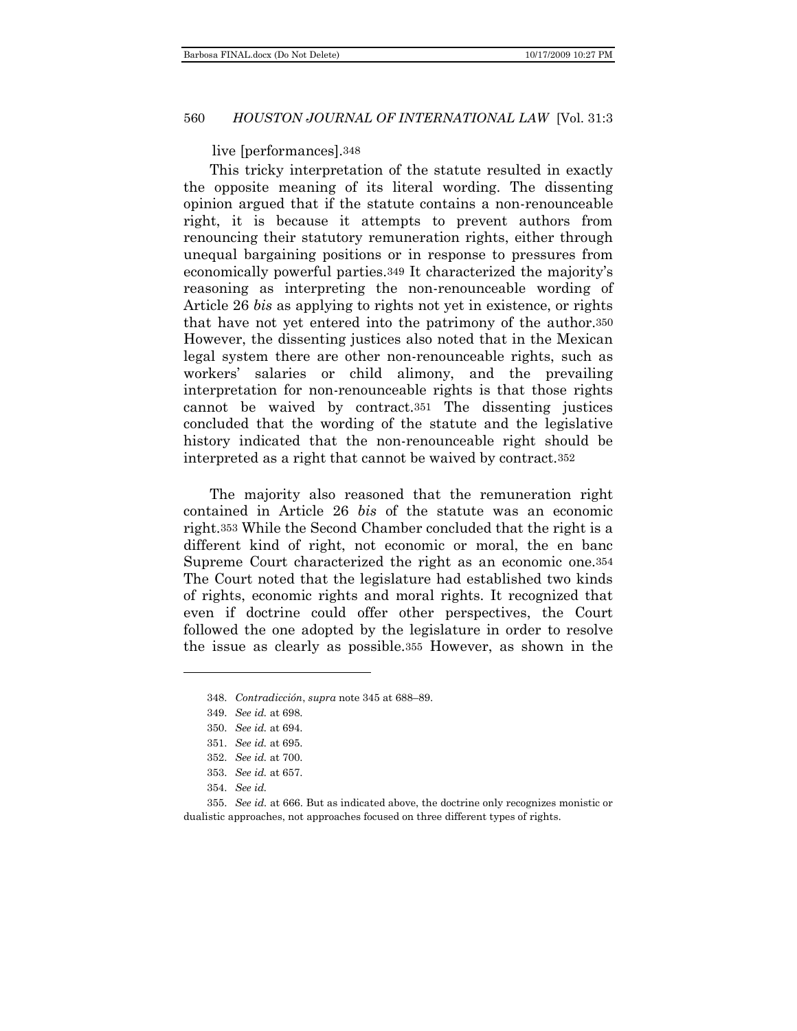#### live [performances].348

This tricky interpretation of the statute resulted in exactly the opposite meaning of its literal wording. The dissenting opinion argued that if the statute contains a non-renounceable right, it is because it attempts to prevent authors from renouncing their statutory remuneration rights, either through unequal bargaining positions or in response to pressures from economically powerful parties.349 It characterized the majority's reasoning as interpreting the non-renounceable wording of Article 26 *bis* as applying to rights not yet in existence, or rights that have not yet entered into the patrimony of the author.350 However, the dissenting justices also noted that in the Mexican legal system there are other non-renounceable rights, such as workers' salaries or child alimony, and the prevailing interpretation for non-renounceable rights is that those rights cannot be waived by contract.351 The dissenting justices concluded that the wording of the statute and the legislative history indicated that the non-renounceable right should be interpreted as a right that cannot be waived by contract.352

The majority also reasoned that the remuneration right contained in Article 26 *bis* of the statute was an economic right.353 While the Second Chamber concluded that the right is a different kind of right, not economic or moral, the en banc Supreme Court characterized the right as an economic one.354 The Court noted that the legislature had established two kinds of rights, economic rights and moral rights. It recognized that even if doctrine could offer other perspectives, the Court followed the one adopted by the legislature in order to resolve the issue as clearly as possible.355 However, as shown in the

<sup>348.</sup> *Contradicción*, *supra* note 345 at 688–89.

<sup>349.</sup> *See id.* at 698.

<sup>350.</sup> *See id.* at 694.

<sup>351.</sup> *See id.* at 695.

<sup>352.</sup> *See id.* at 700.

<sup>353.</sup> *See id.* at 657.

<sup>354.</sup> *See id.*

<sup>355.</sup> *See id.* at 666. But as indicated above, the doctrine only recognizes monistic or dualistic approaches, not approaches focused on three different types of rights.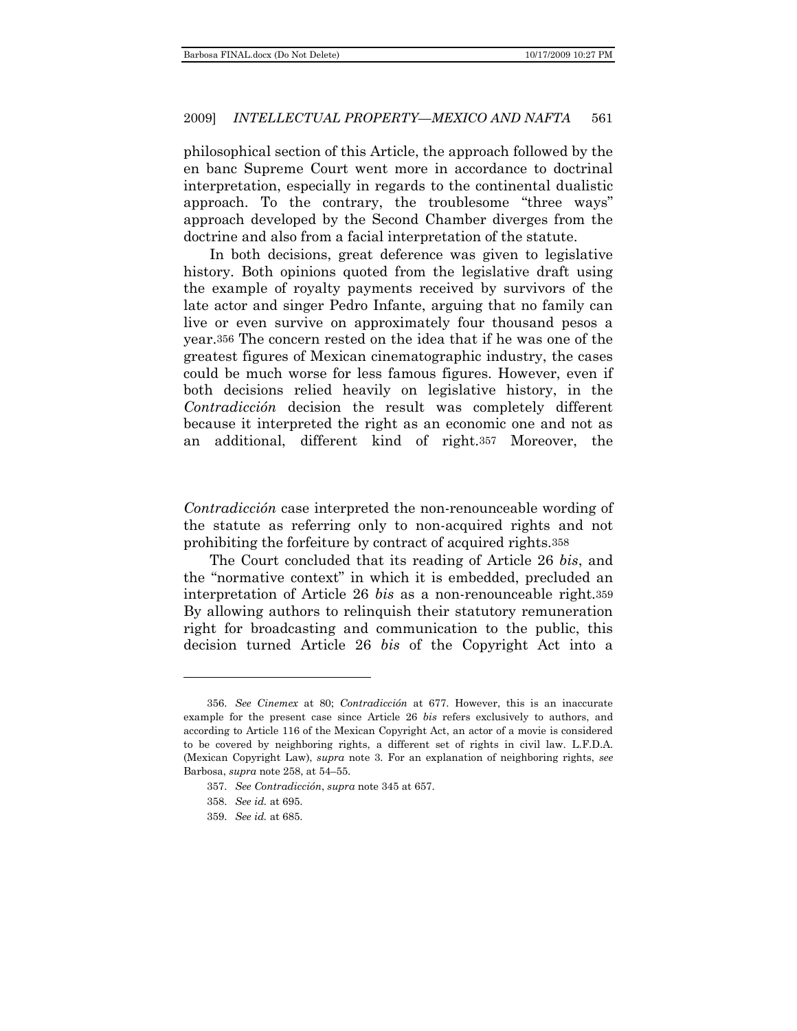philosophical section of this Article, the approach followed by the en banc Supreme Court went more in accordance to doctrinal interpretation, especially in regards to the continental dualistic approach. To the contrary, the troublesome "three ways" approach developed by the Second Chamber diverges from the doctrine and also from a facial interpretation of the statute.

In both decisions, great deference was given to legislative history. Both opinions quoted from the legislative draft using the example of royalty payments received by survivors of the late actor and singer Pedro Infante, arguing that no family can live or even survive on approximately four thousand pesos a year.356 The concern rested on the idea that if he was one of the greatest figures of Mexican cinematographic industry, the cases could be much worse for less famous figures. However, even if both decisions relied heavily on legislative history, in the *Contradicción* decision the result was completely different because it interpreted the right as an economic one and not as an additional, different kind of right.357 Moreover, the

*Contradicción* case interpreted the non-renounceable wording of the statute as referring only to non-acquired rights and not prohibiting the forfeiture by contract of acquired rights.358

The Court concluded that its reading of Article 26 *bis*, and the "normative context" in which it is embedded, precluded an interpretation of Article 26 *bis* as a non-renounceable right.359 By allowing authors to relinquish their statutory remuneration right for broadcasting and communication to the public, this decision turned Article 26 *bis* of the Copyright Act into a

<sup>356.</sup> *See Cinemex* at 80; *Contradicción* at 677. However, this is an inaccurate example for the present case since Article 26 *bis* refers exclusively to authors, and according to Article 116 of the Mexican Copyright Act, an actor of a movie is considered to be covered by neighboring rights, a different set of rights in civil law. L.F.D.A. (Mexican Copyright Law), *supra* note 3. For an explanation of neighboring rights, *see* Barbosa, *supra* note 258, at 54–55.

<sup>357.</sup> *See Contradicción*, *supra* note 345 at 657.

<sup>358.</sup> *See id.* at 695.

<sup>359.</sup> *See id.* at 685.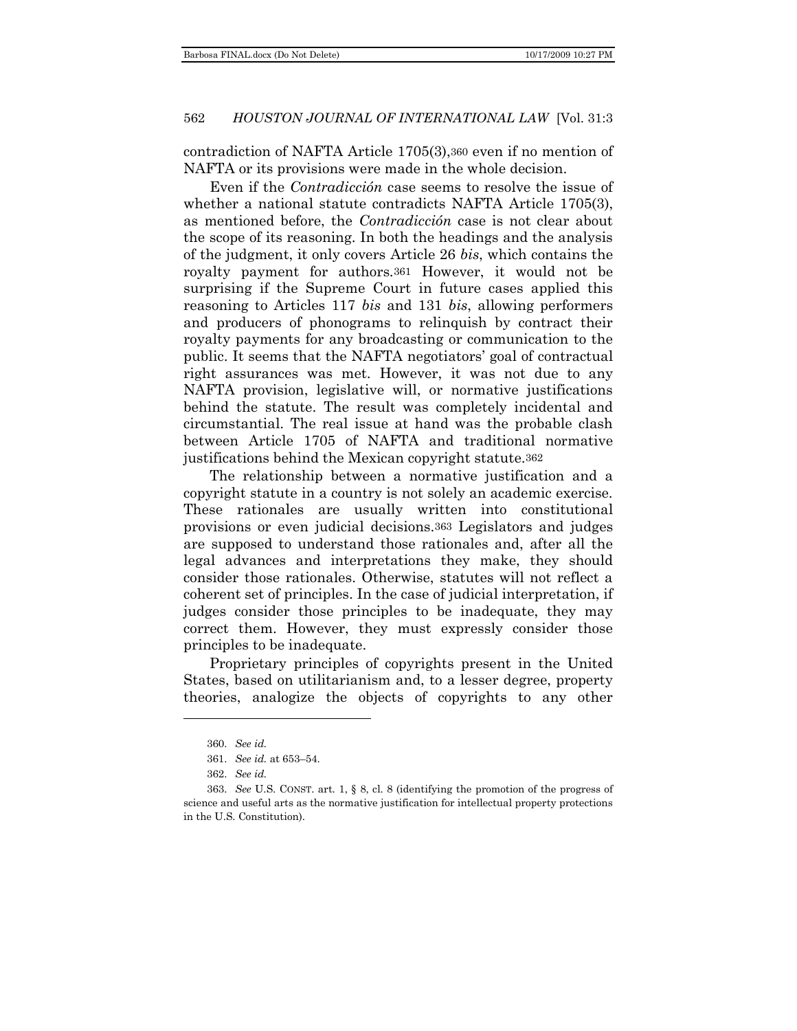contradiction of NAFTA Article 1705(3),360 even if no mention of NAFTA or its provisions were made in the whole decision.

Even if the *Contradicción* case seems to resolve the issue of whether a national statute contradicts NAFTA Article 1705(3), as mentioned before, the *Contradicción* case is not clear about the scope of its reasoning. In both the headings and the analysis of the judgment, it only covers Article 26 *bis*, which contains the royalty payment for authors*.*361 However, it would not be surprising if the Supreme Court in future cases applied this reasoning to Articles 117 *bis* and 131 *bis*, allowing performers and producers of phonograms to relinquish by contract their royalty payments for any broadcasting or communication to the public. It seems that the NAFTA negotiators' goal of contractual right assurances was met. However, it was not due to any NAFTA provision, legislative will, or normative justifications behind the statute. The result was completely incidental and circumstantial. The real issue at hand was the probable clash between Article 1705 of NAFTA and traditional normative justifications behind the Mexican copyright statute.362

The relationship between a normative justification and a copyright statute in a country is not solely an academic exercise. These rationales are usually written into constitutional provisions or even judicial decisions.363 Legislators and judges are supposed to understand those rationales and, after all the legal advances and interpretations they make, they should consider those rationales. Otherwise, statutes will not reflect a coherent set of principles. In the case of judicial interpretation, if judges consider those principles to be inadequate, they may correct them. However, they must expressly consider those principles to be inadequate.

Proprietary principles of copyrights present in the United States, based on utilitarianism and, to a lesser degree, property theories, analogize the objects of copyrights to any other

<sup>360.</sup> *See id.*

<sup>361.</sup> *See id.* at 653–54.

<sup>362.</sup> *See id.*

<sup>363.</sup> *See* U.S. CONST. art. 1, § 8, cl. 8 (identifying the promotion of the progress of science and useful arts as the normative justification for intellectual property protections in the U.S. Constitution).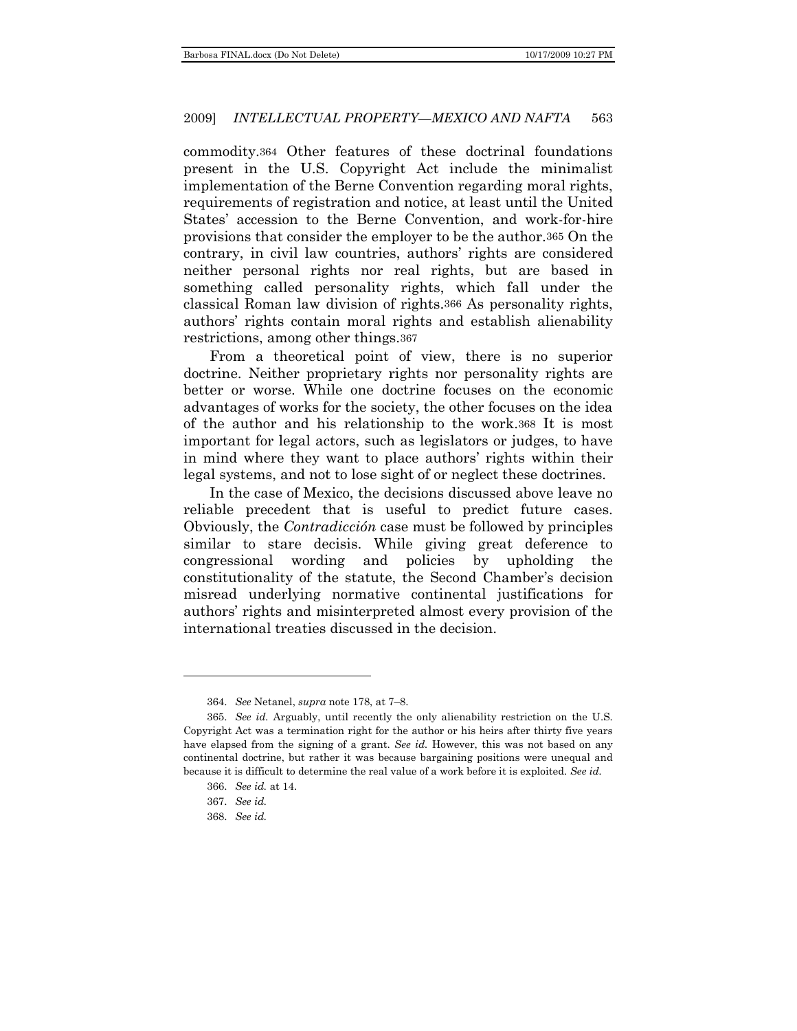commodity.364 Other features of these doctrinal foundations present in the U.S. Copyright Act include the minimalist implementation of the Berne Convention regarding moral rights, requirements of registration and notice, at least until the United States' accession to the Berne Convention, and work-for-hire provisions that consider the employer to be the author.365 On the contrary, in civil law countries, authors' rights are considered neither personal rights nor real rights, but are based in something called personality rights, which fall under the classical Roman law division of rights.366 As personality rights, authors' rights contain moral rights and establish alienability restrictions, among other things.367

From a theoretical point of view, there is no superior doctrine. Neither proprietary rights nor personality rights are better or worse. While one doctrine focuses on the economic advantages of works for the society, the other focuses on the idea of the author and his relationship to the work.368 It is most important for legal actors, such as legislators or judges, to have in mind where they want to place authors' rights within their legal systems, and not to lose sight of or neglect these doctrines.

In the case of Mexico, the decisions discussed above leave no reliable precedent that is useful to predict future cases. Obviously, the *Contradicción* case must be followed by principles similar to stare decisis. While giving great deference to congressional wording and policies by upholding the constitutionality of the statute, the Second Chamber's decision misread underlying normative continental justifications for authors' rights and misinterpreted almost every provision of the international treaties discussed in the decision.

<sup>364.</sup> *See* Netanel, *supra* note 178, at 7–8.

<sup>365.</sup> *See id.* Arguably, until recently the only alienability restriction on the U.S. Copyright Act was a termination right for the author or his heirs after thirty five years have elapsed from the signing of a grant. *See id.* However, this was not based on any continental doctrine, but rather it was because bargaining positions were unequal and because it is difficult to determine the real value of a work before it is exploited. *See id.*

<sup>366.</sup> *See id.* at 14.

<sup>367.</sup> *See id.*

<sup>368.</sup> *See id.*